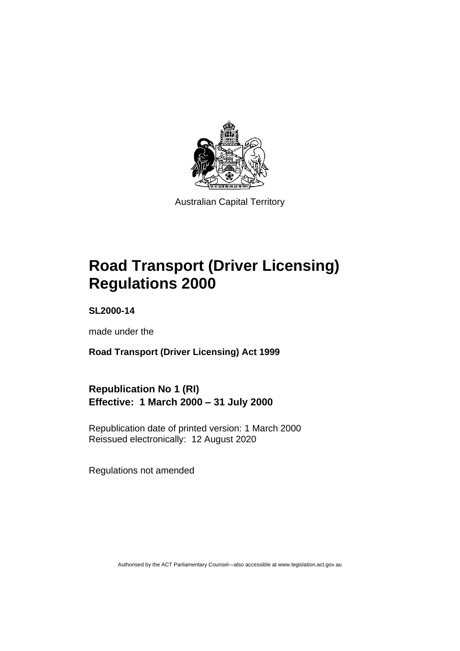

Australian Capital Territory

# **Road Transport (Driver Licensing) Regulations 2000**

**SL2000-14**

made under the

**Road Transport (Driver Licensing) Act 1999**

**Republication No 1 (RI) Effective: 1 March 2000 – 31 July 2000**

Republication date of printed version: 1 March 2000 Reissued electronically: 12 August 2020

Regulations not amended

Authorised by the ACT Parliamentary Counsel—also accessible at www.legislation.act.gov.au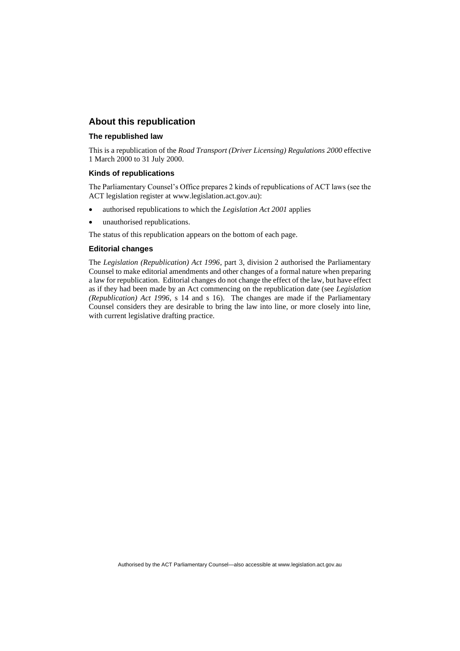### **About this republication**

#### **The republished law**

This is a republication of the *Road Transport (Driver Licensing) Regulations 2000* effective 1 March 2000 to 31 July 2000.

#### **Kinds of republications**

The Parliamentary Counsel's Office prepares 2 kinds of republications of ACT laws (see the ACT legislation register at www.legislation.act.gov.au):

- authorised republications to which the *Legislation Act 2001* applies
- unauthorised republications.

The status of this republication appears on the bottom of each page.

#### **Editorial changes**

The *Legislation (Republication) Act 1996*, part 3, division 2 authorised the Parliamentary Counsel to make editorial amendments and other changes of a formal nature when preparing a law for republication. Editorial changes do not change the effect of the law, but have effect as if they had been made by an Act commencing on the republication date (see *Legislation (Republication) Act 1996*, s 14 and s 16). The changes are made if the Parliamentary Counsel considers they are desirable to bring the law into line, or more closely into line, with current legislative drafting practice.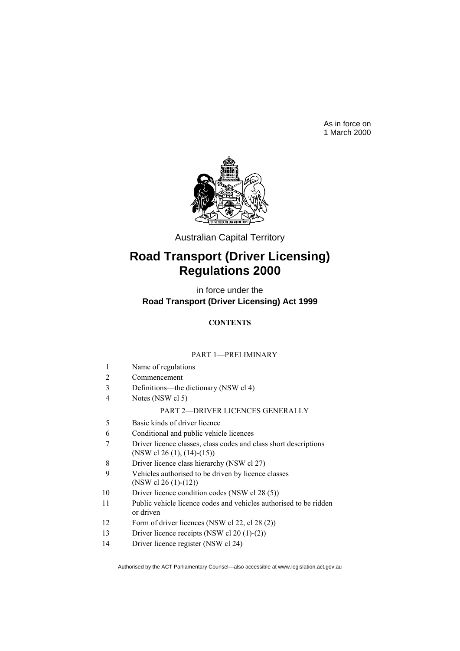As in force on 1 March 2000



Australian Capital Territory

# **Road Transport (Driver Licensing) Regulations 2000**

in force under the **Road Transport (Driver Licensing) Act 1999**

### **CONTENTS**

#### PART 1—PRELIMINARY

- 1 Name of regulations
- 2 Commencement
- 3 Definitions—the dictionary (NSW cl 4)
- 4 Notes (NSW cl 5)

#### PART 2—DRIVER LICENCES GENERALLY

- 5 Basic kinds of driver licence
- 6 Conditional and public vehicle licences
- 7 Driver licence classes, class codes and class short descriptions (NSW cl 26 (1), (14)-(15))
- 8 Driver licence class hierarchy (NSW cl 27)
- 9 Vehicles authorised to be driven by licence classes (NSW cl 26 (1)-(12))
- 10 Driver licence condition codes (NSW cl 28 (5))
- 11 Public vehicle licence codes and vehicles authorised to be ridden or driven
- 12 Form of driver licences (NSW cl 22, cl 28 (2))
- 13 Driver licence receipts (NSW cl 20 (1)-(2))
- 14 Driver licence register (NSW cl 24)

Authorised by the ACT Parliamentary Counsel—also accessible at www.legislation.act.gov.au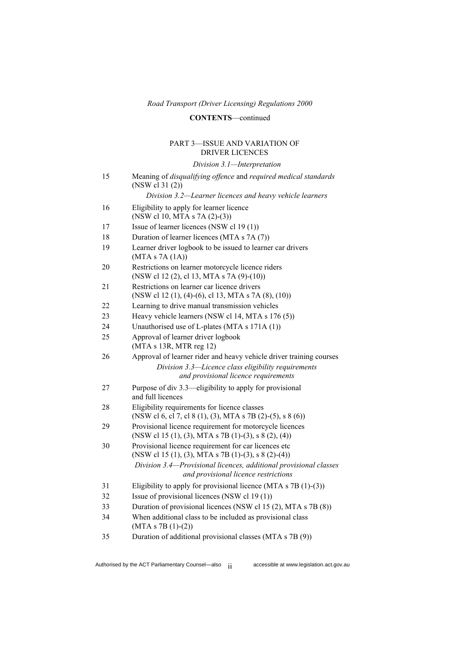### **CONTENTS**—continued

#### PART 3—ISSUE AND VARIATION OF DRIVER LICENCES

*Division 3.1—Interpretation*

| 15 | Meaning of disqualifying offence and required medical standards<br>(NSW cl 31 (2))                              |
|----|-----------------------------------------------------------------------------------------------------------------|
|    | Division 3.2-Learner licences and heavy vehicle learners                                                        |
| 16 | Eligibility to apply for learner licence<br>(NSW cl 10, MTA s 7A (2)-(3))                                       |
| 17 | Issue of learner licences (NSW cl 19 (1))                                                                       |
| 18 | Duration of learner licences (MTA s 7A (7))                                                                     |
| 19 | Learner driver logbook to be issued to learner car drivers<br>(MTAs 7A(1A))                                     |
| 20 | Restrictions on learner motorcycle licence riders<br>(NSW cl 12 (2), cl 13, MTA s 7A (9)-(10))                  |
| 21 | Restrictions on learner car licence drivers<br>(NSW cl 12 (1), (4)-(6), cl 13, MTA s 7A (8), (10))              |
| 22 | Learning to drive manual transmission vehicles                                                                  |
| 23 | Heavy vehicle learners (NSW cl 14, MTA s 176 (5))                                                               |
| 24 | Unauthorised use of L-plates (MTA s 171A (1))                                                                   |
| 25 | Approval of learner driver logbook<br>(MTA s 13R, MTR reg 12)                                                   |
| 26 | Approval of learner rider and heavy vehicle driver training courses                                             |
|    | Division 3.3-Licence class eligibility requirements<br>and provisional licence requirements                     |
| 27 | Purpose of div 3.3—eligibility to apply for provisional<br>and full licences                                    |
| 28 | Eligibility requirements for licence classes<br>(NSW cl 6, cl 7, cl 8 (1), (3), MTA s 7B (2)-(5), s 8 (6))      |
| 29 | Provisional licence requirement for motorcycle licences<br>(NSW cl 15 (1), (3), MTA s 7B (1)-(3), s 8 (2), (4)) |
| 30 | Provisional licence requirement for car licences etc<br>(NSW cl 15 (1), (3), MTA s 7B (1)-(3), s 8 (2)-(4))     |
|    | Division 3.4-Provisional licences, additional provisional classes<br>and provisional licence restrictions       |
| 31 | Eligibility to apply for provisional licence (MTA s $7B(1)-(3)$ )                                               |
| 32 | Issue of provisional licences (NSW cl 19 (1))                                                                   |
| 33 | Duration of provisional licences (NSW cl 15 (2), MTA s 7B (8))                                                  |
| 34 | When additional class to be included as provisional class<br>$(MTA s 7B (1)-(2))$                               |
| 35 | Duration of additional provisional classes (MTA s 7B (9))                                                       |

Authorised by the ACT Parliamentary Counsel—also ii accessible at www.legislation.act.gov.au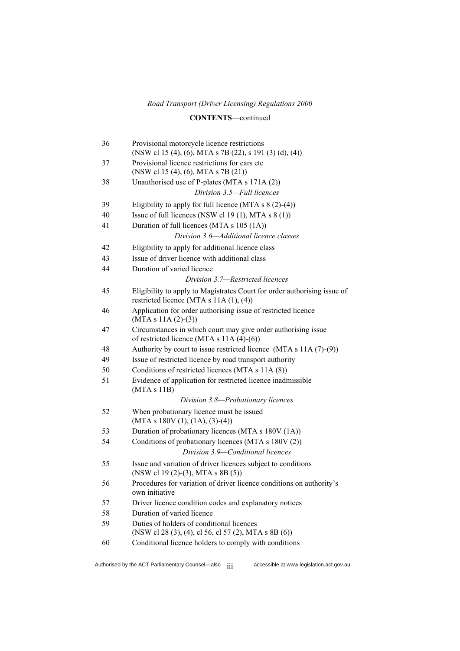### **CONTENTS**—continued

| 36 | Provisional motorcycle licence restrictions<br>(NSW cl 15 (4), (6), MTA s 7B (22), s 191 (3) (d), (4))              |  |
|----|---------------------------------------------------------------------------------------------------------------------|--|
| 37 | Provisional licence restrictions for cars etc<br>(NSW cl 15 (4), (6), MTA s 7B (21))                                |  |
| 38 | Unauthorised use of P-plates (MTA s 171A (2))                                                                       |  |
|    | Division 3.5-Full licences                                                                                          |  |
| 39 | Eligibility to apply for full licence (MTA $s \ 8 \ (2)-(4)$ )                                                      |  |
| 40 | Issue of full licences (NSW cl 19 (1), MTA $s$ 8 (1))                                                               |  |
| 41 | Duration of full licences (MTA s 105 (1A))                                                                          |  |
|    | Division 3.6-Additional licence classes                                                                             |  |
| 42 | Eligibility to apply for additional licence class                                                                   |  |
| 43 | Issue of driver licence with additional class                                                                       |  |
| 44 | Duration of varied licence                                                                                          |  |
|    | Division 3.7-Restricted licences                                                                                    |  |
| 45 | Eligibility to apply to Magistrates Court for order authorising issue of<br>restricted licence (MTA s 11A (1), (4)) |  |
| 46 | Application for order authorising issue of restricted licence<br>$(MTA s 11A (2)-(3))$                              |  |
| 47 | Circumstances in which court may give order authorising issue<br>of restricted licence (MTA s $11A(4)-(6)$ )        |  |
| 48 | Authority by court to issue restricted licence (MTA s $11A(7)-(9)$ )                                                |  |
| 49 | Issue of restricted licence by road transport authority                                                             |  |
| 50 | Conditions of restricted licences (MTA s 11A (8))                                                                   |  |
| 51 | Evidence of application for restricted licence inadmissible<br>(MTA s 11B)                                          |  |
|    | Division 3.8-Probationary licences                                                                                  |  |
| 52 | When probationary licence must be issued<br>$(MTA s 180V (1), (1A), (3)-(4))$                                       |  |
| 53 | Duration of probationary licences (MTA s 180V (1A))                                                                 |  |
| 54 | Conditions of probationary licences (MTA s 180V (2))                                                                |  |
|    | Division 3.9-Conditional licences                                                                                   |  |
| 55 | Issue and variation of driver licences subject to conditions<br>(NSW cl 19 (2)-(3), MTA s 8B (5))                   |  |
| 56 | Procedures for variation of driver licence conditions on authority's<br>own initiative                              |  |
| 57 | Driver licence condition codes and explanatory notices                                                              |  |
| 58 | Duration of varied licence                                                                                          |  |
| 59 | Duties of holders of conditional licences<br>(NSW cl 28 (3), (4), cl 56, cl 57 (2), MTA s 8B (6))                   |  |
| 60 | Conditional licence holders to comply with conditions                                                               |  |
|    |                                                                                                                     |  |

Authorised by the ACT Parliamentary Counsel—also  $\frac{1}{11}$  accessible at www.legislation.act.gov.au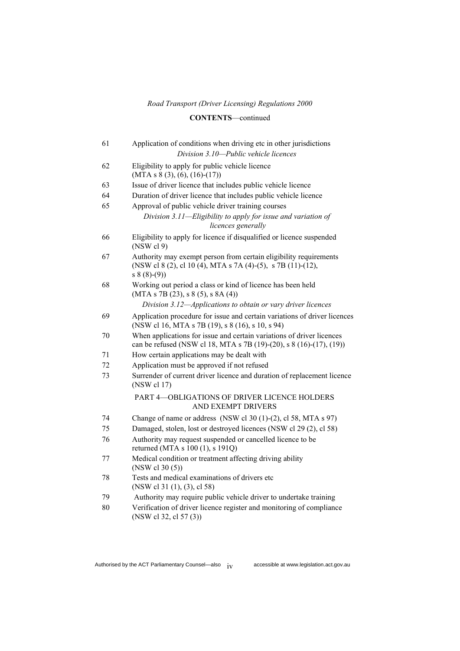### **CONTENTS**—continued

| 61 | Application of conditions when driving etc in other jurisdictions                                                                                |  |  |
|----|--------------------------------------------------------------------------------------------------------------------------------------------------|--|--|
|    | Division 3.10-Public vehicle licences                                                                                                            |  |  |
| 62 | Eligibility to apply for public vehicle licence<br>$(MTA s 8 (3), (6), (16)-(17))$                                                               |  |  |
| 63 | Issue of driver licence that includes public vehicle licence                                                                                     |  |  |
| 64 | Duration of driver licence that includes public vehicle licence                                                                                  |  |  |
| 65 | Approval of public vehicle driver training courses                                                                                               |  |  |
|    | Division 3.11—Eligibility to apply for issue and variation of<br>licences generally                                                              |  |  |
| 66 | Eligibility to apply for licence if disqualified or licence suspended<br>(NSW cl 9)                                                              |  |  |
| 67 | Authority may exempt person from certain eligibility requirements<br>(NSW cl 8 (2), cl 10 (4), MTA s 7A (4)-(5), s 7B (11)-(12),<br>$s 8(8)-(9)$ |  |  |
| 68 | Working out period a class or kind of licence has been held<br>(MTAs 7B (23), s 8 (5), s 8A (4))                                                 |  |  |
|    | Division 3.12-Applications to obtain or vary driver licences                                                                                     |  |  |
| 69 | Application procedure for issue and certain variations of driver licences<br>(NSW cl 16, MTA s 7B (19), s 8 (16), s 10, s 94)                    |  |  |
| 70 | When applications for issue and certain variations of driver licences<br>can be refused (NSW cl 18, MTA s 7B (19)-(20), s 8 (16)-(17), (19))     |  |  |
| 71 | How certain applications may be dealt with                                                                                                       |  |  |
| 72 | Application must be approved if not refused                                                                                                      |  |  |
| 73 | Surrender of current driver licence and duration of replacement licence<br>(NSW cl 17)                                                           |  |  |
|    | PART 4-OBLIGATIONS OF DRIVER LICENCE HOLDERS<br>AND EXEMPT DRIVERS                                                                               |  |  |
| 74 | Change of name or address (NSW cl $30$ (1)-(2), cl $58$ , MTA s 97)                                                                              |  |  |
| 75 | Damaged, stolen, lost or destroyed licences (NSW cl 29 (2), cl 58)                                                                               |  |  |
| 76 | Authority may request suspended or cancelled licence to be<br>returned (MTA s 100 (1), s 191Q)                                                   |  |  |
| 77 | Medical condition or treatment affecting driving ability<br>(NSW c130(5))                                                                        |  |  |
| 78 | Tests and medical examinations of drivers etc<br>(NSW cl 31 (1), (3), cl 58)                                                                     |  |  |
| 79 | Authority may require public vehicle driver to undertake training                                                                                |  |  |
| 80 | Verification of driver licence register and monitoring of compliance<br>(NSW cl 32, cl 57 (3))                                                   |  |  |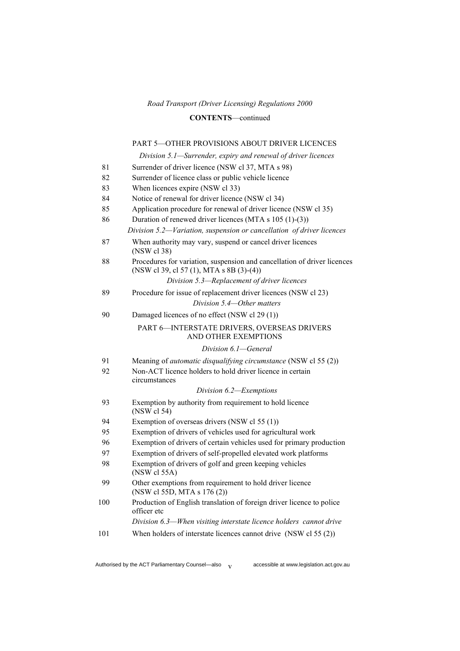#### **CONTENTS**—continued

### PART 5—OTHER PROVISIONS ABOUT DRIVER LICENCES

*Division 5.1—Surrender, expiry and renewal of driver licences*

| 81  | Surrender of driver licence (NSW cl 37, MTA s 98)                                                                    |  |
|-----|----------------------------------------------------------------------------------------------------------------------|--|
| 82  | Surrender of licence class or public vehicle licence                                                                 |  |
| 83  | When licences expire (NSW cl 33)                                                                                     |  |
| 84  | Notice of renewal for driver licence (NSW cl 34)                                                                     |  |
| 85  | Application procedure for renewal of driver licence (NSW cl 35)                                                      |  |
| 86  | Duration of renewed driver licences (MTA s 105 (1)-(3))                                                              |  |
|     | Division 5.2-Variation, suspension or cancellation of driver licences                                                |  |
| 87  | When authority may vary, suspend or cancel driver licences<br>(NSW cl 38)                                            |  |
| 88  | Procedures for variation, suspension and cancellation of driver licences<br>(NSW cl 39, cl 57 (1), MTA s 8B (3)-(4)) |  |
|     | Division 5.3-Replacement of driver licences                                                                          |  |
| 89  | Procedure for issue of replacement driver licences (NSW cl 23)                                                       |  |
|     | Division 5.4-Other matters                                                                                           |  |
| 90  | Damaged licences of no effect (NSW cl 29 (1))                                                                        |  |
|     | PART 6-INTERSTATE DRIVERS, OVERSEAS DRIVERS<br>AND OTHER EXEMPTIONS                                                  |  |
|     | Division 6.1—General                                                                                                 |  |
| 91  | Meaning of <i>automatic disqualifying circumstance</i> (NSW cl 55 (2))                                               |  |
| 92  | Non-ACT licence holders to hold driver licence in certain                                                            |  |
|     | circumstances                                                                                                        |  |
|     | Division 6.2-Exemptions                                                                                              |  |
| 93  | Exemption by authority from requirement to hold licence<br>(NSW cl 54)                                               |  |
| 94  | Exemption of overseas drivers (NSW cl 55 (1))                                                                        |  |
| 95  | Exemption of drivers of vehicles used for agricultural work                                                          |  |
| 96  | Exemption of drivers of certain vehicles used for primary production                                                 |  |
| 97  | Exemption of drivers of self-propelled elevated work platforms                                                       |  |
| 98  | Exemption of drivers of golf and green keeping vehicles<br>(NSW cl 55A)                                              |  |
| 99  | Other exemptions from requirement to hold driver licence<br>(NSW cl 55D, MTA s 176 (2))                              |  |
| 100 | Production of English translation of foreign driver licence to police<br>officer etc                                 |  |
|     | Division 6.3-When visiting interstate licence holders cannot drive                                                   |  |
| 101 | When holders of interstate licences cannot drive (NSW cl 55 (2))                                                     |  |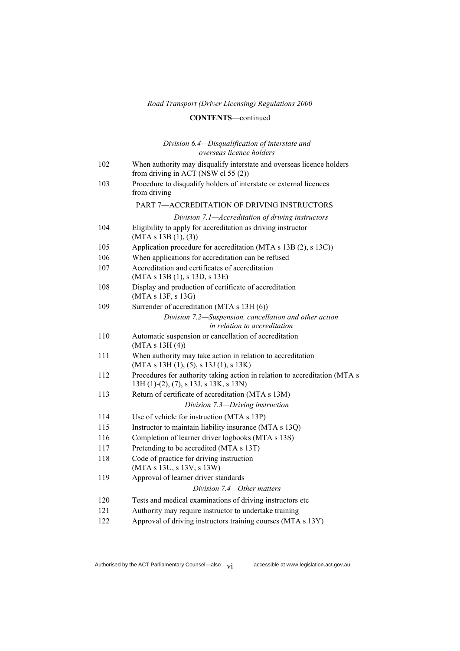### **CONTENTS**—continued

#### *Division 6.4—Disqualification of interstate and overseas licence holders*

| 102 | When authority may disqualify interstate and overseas licence holders<br>from driving in ACT (NSW cl 55 (2))           |  |
|-----|------------------------------------------------------------------------------------------------------------------------|--|
| 103 | Procedure to disqualify holders of interstate or external licences<br>from driving                                     |  |
|     | PART 7-ACCREDITATION OF DRIVING INSTRUCTORS                                                                            |  |
|     | Division 7.1-Accreditation of driving instructors                                                                      |  |
| 104 | Eligibility to apply for accreditation as driving instructor<br>(MTA s 13B(1), (3))                                    |  |
| 105 | Application procedure for accreditation (MTA s 13B (2), s 13C))                                                        |  |
| 106 | When applications for accreditation can be refused                                                                     |  |
| 107 | Accreditation and certificates of accreditation<br>(MTA s 13B (1), s 13D, s 13E)                                       |  |
| 108 | Display and production of certificate of accreditation<br>(MTA s 13F, s 13G)                                           |  |
| 109 | Surrender of accreditation (MTA s 13H (6))                                                                             |  |
|     | Division 7.2—Suspension, cancellation and other action<br>in relation to accreditation                                 |  |
| 110 | Automatic suspension or cancellation of accreditation<br>(MTA s 13H(4))                                                |  |
| 111 | When authority may take action in relation to accreditation<br>$(MTA s 13H (1), (5), s 13J (1), s 13K)$                |  |
| 112 | Procedures for authority taking action in relation to accreditation (MTA s<br>$13H(1)-(2)$ , (7), s 13J, s 13K, s 13N) |  |
| 113 | Return of certificate of accreditation (MTA s 13M)                                                                     |  |
|     | Division 7.3-Driving instruction                                                                                       |  |
| 114 | Use of vehicle for instruction (MTA s 13P)                                                                             |  |
| 115 | Instructor to maintain liability insurance (MTA s 13Q)                                                                 |  |
| 116 | Completion of learner driver logbooks (MTA s 13S)                                                                      |  |
| 117 | Pretending to be accredited (MTA s 13T)                                                                                |  |
| 118 | Code of practice for driving instruction<br>(MTA s 13U, s 13V, s 13W)                                                  |  |
| 119 | Approval of learner driver standards                                                                                   |  |
|     | Division 7.4—Other matters                                                                                             |  |
| 120 | Tests and medical examinations of driving instructors etc                                                              |  |
| 121 | Authority may require instructor to undertake training                                                                 |  |
| 122 | Approval of driving instructors training courses (MTA s 13Y)                                                           |  |

Authorised by the ACT Parliamentary Counsel—also  $v_i$  accessible at www.legislation.act.gov.au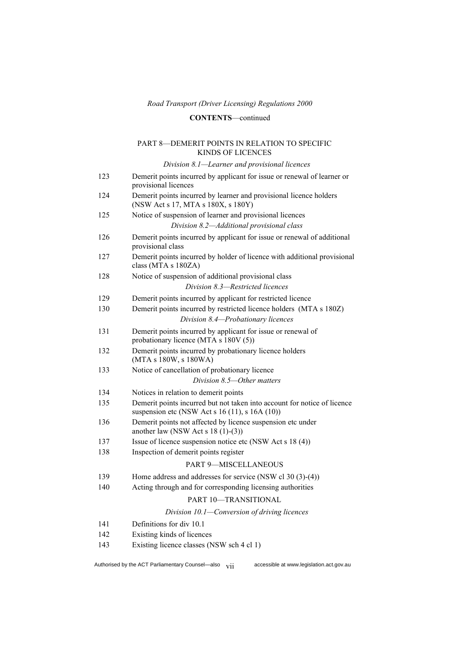### **CONTENTS**—continued

#### PART 8—DEMERIT POINTS IN RELATION TO SPECIFIC KINDS OF LICENCES

*Division 8.1—Learner and provisional licences*

| 123 | Demerit points incurred by applicant for issue or renewal of learner or<br>provisional licences                            |  |
|-----|----------------------------------------------------------------------------------------------------------------------------|--|
| 124 | Demerit points incurred by learner and provisional licence holders<br>(NSW Act s 17, MTA s 180X, s 180Y)                   |  |
| 125 | Notice of suspension of learner and provisional licences                                                                   |  |
|     | Division 8.2-Additional provisional class                                                                                  |  |
| 126 | Demerit points incurred by applicant for issue or renewal of additional<br>provisional class                               |  |
| 127 | Demerit points incurred by holder of licence with additional provisional<br>class (MTA s 180ZA)                            |  |
| 128 | Notice of suspension of additional provisional class                                                                       |  |
|     | Division 8.3-Restricted licences                                                                                           |  |
| 129 | Demerit points incurred by applicant for restricted licence                                                                |  |
| 130 | Demerit points incurred by restricted licence holders (MTA s 180Z)<br>Division 8.4-Probationary licences                   |  |
| 131 | Demerit points incurred by applicant for issue or renewal of<br>probationary licence (MTA s 180V (5))                      |  |
| 132 | Demerit points incurred by probationary licence holders<br>(MTA s 180W, s 180WA)                                           |  |
| 133 | Notice of cancellation of probationary licence                                                                             |  |
|     | Division 8.5-Other matters                                                                                                 |  |
| 134 | Notices in relation to demerit points                                                                                      |  |
| 135 | Demerit points incurred but not taken into account for notice of licence<br>suspension etc (NSW Act s 16 (11), s 16A (10)) |  |
| 136 | Demerit points not affected by licence suspension etc under<br>another law (NSW Act s $18(1)-(3)$ )                        |  |
| 137 | Issue of licence suspension notice etc (NSW Act s 18 (4))                                                                  |  |
| 138 | Inspection of demerit points register                                                                                      |  |
|     | <b>PART 9-MISCELLANEOUS</b>                                                                                                |  |
| 139 | Home address and addresses for service (NSW cl $30(3)-(4)$ )                                                               |  |
| 140 | Acting through and for corresponding licensing authorities                                                                 |  |
|     | PART 10-TRANSITIONAL                                                                                                       |  |
|     | Division 10.1—Conversion of driving licences                                                                               |  |
| 141 | Definitions for div 10.1                                                                                                   |  |
| 142 | Existing kinds of licences                                                                                                 |  |
| 143 | Existing licence classes (NSW sch 4 cl 1)                                                                                  |  |
|     |                                                                                                                            |  |

Authorised by the ACT Parliamentary Counsel—also  $\overrightarrow{vii}$  accessible at www.legislation.act.gov.au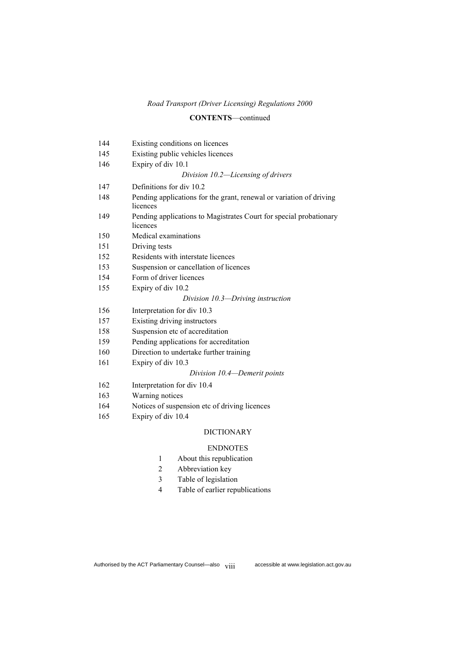#### **CONTENTS**—continued

| 144 | Existing conditions on licences                                                 |
|-----|---------------------------------------------------------------------------------|
| 145 | Existing public vehicles licences                                               |
| 146 | Expiry of div 10.1                                                              |
|     | Division 10.2-Licensing of drivers                                              |
| 147 | Definitions for div 10.2                                                        |
| 148 | Pending applications for the grant, renewal or variation of driving<br>licences |
| 149 | Pending applications to Magistrates Court for special probationary<br>licences  |
| 150 | Medical examinations                                                            |
| 151 | Driving tests                                                                   |
| 152 | Residents with interstate licences                                              |
| 153 | Suspension or cancellation of licences                                          |
| 154 | Form of driver licences                                                         |
| 155 | Expiry of div 10.2                                                              |
|     | Division 10.3-Driving instruction                                               |
| 156 | Interpretation for div 10.3                                                     |
| 157 | Existing driving instructors                                                    |
| 158 | Suspension etc of accreditation                                                 |
| 159 | Pending applications for accreditation                                          |
| 160 | Direction to undertake further training                                         |
| 161 | Expiry of div 10.3                                                              |
|     | Division 10.4—Demerit points                                                    |
| 162 | Interpretation for div 10.4                                                     |
| 163 | Warning notices                                                                 |
| 164 | Notices of suspension etc of driving licences                                   |
| 165 | Expiry of div 10.4                                                              |

#### DICTIONARY

#### ENDNOTES

- About this republication
- Abbreviation key
- Table of legislation
- Table of earlier republications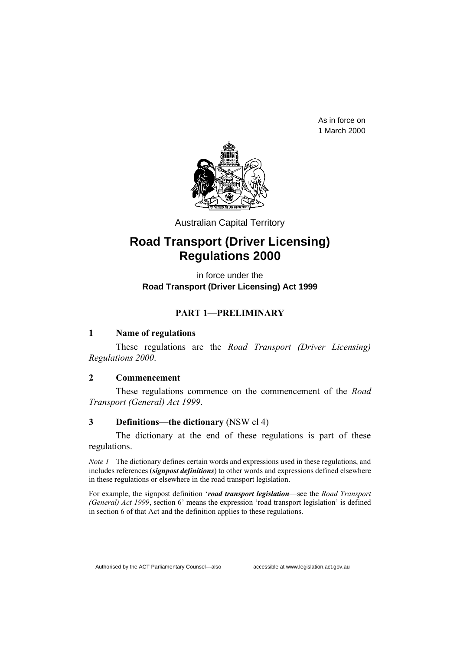As in force on 1 March 2000



Australian Capital Territory

# **Road Transport (Driver Licensing) Regulations 2000**

in force under the **Road Transport (Driver Licensing) Act 1999**

### **PART 1—PRELIMINARY**

### **1 Name of regulations**

These regulations are the *Road Transport (Driver Licensing) Regulations 2000*.

### **2 Commencement**

These regulations commence on the commencement of the *Road Transport (General) Act 1999*.

### **3 Definitions—the dictionary** (NSW cl 4)

The dictionary at the end of these regulations is part of these regulations.

*Note 1* The dictionary defines certain words and expressions used in these regulations, and includes references (*signpost definitions*) to other words and expressions defined elsewhere in these regulations or elsewhere in the road transport legislation.

For example, the signpost definition '*road transport legislation*—see the *Road Transport (General) Act 1999*, section 6' means the expression 'road transport legislation' is defined in section 6 of that Act and the definition applies to these regulations.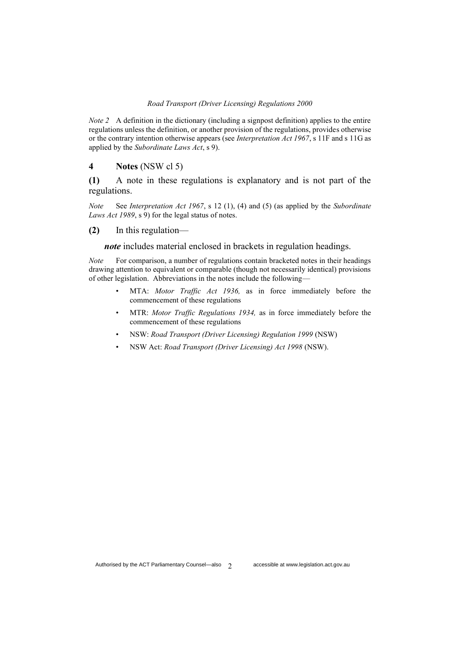*Note 2* A definition in the dictionary (including a signpost definition) applies to the entire regulations unless the definition, or another provision of the regulations, provides otherwise or the contrary intention otherwise appears (see *Interpretation Act 1967*, s 11F and s 11G as applied by the *Subordinate Laws Act*, s 9).

#### **4 Notes** (NSW cl 5)

**(1)** A note in these regulations is explanatory and is not part of the regulations.

*Note* See *Interpretation Act 1967*, s 12 (1), (4) and (5) (as applied by the *Subordinate Laws Act 1989*, s 9) for the legal status of notes.

**(2)** In this regulation—

*note* includes material enclosed in brackets in regulation headings.

*Note* For comparison, a number of regulations contain bracketed notes in their headings drawing attention to equivalent or comparable (though not necessarily identical) provisions of other legislation. Abbreviations in the notes include the following—

- MTA: *Motor Traffic Act 1936,* as in force immediately before the commencement of these regulations
- MTR: *Motor Traffic Regulations 1934,* as in force immediately before the commencement of these regulations
- NSW: *Road Transport (Driver Licensing) Regulation 1999* (NSW)
- NSW Act: *Road Transport (Driver Licensing) Act 1998* (NSW).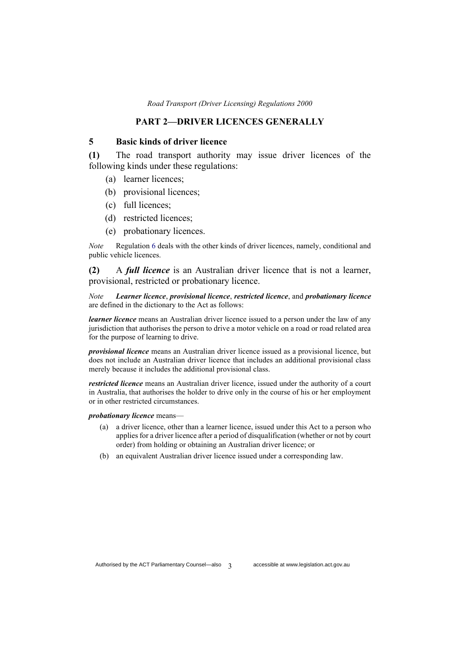#### **PART 2—DRIVER LICENCES GENERALLY**

#### **5 Basic kinds of driver licence**

**(1)** The road transport authority may issue driver licences of the following kinds under these regulations:

- (a) learner licences;
- (b) provisional licences;
- (c) full licences;
- (d) restricted licences;
- (e) probationary licences.

*Note* Regulation 6 deals with the other kinds of driver licences, namely, conditional and public vehicle licences.

**(2)** A *full licence* is an Australian driver licence that is not a learner, provisional, restricted or probationary licence.

*Note Learner licence*, *provisional licence*, *restricted licence*, and *probationary licence* are defined in the dictionary to the Act as follows:

*learner licence* means an Australian driver licence issued to a person under the law of any jurisdiction that authorises the person to drive a motor vehicle on a road or road related area for the purpose of learning to drive.

*provisional licence* means an Australian driver licence issued as a provisional licence, but does not include an Australian driver licence that includes an additional provisional class merely because it includes the additional provisional class.

*restricted licence* means an Australian driver licence, issued under the authority of a court in Australia, that authorises the holder to drive only in the course of his or her employment or in other restricted circumstances.

*probationary licence* means—

- (a) a driver licence, other than a learner licence, issued under this Act to a person who applies for a driver licence after a period of disqualification (whether or not by court order) from holding or obtaining an Australian driver licence; or
- (b) an equivalent Australian driver licence issued under a corresponding law.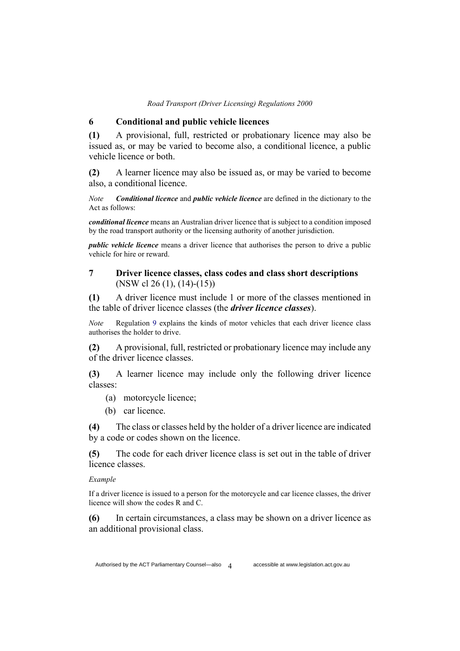#### **6 Conditional and public vehicle licences**

**(1)** A provisional, full, restricted or probationary licence may also be issued as, or may be varied to become also, a conditional licence, a public vehicle licence or both.

**(2)** A learner licence may also be issued as, or may be varied to become also, a conditional licence.

*Note Conditional licence* and *public vehicle licence* are defined in the dictionary to the Act as follows:

*conditional licence* means an Australian driver licence that is subject to a condition imposed by the road transport authority or the licensing authority of another jurisdiction.

*public vehicle licence* means a driver licence that authorises the person to drive a public vehicle for hire or reward.

### **7 Driver licence classes, class codes and class short descriptions** (NSW cl 26 (1), (14)-(15))

**(1)** A driver licence must include 1 or more of the classes mentioned in the table of driver licence classes (the *driver licence classes*).

*Note* Regulation 9 explains the kinds of motor vehicles that each driver licence class authorises the holder to drive.

**(2)** A provisional, full, restricted or probationary licence may include any of the driver licence classes.

**(3)** A learner licence may include only the following driver licence classes:

(a) motorcycle licence;

(b) car licence.

**(4)** The class or classes held by the holder of a driver licence are indicated by a code or codes shown on the licence.

**(5)** The code for each driver licence class is set out in the table of driver licence classes.

#### *Example*

If a driver licence is issued to a person for the motorcycle and car licence classes, the driver licence will show the codes R and C.

**(6)** In certain circumstances, a class may be shown on a driver licence as an additional provisional class.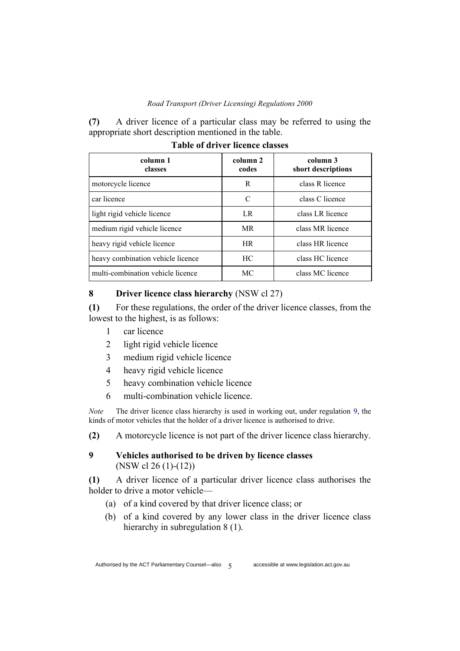**(7)** A driver licence of a particular class may be referred to using the appropriate short description mentioned in the table.

| column 1<br>classes               | column 2<br>codes | column 3<br>short descriptions |
|-----------------------------------|-------------------|--------------------------------|
| motorcycle licence                | R                 | class R licence                |
| car licence                       | C                 | class C licence                |
| light rigid vehicle licence       | LR.               | class LR licence               |
| medium rigid vehicle licence      | <b>MR</b>         | class MR licence               |
| heavy rigid vehicle licence       | <b>HR</b>         | class HR licence               |
| heavy combination vehicle licence | HC.               | class HC licence               |
| multi-combination vehicle licence | МC                | class MC licence               |

**Table of driver licence classes**

### **8 Driver licence class hierarchy** (NSW cl 27)

**(1)** For these regulations, the order of the driver licence classes, from the lowest to the highest, is as follows:

- 1 car licence
- 2 light rigid vehicle licence
- 3 medium rigid vehicle licence
- 4 heavy rigid vehicle licence
- 5 heavy combination vehicle licence
- 6 multi-combination vehicle licence.

*Note* The driver licence class hierarchy is used in working out, under regulation 9, the kinds of motor vehicles that the holder of a driver licence is authorised to drive.

**(2)** A motorcycle licence is not part of the driver licence class hierarchy.

### **9 Vehicles authorised to be driven by licence classes** (NSW cl 26 (1)-(12))

**(1)** A driver licence of a particular driver licence class authorises the holder to drive a motor vehicle—

- (a) of a kind covered by that driver licence class; or
- (b) of a kind covered by any lower class in the driver licence class hierarchy in subregulation 8 (1).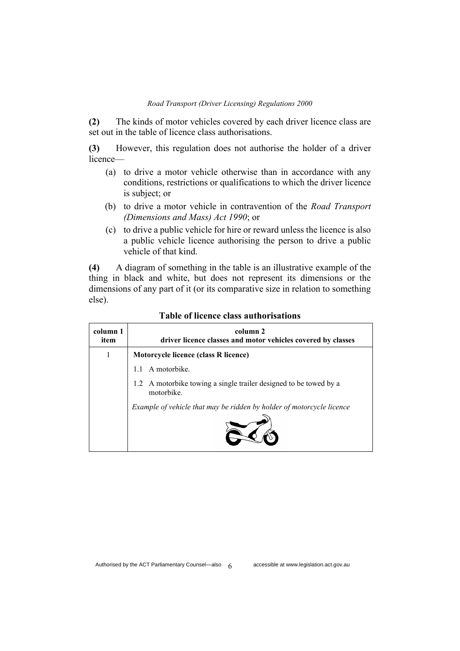**(2)** The kinds of motor vehicles covered by each driver licence class are set out in the table of licence class authorisations.

**(3)** However, this regulation does not authorise the holder of a driver licence—

- (a) to drive a motor vehicle otherwise than in accordance with any conditions, restrictions or qualifications to which the driver licence is subject; or
- (b) to drive a motor vehicle in contravention of the *Road Transport (Dimensions and Mass) Act 1990*; or
- (c) to drive a public vehicle for hire or reward unless the licence is also a public vehicle licence authorising the person to drive a public vehicle of that kind.

**(4)** A diagram of something in the table is an illustrative example of the thing in black and white, but does not represent its dimensions or the dimensions of any part of it (or its comparative size in relation to something else).

| column 1<br>item | column 2<br>driver licence classes and motor vehicles covered by classes        |
|------------------|---------------------------------------------------------------------------------|
| 1                | Motorcycle licence (class R licence)                                            |
|                  | A motorbike.                                                                    |
|                  | 1.2 A motorbike towing a single trailer designed to be towed by a<br>motorbike. |
|                  | Example of vehicle that may be ridden by holder of motorcycle licence           |

#### **Table of licence class authorisations**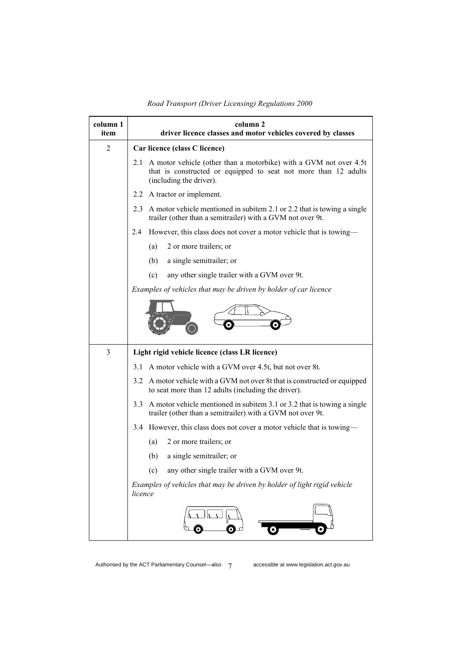| column 1<br>item | column 2<br>driver licence classes and motor vehicles covered by classes                                                                                               |  |  |
|------------------|------------------------------------------------------------------------------------------------------------------------------------------------------------------------|--|--|
| $\overline{2}$   | Car licence (class C licence)                                                                                                                                          |  |  |
|                  | A motor vehicle (other than a motorbike) with a GVM not over 4.5t<br>2.1<br>that is constructed or equipped to seat not more than 12 adults<br>(including the driver). |  |  |
|                  | A tractor or implement.<br>2.2                                                                                                                                         |  |  |
|                  | A motor vehicle mentioned in subitem 2.1 or 2.2 that is towing a single<br>2.3<br>trailer (other than a semitrailer) with a GVM not over 9t.                           |  |  |
|                  | However, this class does not cover a motor vehicle that is towing—<br>2.4                                                                                              |  |  |
|                  | 2 or more trailers; or<br>(a)                                                                                                                                          |  |  |
|                  | a single semitrailer; or<br>(b)                                                                                                                                        |  |  |
|                  | any other single trailer with a GVM over 9t.<br>(c)                                                                                                                    |  |  |
|                  | Examples of vehicles that may be driven by holder of car licence                                                                                                       |  |  |
|                  |                                                                                                                                                                        |  |  |
| 3                | Light rigid vehicle licence (class LR licence)                                                                                                                         |  |  |
|                  | 3.1 A motor vehicle with a GVM over 4.5t, but not over 8t.                                                                                                             |  |  |
|                  | A motor vehicle with a GVM not over 8t that is constructed or equipped<br>3.2<br>to seat more than 12 adults (including the driver).                                   |  |  |
|                  | A motor vehicle mentioned in subitem 3.1 or 3.2 that is towing a single<br>3.3<br>trailer (other than a semitrailer) with a GVM not over 9t.                           |  |  |
|                  | 3.4 However, this class does not cover a motor vehicle that is towing—                                                                                                 |  |  |
|                  | (a)<br>2 or more trailers; or                                                                                                                                          |  |  |
|                  | (b)<br>a single semitrailer; or                                                                                                                                        |  |  |
|                  | any other single trailer with a GVM over 9t.<br>(c)                                                                                                                    |  |  |
|                  | Examples of vehicles that may be driven by holder of light rigid vehicle<br>licence                                                                                    |  |  |
|                  |                                                                                                                                                                        |  |  |

*Road Transport (Driver Licensing) Regulations 2000*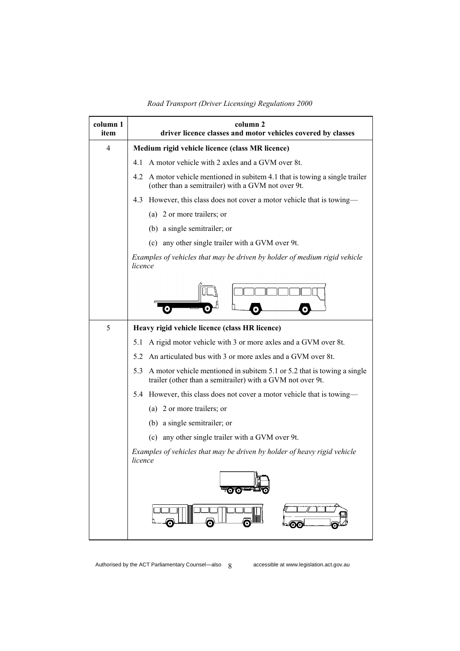| column 1<br>item | column 2<br>driver licence classes and motor vehicles covered by classes                                                                     |  |  |
|------------------|----------------------------------------------------------------------------------------------------------------------------------------------|--|--|
| 4                | Medium rigid vehicle licence (class MR licence)                                                                                              |  |  |
|                  | A motor vehicle with 2 axles and a GVM over 8t.<br>4.1                                                                                       |  |  |
|                  | A motor vehicle mentioned in subitem 4.1 that is towing a single trailer<br>4.2<br>(other than a semitrailer) with a GVM not over 9t.        |  |  |
|                  | However, this class does not cover a motor vehicle that is towing-<br>4.3                                                                    |  |  |
|                  | (a) 2 or more trailers; or                                                                                                                   |  |  |
|                  | (b) a single semitrailer; or                                                                                                                 |  |  |
|                  | (c) any other single trailer with a GVM over 9t.                                                                                             |  |  |
|                  | Examples of vehicles that may be driven by holder of medium rigid vehicle<br>licence                                                         |  |  |
|                  |                                                                                                                                              |  |  |
| 5                | Heavy rigid vehicle licence (class HR licence)                                                                                               |  |  |
|                  | A rigid motor vehicle with 3 or more axles and a GVM over 8t.<br>5.1                                                                         |  |  |
|                  | An articulated bus with 3 or more axles and a GVM over 8t.<br>5.2                                                                            |  |  |
|                  | 5.3<br>A motor vehicle mentioned in subitem 5.1 or 5.2 that is towing a single<br>trailer (other than a semitrailer) with a GVM not over 9t. |  |  |
|                  | 5.4 However, this class does not cover a motor vehicle that is towing—                                                                       |  |  |
|                  | (a) 2 or more trailers; or                                                                                                                   |  |  |
|                  | (b) a single semitrailer; or                                                                                                                 |  |  |
|                  | (c) any other single trailer with a GVM over 9t.                                                                                             |  |  |
|                  | Examples of vehicles that may be driven by holder of heavy rigid vehicle<br>licence                                                          |  |  |
|                  |                                                                                                                                              |  |  |
|                  |                                                                                                                                              |  |  |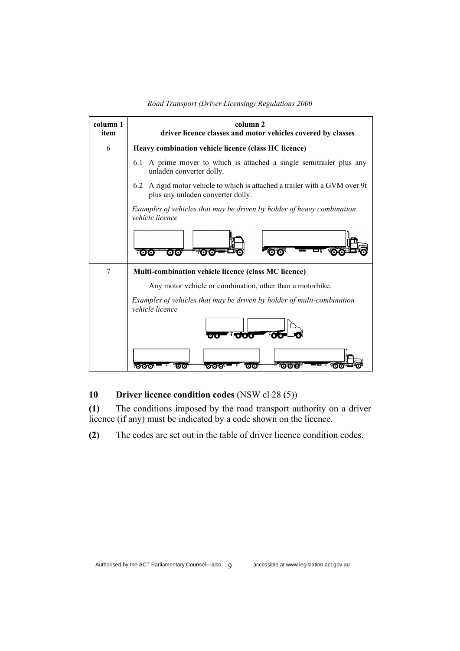### **column 1 column 2 item driver licence classes and motor vehicles covered by classes** 6 **Heavy combination vehicle licence (class HC licence)** 6.1 A prime mover to which is attached a single semitrailer plus any unladen converter dolly. 6.2 A rigid motor vehicle to which is attached a trailer with a GVM over 9t plus any unladen converter dolly. *Examples of vehicles that may be driven by holder of heavy combination vehicle licence*  **TOTO OTO rovo**  $\overline{\mathbf{O}}$   $\overline{\mathbf{O}}$ 7 **Multi-combination vehicle licence (class MC licence)** Any motor vehicle or combination, other than a motorbike. *Examples of vehicles that may be driven by holder of multi-combination vehicle licence*  **Tara**ra ್ಂಕ  $\overline{\mathbf{0}}\overline{\mathbf{0}}\overline{\mathbf{0}}^*$ . vožožo) íoïo) o fo fo)

#### *Road Transport (Driver Licensing) Regulations 2000*

### **10 Driver licence condition codes** (NSW cl 28 (5))

**(1)** The conditions imposed by the road transport authority on a driver licence (if any) must be indicated by a code shown on the licence.

**(2)** The codes are set out in the table of driver licence condition codes.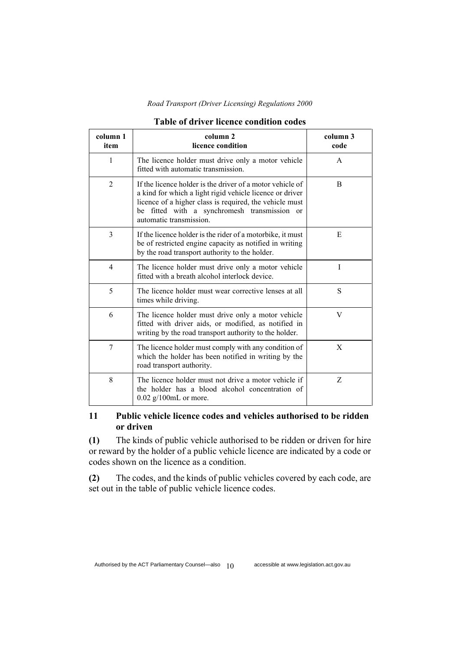| column 1<br>item | column 2<br>licence condition                                                                                                                                                                                                                                  | column 3<br>code |
|------------------|----------------------------------------------------------------------------------------------------------------------------------------------------------------------------------------------------------------------------------------------------------------|------------------|
| 1                | The licence holder must drive only a motor vehicle<br>fitted with automatic transmission.                                                                                                                                                                      | A                |
| $\overline{2}$   | If the licence holder is the driver of a motor vehicle of<br>a kind for which a light rigid vehicle licence or driver<br>licence of a higher class is required, the vehicle must<br>fitted with a synchromesh transmission or<br>be<br>automatic transmission. | B                |
| 3                | If the licence holder is the rider of a motorbike, it must<br>be of restricted engine capacity as notified in writing<br>by the road transport authority to the holder.                                                                                        | E                |
| $\overline{4}$   | The licence holder must drive only a motor vehicle<br>fitted with a breath alcohol interlock device.                                                                                                                                                           | I                |
| 5                | The licence holder must wear corrective lenses at all<br>times while driving.                                                                                                                                                                                  | S                |
| 6                | The licence holder must drive only a motor vehicle<br>fitted with driver aids, or modified, as notified in<br>writing by the road transport authority to the holder.                                                                                           | V                |
| 7                | The licence holder must comply with any condition of<br>which the holder has been notified in writing by the<br>road transport authority.                                                                                                                      | X                |
| 8                | The licence holder must not drive a motor vehicle if<br>the holder has a blood alcohol concentration of<br>$0.02$ g/100mL or more.                                                                                                                             | Z                |

#### **Table of driver licence condition codes**

### **11 Public vehicle licence codes and vehicles authorised to be ridden or driven**

**(1)** The kinds of public vehicle authorised to be ridden or driven for hire or reward by the holder of a public vehicle licence are indicated by a code or codes shown on the licence as a condition.

**(2)** The codes, and the kinds of public vehicles covered by each code, are set out in the table of public vehicle licence codes.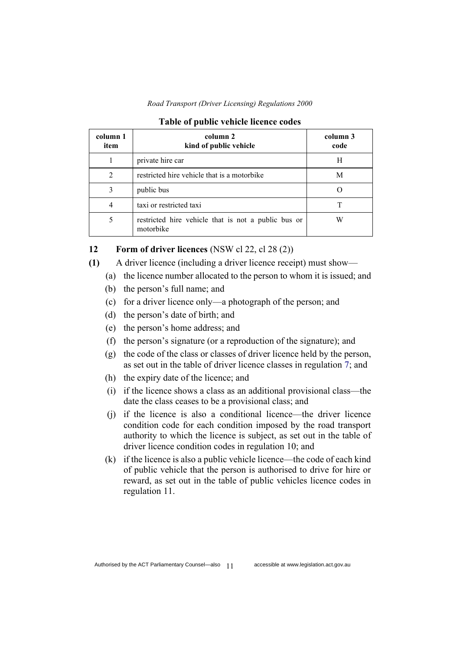*Road Transport (Driver Licensing) Regulations 2000*

| column 1<br>item            | column 2<br>kind of public vehicle                               | column 3<br>code |
|-----------------------------|------------------------------------------------------------------|------------------|
|                             | private hire car                                                 | Н                |
| $\mathcal{D}_{\mathcal{A}}$ | restricted hire vehicle that is a motorbike                      | M                |
|                             | public bus                                                       |                  |
|                             | taxi or restricted taxi                                          |                  |
|                             | restricted hire vehicle that is not a public bus or<br>motorbike |                  |

| <b>Table of public vehicle licence codes</b> |
|----------------------------------------------|
|----------------------------------------------|

### **12 Form of driver licences** (NSW cl 22, cl 28 (2))

- **(1)** A driver licence (including a driver licence receipt) must show—
	- (a) the licence number allocated to the person to whom it is issued; and
	- (b) the person's full name; and
	- (c) for a driver licence only—a photograph of the person; and
	- (d) the person's date of birth; and
	- (e) the person's home address; and
	- (f) the person's signature (or a reproduction of the signature); and
	- (g) the code of the class or classes of driver licence held by the person, as set out in the table of driver licence classes in regulation 7; and
	- (h) the expiry date of the licence; and
	- (i) if the licence shows a class as an additional provisional class—the date the class ceases to be a provisional class; and
	- (j) if the licence is also a conditional licence—the driver licence condition code for each condition imposed by the road transport authority to which the licence is subject, as set out in the table of driver licence condition codes in regulation 10; and
	- (k) if the licence is also a public vehicle licence—the code of each kind of public vehicle that the person is authorised to drive for hire or reward, as set out in the table of public vehicles licence codes in regulation 11.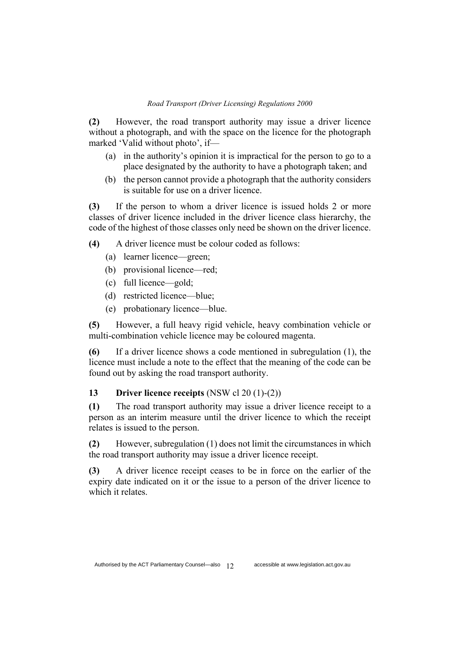**(2)** However, the road transport authority may issue a driver licence without a photograph, and with the space on the licence for the photograph marked 'Valid without photo', if—

- (a) in the authority's opinion it is impractical for the person to go to a place designated by the authority to have a photograph taken; and
- (b) the person cannot provide a photograph that the authority considers is suitable for use on a driver licence.

**(3)** If the person to whom a driver licence is issued holds 2 or more classes of driver licence included in the driver licence class hierarchy, the code of the highest of those classes only need be shown on the driver licence.

**(4)** A driver licence must be colour coded as follows:

- (a) learner licence—green;
- (b) provisional licence—red;
- (c) full licence—gold;
- (d) restricted licence—blue;
- (e) probationary licence—blue.

**(5)** However, a full heavy rigid vehicle, heavy combination vehicle or multi-combination vehicle licence may be coloured magenta.

**(6)** If a driver licence shows a code mentioned in subregulation (1), the licence must include a note to the effect that the meaning of the code can be found out by asking the road transport authority.

#### **13 Driver licence receipts** (NSW cl 20 (1)-(2))

**(1)** The road transport authority may issue a driver licence receipt to a person as an interim measure until the driver licence to which the receipt relates is issued to the person.

**(2)** However, subregulation (1) does not limit the circumstances in which the road transport authority may issue a driver licence receipt.

**(3)** A driver licence receipt ceases to be in force on the earlier of the expiry date indicated on it or the issue to a person of the driver licence to which it relates.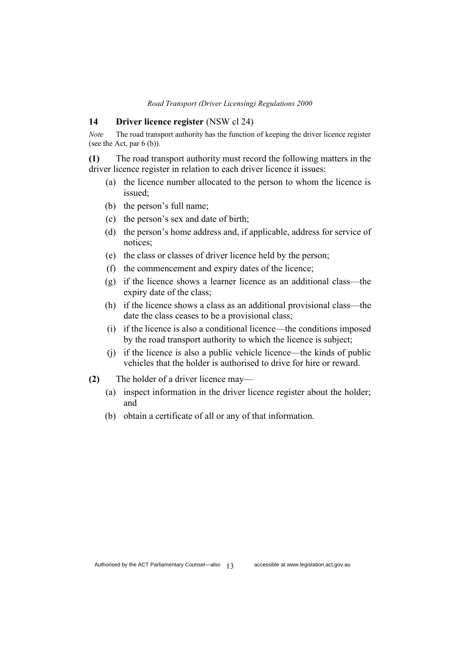#### **14 Driver licence register** (NSW cl 24)

*Note* The road transport authority has the function of keeping the driver licence register (see the Act, par  $6$  (b)).

**(1)** The road transport authority must record the following matters in the driver licence register in relation to each driver licence it issues:

- (a) the licence number allocated to the person to whom the licence is issued;
- (b) the person's full name;
- (c) the person's sex and date of birth;
- (d) the person's home address and, if applicable, address for service of notices;
- (e) the class or classes of driver licence held by the person;
- (f) the commencement and expiry dates of the licence;
- (g) if the licence shows a learner licence as an additional class—the expiry date of the class;
- (h) if the licence shows a class as an additional provisional class—the date the class ceases to be a provisional class;
- (i) if the licence is also a conditional licence—the conditions imposed by the road transport authority to which the licence is subject;
- (j) if the licence is also a public vehicle licence—the kinds of public vehicles that the holder is authorised to drive for hire or reward.
- **(2)** The holder of a driver licence may—
	- (a) inspect information in the driver licence register about the holder; and
	- (b) obtain a certificate of all or any of that information.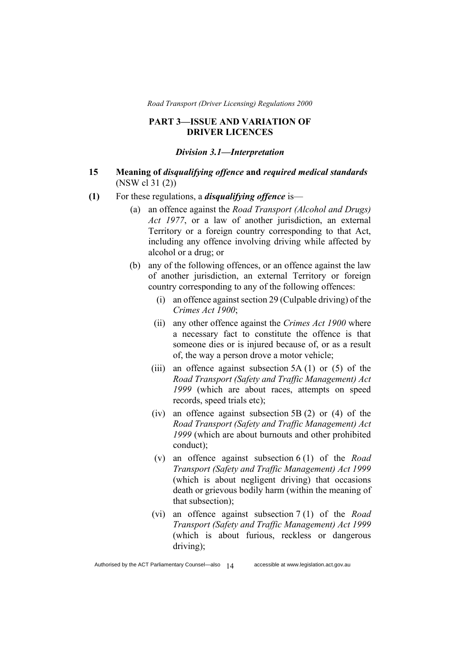#### **PART 3—ISSUE AND VARIATION OF DRIVER LICENCES**

#### *Division 3.1—Interpretation*

### **15 Meaning of** *disqualifying offence* **and** *required medical standards* (NSW cl 31 (2))

- **(1)** For these regulations, a *disqualifying offence* is—
	- (a) an offence against the *Road Transport (Alcohol and Drugs) Act 1977*, or a law of another jurisdiction, an external Territory or a foreign country corresponding to that Act, including any offence involving driving while affected by alcohol or a drug; or
	- (b) any of the following offences, or an offence against the law of another jurisdiction, an external Territory or foreign country corresponding to any of the following offences:
		- (i) an offence against section 29 (Culpable driving) of the *Crimes Act 1900*;
		- (ii) any other offence against the *Crimes Act 1900* where a necessary fact to constitute the offence is that someone dies or is injured because of, or as a result of, the way a person drove a motor vehicle;
		- (iii) an offence against subsection  $5A(1)$  or  $(5)$  of the *Road Transport (Safety and Traffic Management) Act 1999* (which are about races, attempts on speed records, speed trials etc);
		- (iv) an offence against subsection 5B (2) or (4) of the *Road Transport (Safety and Traffic Management) Act 1999* (which are about burnouts and other prohibited conduct);
		- (v) an offence against subsection 6 (1) of the *Road Transport (Safety and Traffic Management) Act 1999* (which is about negligent driving) that occasions death or grievous bodily harm (within the meaning of that subsection);
		- (vi) an offence against subsection 7 (1) of the *Road Transport (Safety and Traffic Management) Act 1999* (which is about furious, reckless or dangerous driving);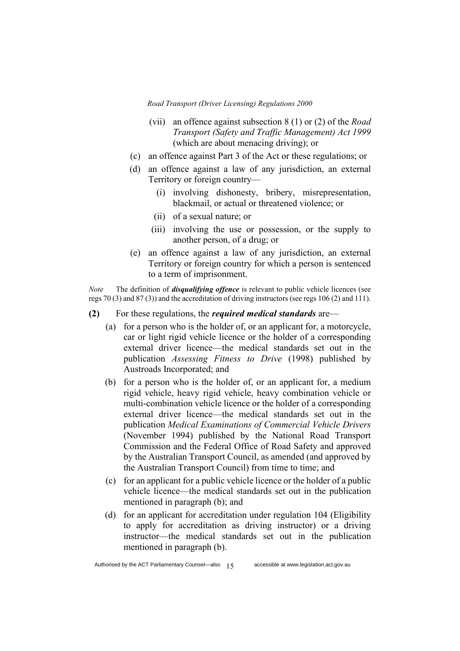- (vii) an offence against subsection 8 (1) or (2) of the *Road Transport (Safety and Traffic Management) Act 1999* (which are about menacing driving); or
- (c) an offence against Part 3 of the Act or these regulations; or
- (d) an offence against a law of any jurisdiction, an external Territory or foreign country—
	- (i) involving dishonesty, bribery, misrepresentation, blackmail, or actual or threatened violence; or
	- (ii) of a sexual nature; or
	- (iii) involving the use or possession, or the supply to another person, of a drug; or
- (e) an offence against a law of any jurisdiction, an external Territory or foreign country for which a person is sentenced to a term of imprisonment.

*Note* The definition of *disqualifying offence* is relevant to public vehicle licences (see regs 70 (3) and 87 (3)) and the accreditation of driving instructors (see regs 106 (2) and 111).

- **(2)** For these regulations, the *required medical standards* are—
	- (a) for a person who is the holder of, or an applicant for, a motorcycle, car or light rigid vehicle licence or the holder of a corresponding external driver licence—the medical standards set out in the publication *Assessing Fitness to Drive* (1998) published by Austroads Incorporated; and
	- (b) for a person who is the holder of, or an applicant for, a medium rigid vehicle, heavy rigid vehicle, heavy combination vehicle or multi-combination vehicle licence or the holder of a corresponding external driver licence—the medical standards set out in the publication *Medical Examinations of Commercial Vehicle Drivers* (November 1994) published by the National Road Transport Commission and the Federal Office of Road Safety and approved by the Australian Transport Council, as amended (and approved by the Australian Transport Council) from time to time; and
	- (c) for an applicant for a public vehicle licence or the holder of a public vehicle licence—the medical standards set out in the publication mentioned in paragraph (b); and
	- (d) for an applicant for accreditation under regulation 104 (Eligibility to apply for accreditation as driving instructor) or a driving instructor—the medical standards set out in the publication mentioned in paragraph (b).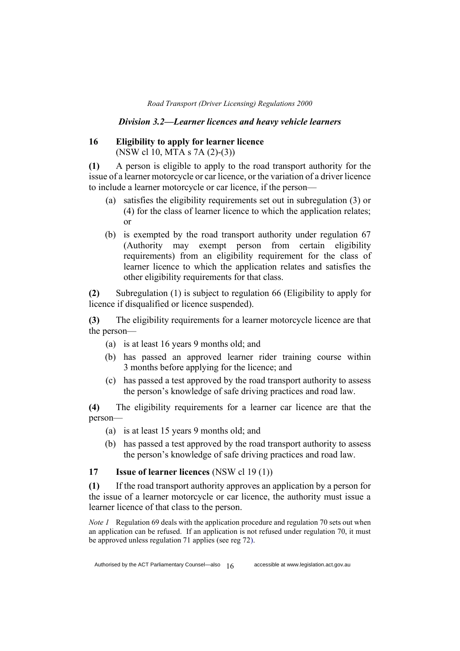#### *Division 3.2—Learner licences and heavy vehicle learners*

### **16 Eligibility to apply for learner licence**  (NSW cl 10, MTA s 7A (2)-(3))

**(1)** A person is eligible to apply to the road transport authority for the issue of a learner motorcycle or car licence, or the variation of a driver licence to include a learner motorcycle or car licence, if the person—

- (a) satisfies the eligibility requirements set out in subregulation (3) or (4) for the class of learner licence to which the application relates; or
- (b) is exempted by the road transport authority under regulation 67 (Authority may exempt person from certain eligibility requirements) from an eligibility requirement for the class of learner licence to which the application relates and satisfies the other eligibility requirements for that class.

**(2)** Subregulation (1) is subject to regulation 66 (Eligibility to apply for licence if disqualified or licence suspended).

**(3)** The eligibility requirements for a learner motorcycle licence are that the person—

- (a) is at least 16 years 9 months old; and
- (b) has passed an approved learner rider training course within 3 months before applying for the licence; and
- (c) has passed a test approved by the road transport authority to assess the person's knowledge of safe driving practices and road law.

**(4)** The eligibility requirements for a learner car licence are that the person—

- (a) is at least 15 years 9 months old; and
- (b) has passed a test approved by the road transport authority to assess the person's knowledge of safe driving practices and road law.

### **17 Issue of learner licences** (NSW cl 19 (1))

**(1)** If the road transport authority approves an application by a person for the issue of a learner motorcycle or car licence, the authority must issue a learner licence of that class to the person.

*Note 1* Regulation 69 deals with the application procedure and regulation 70 sets out when an application can be refused. If an application is not refused under regulation 70, it must be approved unless regulation 71 applies (see reg 72).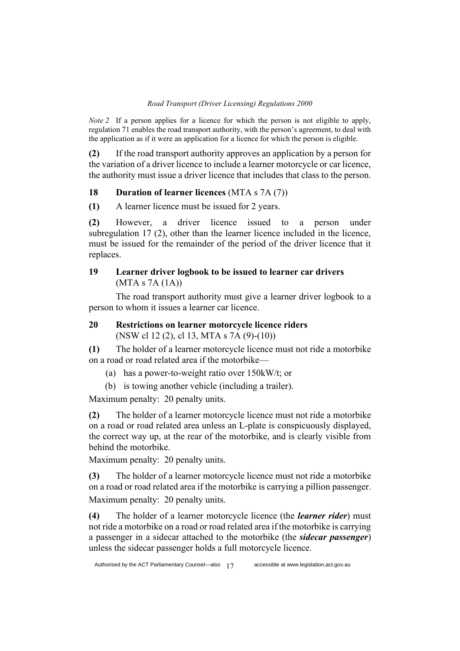*Note 2* If a person applies for a licence for which the person is not eligible to apply, regulation 71 enables the road transport authority, with the person's agreement, to deal with the application as if it were an application for a licence for which the person is eligible.

**(2)** If the road transport authority approves an application by a person for the variation of a driver licence to include a learner motorcycle or car licence, the authority must issue a driver licence that includes that class to the person.

### **18 Duration of learner licences** (MTA s 7A (7))

**(1)** A learner licence must be issued for 2 years.

**(2)** However, a driver licence issued to a person under subregulation 17 (2), other than the learner licence included in the licence, must be issued for the remainder of the period of the driver licence that it replaces.

### **19 Learner driver logbook to be issued to learner car drivers**  (MTA s 7A (1A))

The road transport authority must give a learner driver logbook to a person to whom it issues a learner car licence.

### **20 Restrictions on learner motorcycle licence riders**  (NSW cl 12 (2), cl 13, MTA s 7A (9)-(10))

**(1)** The holder of a learner motorcycle licence must not ride a motorbike on a road or road related area if the motorbike—

(a) has a power-to-weight ratio over 150kW/t; or

(b) is towing another vehicle (including a trailer).

Maximum penalty: 20 penalty units.

**(2)** The holder of a learner motorcycle licence must not ride a motorbike on a road or road related area unless an L-plate is conspicuously displayed, the correct way up, at the rear of the motorbike, and is clearly visible from behind the motorbike.

Maximum penalty: 20 penalty units.

**(3)** The holder of a learner motorcycle licence must not ride a motorbike on a road or road related area if the motorbike is carrying a pillion passenger. Maximum penalty: 20 penalty units.

**(4)** The holder of a learner motorcycle licence (the *learner rider*) must not ride a motorbike on a road or road related area if the motorbike is carrying a passenger in a sidecar attached to the motorbike (the *sidecar passenger*) unless the sidecar passenger holds a full motorcycle licence.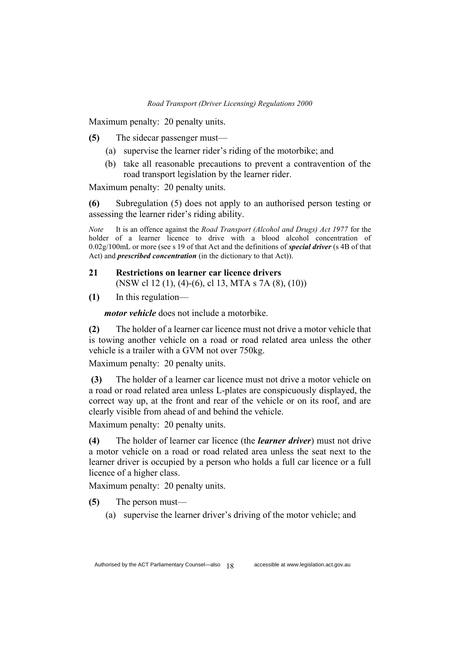Maximum penalty: 20 penalty units.

**(5)** The sidecar passenger must—

- (a) supervise the learner rider's riding of the motorbike; and
- (b) take all reasonable precautions to prevent a contravention of the road transport legislation by the learner rider.

Maximum penalty: 20 penalty units.

**(6)** Subregulation (5) does not apply to an authorised person testing or assessing the learner rider's riding ability.

*Note* It is an offence against the *Road Transport (Alcohol and Drugs) Act 1977* for the holder of a learner licence to drive with a blood alcohol concentration of 0.02g/100mL or more (see s 19 of that Act and the definitions of *special driver* (s 4B of that Act) and *prescribed concentration* (in the dictionary to that Act)).

### **21 Restrictions on learner car licence drivers**  (NSW cl 12 (1), (4)-(6), cl 13, MTA s 7A (8), (10))

**(1)** In this regulation—

*motor vehicle* does not include a motorbike.

**(2)** The holder of a learner car licence must not drive a motor vehicle that is towing another vehicle on a road or road related area unless the other vehicle is a trailer with a GVM not over 750kg.

Maximum penalty: 20 penalty units.

**(3)** The holder of a learner car licence must not drive a motor vehicle on a road or road related area unless L-plates are conspicuously displayed, the correct way up, at the front and rear of the vehicle or on its roof, and are clearly visible from ahead of and behind the vehicle.

Maximum penalty: 20 penalty units.

**(4)** The holder of learner car licence (the *learner driver*) must not drive a motor vehicle on a road or road related area unless the seat next to the learner driver is occupied by a person who holds a full car licence or a full licence of a higher class.

Maximum penalty: 20 penalty units.

**(5)** The person must—

(a) supervise the learner driver's driving of the motor vehicle; and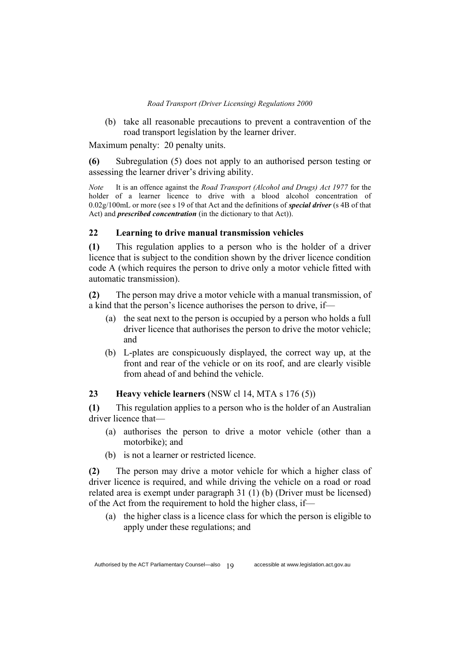(b) take all reasonable precautions to prevent a contravention of the road transport legislation by the learner driver.

Maximum penalty: 20 penalty units.

**(6)** Subregulation (5) does not apply to an authorised person testing or assessing the learner driver's driving ability.

*Note* It is an offence against the *Road Transport (Alcohol and Drugs) Act 1977* for the holder of a learner licence to drive with a blood alcohol concentration of 0.02g/100mL or more (see s 19 of that Act and the definitions of *special driver* (s 4B of that Act) and *prescribed concentration* (in the dictionary to that Act)).

### **22 Learning to drive manual transmission vehicles**

**(1)** This regulation applies to a person who is the holder of a driver licence that is subject to the condition shown by the driver licence condition code A (which requires the person to drive only a motor vehicle fitted with automatic transmission).

**(2)** The person may drive a motor vehicle with a manual transmission, of a kind that the person's licence authorises the person to drive, if—

- (a) the seat next to the person is occupied by a person who holds a full driver licence that authorises the person to drive the motor vehicle; and
- (b) L-plates are conspicuously displayed, the correct way up, at the front and rear of the vehicle or on its roof, and are clearly visible from ahead of and behind the vehicle.

### **23 Heavy vehicle learners** (NSW cl 14, MTA s 176 (5))

**(1)** This regulation applies to a person who is the holder of an Australian driver licence that—

- (a) authorises the person to drive a motor vehicle (other than a motorbike); and
- (b) is not a learner or restricted licence.

**(2)** The person may drive a motor vehicle for which a higher class of driver licence is required, and while driving the vehicle on a road or road related area is exempt under paragraph 31 (1) (b) (Driver must be licensed) of the Act from the requirement to hold the higher class, if—

(a) the higher class is a licence class for which the person is eligible to apply under these regulations; and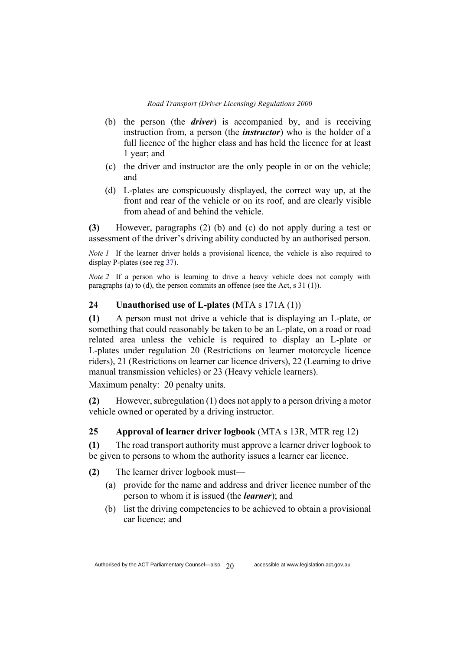- (b) the person (the *driver*) is accompanied by, and is receiving instruction from, a person (the *instructor*) who is the holder of a full licence of the higher class and has held the licence for at least 1 year; and
- (c) the driver and instructor are the only people in or on the vehicle; and
- (d) L-plates are conspicuously displayed, the correct way up, at the front and rear of the vehicle or on its roof, and are clearly visible from ahead of and behind the vehicle.

**(3)** However, paragraphs (2) (b) and (c) do not apply during a test or assessment of the driver's driving ability conducted by an authorised person.

*Note l* If the learner driver holds a provisional licence, the vehicle is also required to display P-plates (see reg 37).

*Note 2* If a person who is learning to drive a heavy vehicle does not comply with paragraphs (a) to (d), the person commits an offence (see the Act, s 31 (1)).

#### **24 Unauthorised use of L-plates** (MTA s 171A (1))

**(1)** A person must not drive a vehicle that is displaying an L-plate, or something that could reasonably be taken to be an L-plate, on a road or road related area unless the vehicle is required to display an L-plate or L-plates under regulation 20 (Restrictions on learner motorcycle licence riders), 21 (Restrictions on learner car licence drivers), 22 (Learning to drive manual transmission vehicles) or 23 (Heavy vehicle learners).

Maximum penalty: 20 penalty units.

**(2)** However, subregulation (1) does not apply to a person driving a motor vehicle owned or operated by a driving instructor.

#### **25 Approval of learner driver logbook** (MTA s 13R, MTR reg 12)

**(1)** The road transport authority must approve a learner driver logbook to be given to persons to whom the authority issues a learner car licence.

**(2)** The learner driver logbook must—

- (a) provide for the name and address and driver licence number of the person to whom it is issued (the *learner*); and
- (b) list the driving competencies to be achieved to obtain a provisional car licence; and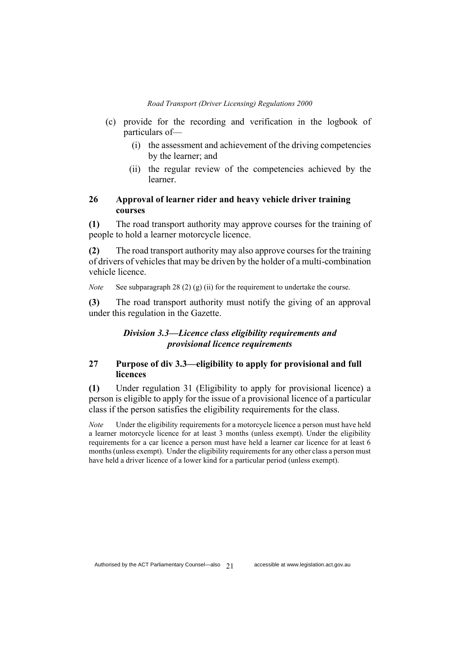- (c) provide for the recording and verification in the logbook of particulars of—
	- (i) the assessment and achievement of the driving competencies by the learner; and
	- (ii) the regular review of the competencies achieved by the learner.

### **26 Approval of learner rider and heavy vehicle driver training courses**

**(1)** The road transport authority may approve courses for the training of people to hold a learner motorcycle licence.

**(2)** The road transport authority may also approve courses for the training of drivers of vehicles that may be driven by the holder of a multi-combination vehicle licence.

*Note* See subparagraph 28 (2) (g) (ii) for the requirement to undertake the course.

**(3)** The road transport authority must notify the giving of an approval under this regulation in the Gazette.

### *Division 3.3—Licence class eligibility requirements and provisional licence requirements*

### **27 Purpose of div 3.3—eligibility to apply for provisional and full licences**

**(1)** Under regulation 31 (Eligibility to apply for provisional licence) a person is eligible to apply for the issue of a provisional licence of a particular class if the person satisfies the eligibility requirements for the class.

*Note* Under the eligibility requirements for a motorcycle licence a person must have held a learner motorcycle licence for at least 3 months (unless exempt). Under the eligibility requirements for a car licence a person must have held a learner car licence for at least 6 months (unless exempt). Under the eligibility requirements for any other class a person must have held a driver licence of a lower kind for a particular period (unless exempt).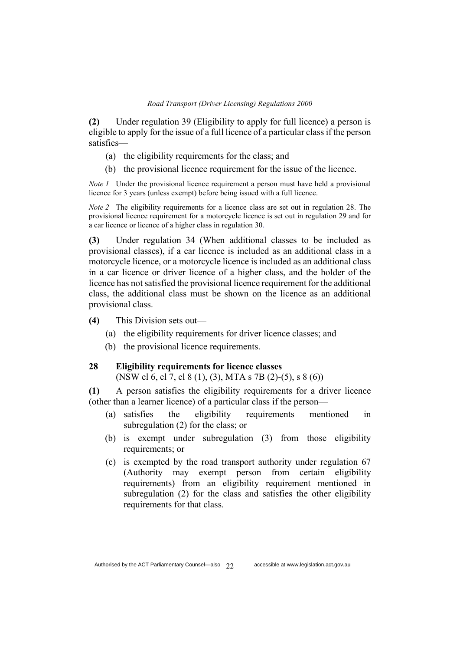**(2)** Under regulation 39 (Eligibility to apply for full licence) a person is eligible to apply for the issue of a full licence of a particular class if the person satisfies—

- (a) the eligibility requirements for the class; and
- (b) the provisional licence requirement for the issue of the licence.

*Note 1* Under the provisional licence requirement a person must have held a provisional licence for 3 years (unless exempt) before being issued with a full licence.

*Note 2* The eligibility requirements for a licence class are set out in regulation 28. The provisional licence requirement for a motorcycle licence is set out in regulation 29 and for a car licence or licence of a higher class in regulation 30.

**(3)** Under regulation 34 (When additional classes to be included as provisional classes), if a car licence is included as an additional class in a motorcycle licence, or a motorcycle licence is included as an additional class in a car licence or driver licence of a higher class, and the holder of the licence has not satisfied the provisional licence requirement for the additional class, the additional class must be shown on the licence as an additional provisional class.

- **(4)** This Division sets out—
	- (a) the eligibility requirements for driver licence classes; and
	- (b) the provisional licence requirements.

#### **28 Eligibility requirements for licence classes**

(NSW cl 6, cl 7, cl 8 (1), (3), MTA s 7B (2)-(5), s 8 (6))

**(1)** A person satisfies the eligibility requirements for a driver licence (other than a learner licence) of a particular class if the person—

- (a) satisfies the eligibility requirements mentioned in subregulation (2) for the class; or
- (b) is exempt under subregulation (3) from those eligibility requirements; or
- (c) is exempted by the road transport authority under regulation 67 (Authority may exempt person from certain eligibility requirements) from an eligibility requirement mentioned in subregulation (2) for the class and satisfies the other eligibility requirements for that class.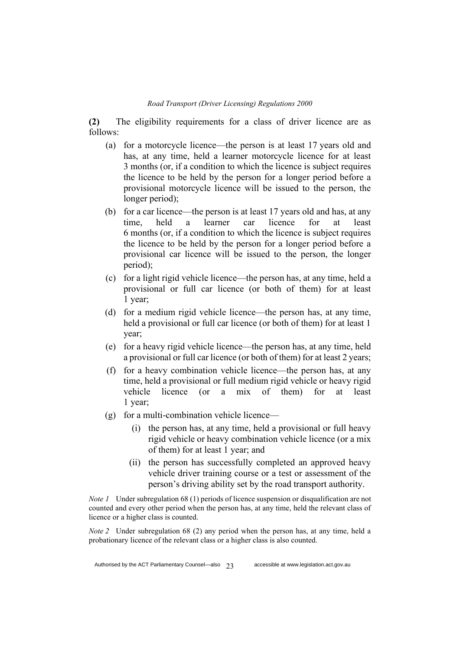**(2)** The eligibility requirements for a class of driver licence are as follows:

- (a) for a motorcycle licence—the person is at least 17 years old and has, at any time, held a learner motorcycle licence for at least 3 months (or, if a condition to which the licence is subject requires the licence to be held by the person for a longer period before a provisional motorcycle licence will be issued to the person, the longer period);
- (b) for a car licence—the person is at least 17 years old and has, at any time, held a learner car licence for at least 6 months (or, if a condition to which the licence is subject requires the licence to be held by the person for a longer period before a provisional car licence will be issued to the person, the longer period);
- (c) for a light rigid vehicle licence—the person has, at any time, held a provisional or full car licence (or both of them) for at least 1 year;
- (d) for a medium rigid vehicle licence—the person has, at any time, held a provisional or full car licence (or both of them) for at least 1 year;
- (e) for a heavy rigid vehicle licence—the person has, at any time, held a provisional or full car licence (or both of them) for at least 2 years;
- (f) for a heavy combination vehicle licence—the person has, at any time, held a provisional or full medium rigid vehicle or heavy rigid vehicle licence (or a mix of them) for at least 1 year;
- (g) for a multi-combination vehicle licence—
	- (i) the person has, at any time, held a provisional or full heavy rigid vehicle or heavy combination vehicle licence (or a mix of them) for at least 1 year; and
	- (ii) the person has successfully completed an approved heavy vehicle driver training course or a test or assessment of the person's driving ability set by the road transport authority.

*Note 1* Under subregulation 68 (1) periods of licence suspension or disqualification are not counted and every other period when the person has, at any time, held the relevant class of licence or a higher class is counted.

*Note 2* Under subregulation 68 (2) any period when the person has, at any time, held a probationary licence of the relevant class or a higher class is also counted.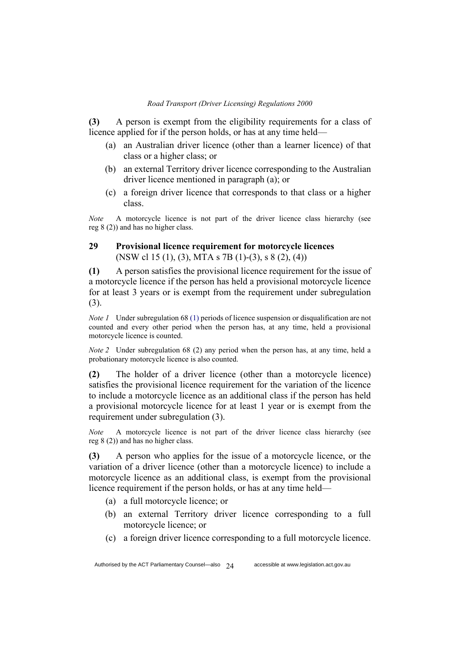**(3)** A person is exempt from the eligibility requirements for a class of licence applied for if the person holds, or has at any time held—

- (a) an Australian driver licence (other than a learner licence) of that class or a higher class; or
- (b) an external Territory driver licence corresponding to the Australian driver licence mentioned in paragraph (a); or
- (c) a foreign driver licence that corresponds to that class or a higher class.

*Note* A motorcycle licence is not part of the driver licence class hierarchy (see reg 8 (2)) and has no higher class.

### **29 Provisional licence requirement for motorcycle licences**  (NSW cl 15 (1), (3), MTA s 7B (1)-(3), s 8 (2), (4))

**(1)** A person satisfies the provisional licence requirement for the issue of a motorcycle licence if the person has held a provisional motorcycle licence for at least 3 years or is exempt from the requirement under subregulation (3).

*Note 1* Under subregulation 68 (1) periods of licence suspension or disqualification are not counted and every other period when the person has, at any time, held a provisional motorcycle licence is counted.

*Note 2* Under subregulation 68 (2) any period when the person has, at any time, held a probationary motorcycle licence is also counted.

**(2)** The holder of a driver licence (other than a motorcycle licence) satisfies the provisional licence requirement for the variation of the licence to include a motorcycle licence as an additional class if the person has held a provisional motorcycle licence for at least 1 year or is exempt from the requirement under subregulation (3).

*Note* A motorcycle licence is not part of the driver licence class hierarchy (see reg 8 (2)) and has no higher class.

**(3)** A person who applies for the issue of a motorcycle licence, or the variation of a driver licence (other than a motorcycle licence) to include a motorcycle licence as an additional class, is exempt from the provisional licence requirement if the person holds, or has at any time held—

- (a) a full motorcycle licence; or
- (b) an external Territory driver licence corresponding to a full motorcycle licence; or
- (c) a foreign driver licence corresponding to a full motorcycle licence.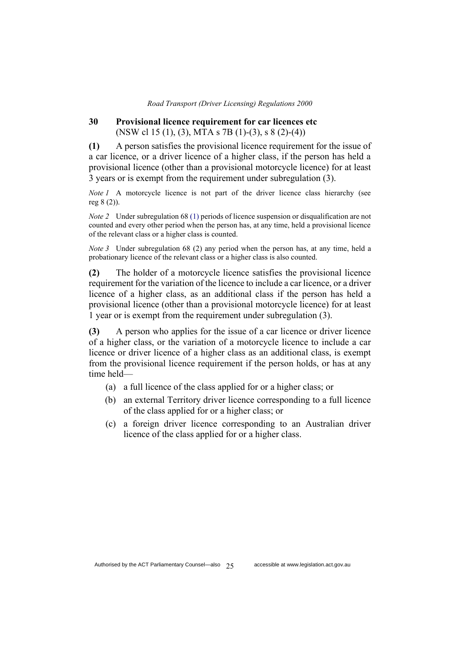#### **30 Provisional licence requirement for car licences etc** (NSW cl 15 (1), (3), MTA s 7B (1)-(3), s 8 (2)-(4))

**(1)** A person satisfies the provisional licence requirement for the issue of a car licence, or a driver licence of a higher class, if the person has held a provisional licence (other than a provisional motorcycle licence) for at least 3 years or is exempt from the requirement under subregulation (3).

*Note 1* A motorcycle licence is not part of the driver licence class hierarchy (see reg 8 (2)).

*Note 2* Under subregulation 68 (1) periods of licence suspension or disqualification are not counted and every other period when the person has, at any time, held a provisional licence of the relevant class or a higher class is counted.

*Note 3* Under subregulation 68 (2) any period when the person has, at any time, held a probationary licence of the relevant class or a higher class is also counted.

**(2)** The holder of a motorcycle licence satisfies the provisional licence requirement for the variation of the licence to include a car licence, or a driver licence of a higher class, as an additional class if the person has held a provisional licence (other than a provisional motorcycle licence) for at least 1 year or is exempt from the requirement under subregulation (3).

**(3)** A person who applies for the issue of a car licence or driver licence of a higher class, or the variation of a motorcycle licence to include a car licence or driver licence of a higher class as an additional class, is exempt from the provisional licence requirement if the person holds, or has at any time held—

- (a) a full licence of the class applied for or a higher class; or
- (b) an external Territory driver licence corresponding to a full licence of the class applied for or a higher class; or
- (c) a foreign driver licence corresponding to an Australian driver licence of the class applied for or a higher class.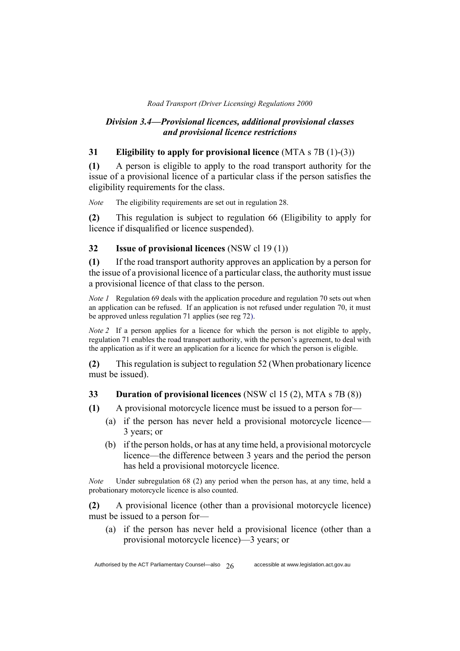### *Division 3.4—Provisional licences, additional provisional classes and provisional licence restrictions*

### **31 Eligibility to apply for provisional licence** (MTA s 7B (1)-(3))

**(1)** A person is eligible to apply to the road transport authority for the issue of a provisional licence of a particular class if the person satisfies the eligibility requirements for the class.

*Note* The eligibility requirements are set out in regulation 28.

**(2)** This regulation is subject to regulation 66 (Eligibility to apply for licence if disqualified or licence suspended).

### **32 Issue of provisional licences** (NSW cl 19 (1))

**(1)** If the road transport authority approves an application by a person for the issue of a provisional licence of a particular class, the authority must issue a provisional licence of that class to the person.

*Note 1* Regulation 69 deals with the application procedure and regulation 70 sets out when an application can be refused. If an application is not refused under regulation 70, it must be approved unless regulation 71 applies (see reg 72).

*Note 2* If a person applies for a licence for which the person is not eligible to apply, regulation 71 enables the road transport authority, with the person's agreement, to deal with the application as if it were an application for a licence for which the person is eligible.

**(2)** This regulation is subject to regulation 52 (When probationary licence must be issued).

#### **33 Duration of provisional licences** (NSW cl 15 (2), MTA s 7B (8))

**(1)** A provisional motorcycle licence must be issued to a person for—

- (a) if the person has never held a provisional motorcycle licence— 3 years; or
- (b) if the person holds, or has at any time held, a provisional motorcycle licence—the difference between 3 years and the period the person has held a provisional motorcycle licence.

*Note* Under subregulation 68 (2) any period when the person has, at any time, held a probationary motorcycle licence is also counted.

**(2)** A provisional licence (other than a provisional motorcycle licence) must be issued to a person for—

(a) if the person has never held a provisional licence (other than a provisional motorcycle licence)—3 years; or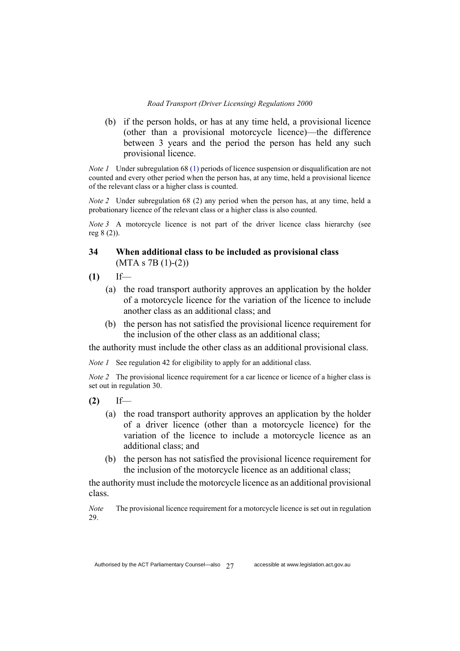(b) if the person holds, or has at any time held, a provisional licence (other than a provisional motorcycle licence)—the difference between 3 years and the period the person has held any such provisional licence.

*Note 1* Under subregulation 68 (1) periods of licence suspension or disqualification are not counted and every other period when the person has, at any time, held a provisional licence of the relevant class or a higher class is counted.

*Note 2* Under subregulation 68 (2) any period when the person has, at any time, held a probationary licence of the relevant class or a higher class is also counted.

*Note 3* A motorcycle licence is not part of the driver licence class hierarchy (see reg 8 (2)).

## **34 When additional class to be included as provisional class**  (MTA s 7B (1)-(2))

- **(1)** If—
	- (a) the road transport authority approves an application by the holder of a motorcycle licence for the variation of the licence to include another class as an additional class; and
	- (b) the person has not satisfied the provisional licence requirement for the inclusion of the other class as an additional class;

the authority must include the other class as an additional provisional class.

*Note 1* See regulation 42 for eligibility to apply for an additional class.

*Note 2* The provisional licence requirement for a car licence or licence of a higher class is set out in regulation 30.

- **(2)** If—
	- (a) the road transport authority approves an application by the holder of a driver licence (other than a motorcycle licence) for the variation of the licence to include a motorcycle licence as an additional class; and
	- (b) the person has not satisfied the provisional licence requirement for the inclusion of the motorcycle licence as an additional class;

the authority must include the motorcycle licence as an additional provisional class.

*Note* The provisional licence requirement for a motorcycle licence is set out in regulation 29.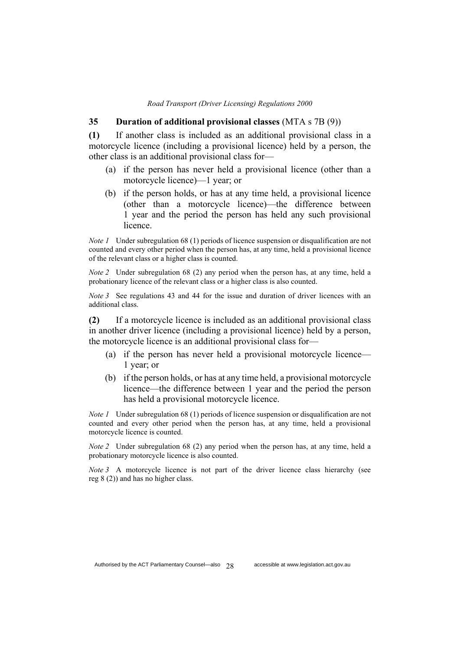#### **35 Duration of additional provisional classes** (MTA s 7B (9))

**(1)** If another class is included as an additional provisional class in a motorcycle licence (including a provisional licence) held by a person, the other class is an additional provisional class for—

- (a) if the person has never held a provisional licence (other than a motorcycle licence)—1 year; or
- (b) if the person holds, or has at any time held, a provisional licence (other than a motorcycle licence)—the difference between 1 year and the period the person has held any such provisional licence.

*Note 1* Under subregulation 68 (1) periods of licence suspension or disqualification are not counted and every other period when the person has, at any time, held a provisional licence of the relevant class or a higher class is counted.

*Note 2* Under subregulation 68 (2) any period when the person has, at any time, held a probationary licence of the relevant class or a higher class is also counted.

*Note 3* See regulations 43 and 44 for the issue and duration of driver licences with an additional class.

**(2)** If a motorcycle licence is included as an additional provisional class in another driver licence (including a provisional licence) held by a person, the motorcycle licence is an additional provisional class for—

- (a) if the person has never held a provisional motorcycle licence— 1 year; or
- (b) if the person holds, or has at any time held, a provisional motorcycle licence—the difference between 1 year and the period the person has held a provisional motorcycle licence.

*Note 1* Under subregulation 68 (1) periods of licence suspension or disqualification are not counted and every other period when the person has, at any time, held a provisional motorcycle licence is counted.

*Note 2* Under subregulation 68 (2) any period when the person has, at any time, held a probationary motorcycle licence is also counted.

*Note 3* A motorcycle licence is not part of the driver licence class hierarchy (see reg 8 (2)) and has no higher class.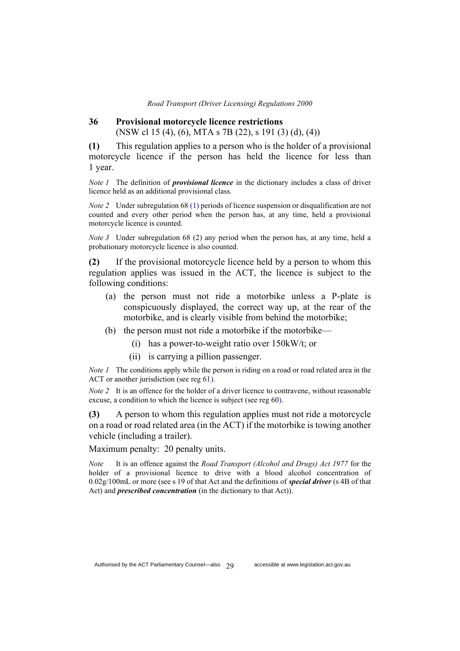### **36 Provisional motorcycle licence restrictions**  (NSW cl 15 (4), (6), MTA s 7B (22), s 191 (3) (d), (4))

**(1)** This regulation applies to a person who is the holder of a provisional motorcycle licence if the person has held the licence for less than 1 year.

*Note 1* The definition of *provisional licence* in the dictionary includes a class of driver licence held as an additional provisional class.

*Note 2* Under subregulation 68 (1) periods of licence suspension or disqualification are not counted and every other period when the person has, at any time, held a provisional motorcycle licence is counted.

*Note 3* Under subregulation 68 (2) any period when the person has, at any time, held a probationary motorcycle licence is also counted.

**(2)** If the provisional motorcycle licence held by a person to whom this regulation applies was issued in the ACT, the licence is subject to the following conditions:

- (a) the person must not ride a motorbike unless a P-plate is conspicuously displayed, the correct way up, at the rear of the motorbike, and is clearly visible from behind the motorbike;
- (b) the person must not ride a motorbike if the motorbike—
	- (i) has a power-to-weight ratio over 150kW/t; or
	- (ii) is carrying a pillion passenger.

*Note 1* The conditions apply while the person is riding on a road or road related area in the ACT or another jurisdiction (see reg 61).

*Note 2* It is an offence for the holder of a driver licence to contravene, without reasonable excuse, a condition to which the licence is subject (see reg 60).

**(3)** A person to whom this regulation applies must not ride a motorcycle on a road or road related area (in the ACT) if the motorbike is towing another vehicle (including a trailer).

Maximum penalty: 20 penalty units.

*Note* It is an offence against the *Road Transport (Alcohol and Drugs) Act 1977* for the holder of a provisional licence to drive with a blood alcohol concentration of 0.02g/100mL or more (see s 19 of that Act and the definitions of *special driver* (s 4B of that Act) and *prescribed concentration* (in the dictionary to that Act)).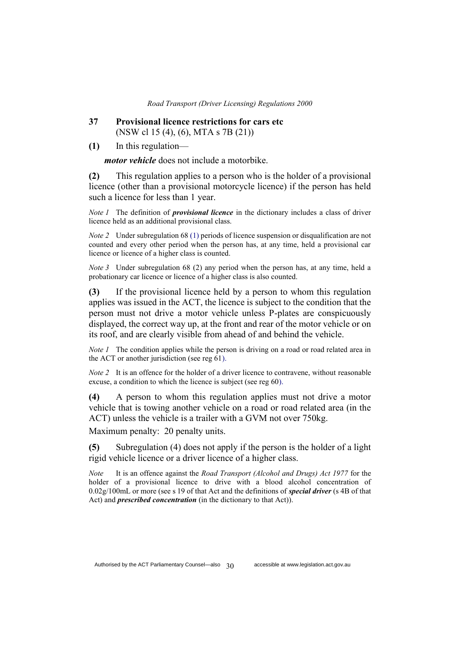- **37 Provisional licence restrictions for cars etc** (NSW cl 15 (4), (6), MTA s 7B (21))
- **(1)** In this regulation—

*motor vehicle* does not include a motorbike.

**(2)** This regulation applies to a person who is the holder of a provisional licence (other than a provisional motorcycle licence) if the person has held such a licence for less than 1 year.

*Note 1* The definition of *provisional licence* in the dictionary includes a class of driver licence held as an additional provisional class.

*Note 2* Under subregulation 68 (1) periods of licence suspension or disqualification are not counted and every other period when the person has, at any time, held a provisional car licence or licence of a higher class is counted.

*Note 3* Under subregulation 68 (2) any period when the person has, at any time, held a probationary car licence or licence of a higher class is also counted.

**(3)** If the provisional licence held by a person to whom this regulation applies was issued in the ACT, the licence is subject to the condition that the person must not drive a motor vehicle unless P-plates are conspicuously displayed, the correct way up, at the front and rear of the motor vehicle or on its roof, and are clearly visible from ahead of and behind the vehicle.

*Note 1* The condition applies while the person is driving on a road or road related area in the ACT or another jurisdiction (see reg 61).

*Note 2* It is an offence for the holder of a driver licence to contravene, without reasonable excuse, a condition to which the licence is subject (see reg 60).

**(4)** A person to whom this regulation applies must not drive a motor vehicle that is towing another vehicle on a road or road related area (in the ACT) unless the vehicle is a trailer with a GVM not over 750kg.

Maximum penalty: 20 penalty units.

**(5)** Subregulation (4) does not apply if the person is the holder of a light rigid vehicle licence or a driver licence of a higher class.

*Note* It is an offence against the *Road Transport (Alcohol and Drugs) Act 1977* for the holder of a provisional licence to drive with a blood alcohol concentration of 0.02g/100mL or more (see s 19 of that Act and the definitions of *special driver* (s 4B of that Act) and *prescribed concentration* (in the dictionary to that Act)).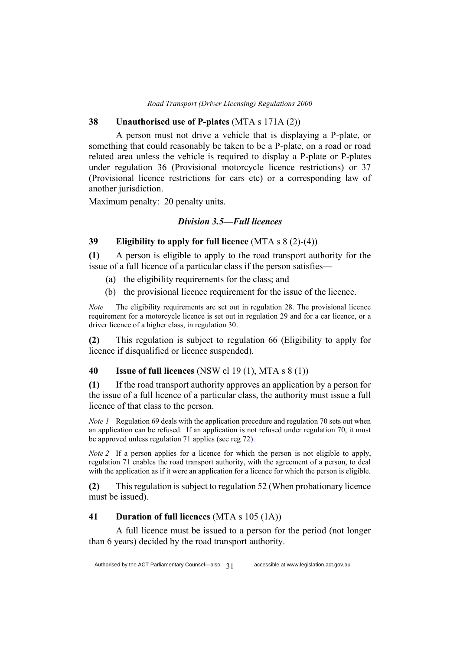### **38 Unauthorised use of P-plates** (MTA s 171A (2))

A person must not drive a vehicle that is displaying a P-plate, or something that could reasonably be taken to be a P-plate, on a road or road related area unless the vehicle is required to display a P-plate or P-plates under regulation 36 (Provisional motorcycle licence restrictions) or 37 (Provisional licence restrictions for cars etc) or a corresponding law of another jurisdiction.

Maximum penalty: 20 penalty units.

### *Division 3.5—Full licences*

## **39 Eligibility to apply for full licence** (MTA s 8 (2)-(4))

**(1)** A person is eligible to apply to the road transport authority for the issue of a full licence of a particular class if the person satisfies—

- (a) the eligibility requirements for the class; and
- (b) the provisional licence requirement for the issue of the licence.

*Note* The eligibility requirements are set out in regulation 28. The provisional licence requirement for a motorcycle licence is set out in regulation 29 and for a car licence, or a driver licence of a higher class, in regulation 30.

**(2)** This regulation is subject to regulation 66 (Eligibility to apply for licence if disqualified or licence suspended).

### **40 Issue of full licences** (NSW cl 19 (1), MTA s 8 (1))

**(1)** If the road transport authority approves an application by a person for the issue of a full licence of a particular class, the authority must issue a full licence of that class to the person.

*Note 1* Regulation 69 deals with the application procedure and regulation 70 sets out when an application can be refused. If an application is not refused under regulation 70, it must be approved unless regulation 71 applies (see reg 72).

*Note 2* If a person applies for a licence for which the person is not eligible to apply, regulation 71 enables the road transport authority, with the agreement of a person, to deal with the application as if it were an application for a licence for which the person is eligible.

**(2)** This regulation is subject to regulation 52 (When probationary licence must be issued).

### **41 Duration of full licences** (MTA s 105 (1A))

A full licence must be issued to a person for the period (not longer than 6 years) decided by the road transport authority.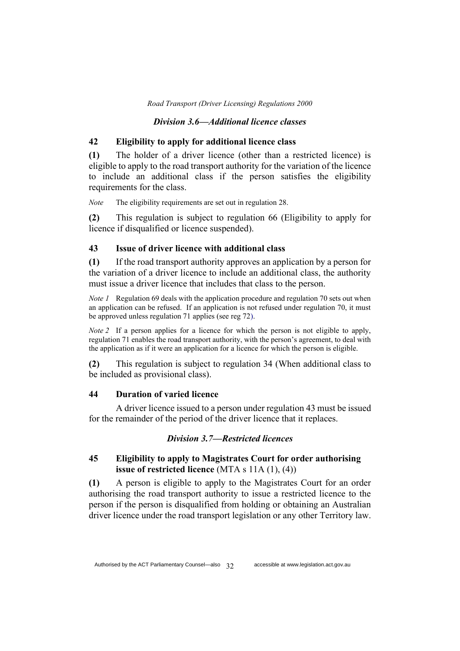### *Division 3.6—Additional licence classes*

### **42 Eligibility to apply for additional licence class**

**(1)** The holder of a driver licence (other than a restricted licence) is eligible to apply to the road transport authority for the variation of the licence to include an additional class if the person satisfies the eligibility requirements for the class.

*Note* The eligibility requirements are set out in regulation 28.

**(2)** This regulation is subject to regulation 66 (Eligibility to apply for licence if disqualified or licence suspended).

### **43 Issue of driver licence with additional class**

**(1)** If the road transport authority approves an application by a person for the variation of a driver licence to include an additional class, the authority must issue a driver licence that includes that class to the person.

*Note 1* Regulation 69 deals with the application procedure and regulation 70 sets out when an application can be refused. If an application is not refused under regulation 70, it must be approved unless regulation 71 applies (see reg 72).

*Note 2* If a person applies for a licence for which the person is not eligible to apply, regulation 71 enables the road transport authority, with the person's agreement, to deal with the application as if it were an application for a licence for which the person is eligible.

**(2)** This regulation is subject to regulation 34 (When additional class to be included as provisional class).

## **44 Duration of varied licence**

A driver licence issued to a person under regulation 43 must be issued for the remainder of the period of the driver licence that it replaces.

#### *Division 3.7—Restricted licences*

## **45 Eligibility to apply to Magistrates Court for order authorising issue of restricted licence** (MTA s 11A (1), (4))

**(1)** A person is eligible to apply to the Magistrates Court for an order authorising the road transport authority to issue a restricted licence to the person if the person is disqualified from holding or obtaining an Australian driver licence under the road transport legislation or any other Territory law.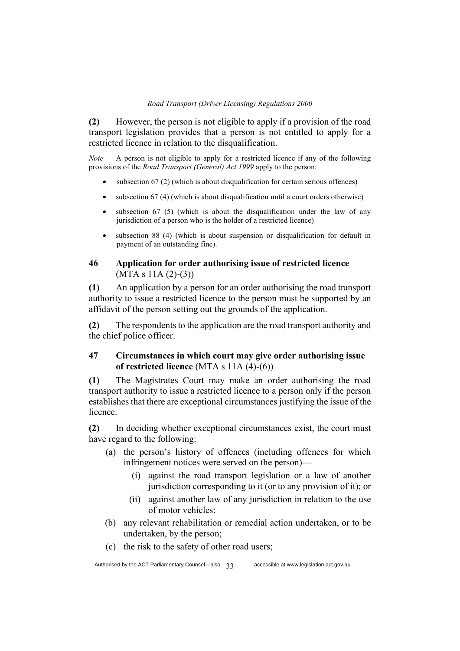**(2)** However, the person is not eligible to apply if a provision of the road transport legislation provides that a person is not entitled to apply for a restricted licence in relation to the disqualification.

*Note* A person is not eligible to apply for a restricted licence if any of the following provisions of the *Road Transport (General) Act 1999* apply to the person:

- subsection  $67$  (2) (which is about disqualification for certain serious offences)
- subsection 67 (4) (which is about disqualification until a court orders otherwise)
- subsection  $67$  (5) (which is about the disqualification under the law of any jurisdiction of a person who is the holder of a restricted licence)
- subsection 88 (4) (which is about suspension or disqualification for default in payment of an outstanding fine).

# **46 Application for order authorising issue of restricted licence**   $(MTA s 11A (2)-(3))$

**(1)** An application by a person for an order authorising the road transport authority to issue a restricted licence to the person must be supported by an affidavit of the person setting out the grounds of the application.

**(2)** The respondents to the application are the road transport authority and the chief police officer.

# **47 Circumstances in which court may give order authorising issue of restricted licence** (MTA s 11A (4)-(6))

**(1)** The Magistrates Court may make an order authorising the road transport authority to issue a restricted licence to a person only if the person establishes that there are exceptional circumstances justifying the issue of the licence.

**(2)** In deciding whether exceptional circumstances exist, the court must have regard to the following:

- (a) the person's history of offences (including offences for which infringement notices were served on the person)—
	- (i) against the road transport legislation or a law of another jurisdiction corresponding to it (or to any provision of it); or
	- (ii) against another law of any jurisdiction in relation to the use of motor vehicles;
- (b) any relevant rehabilitation or remedial action undertaken, or to be undertaken, by the person;
- (c) the risk to the safety of other road users;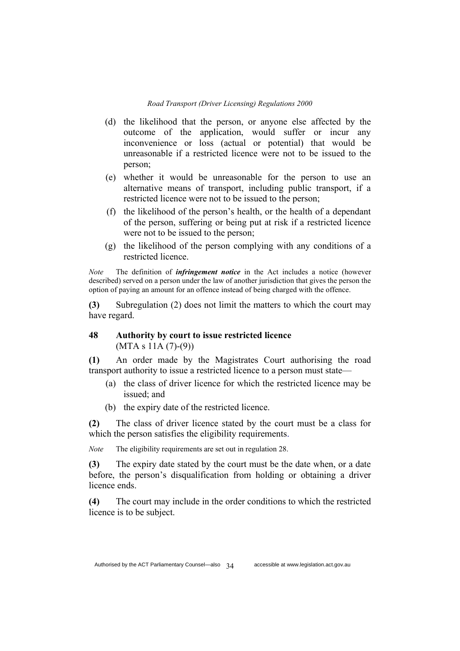- (d) the likelihood that the person, or anyone else affected by the outcome of the application, would suffer or incur any inconvenience or loss (actual or potential) that would be unreasonable if a restricted licence were not to be issued to the person;
- (e) whether it would be unreasonable for the person to use an alternative means of transport, including public transport, if a restricted licence were not to be issued to the person;
- (f) the likelihood of the person's health, or the health of a dependant of the person, suffering or being put at risk if a restricted licence were not to be issued to the person;
- (g) the likelihood of the person complying with any conditions of a restricted licence.

*Note* The definition of *infringement notice* in the Act includes a notice (however described) served on a person under the law of another jurisdiction that gives the person the option of paying an amount for an offence instead of being charged with the offence.

**(3)** Subregulation (2) does not limit the matters to which the court may have regard.

# **48 Authority by court to issue restricted licence**   $(MTA s 11A (7)-(9))$

**(1)** An order made by the Magistrates Court authorising the road transport authority to issue a restricted licence to a person must state—

- (a) the class of driver licence for which the restricted licence may be issued; and
- (b) the expiry date of the restricted licence.

**(2)** The class of driver licence stated by the court must be a class for which the person satisfies the eligibility requirements.

*Note* The eligibility requirements are set out in regulation 28.

**(3)** The expiry date stated by the court must be the date when, or a date before, the person's disqualification from holding or obtaining a driver licence ends.

**(4)** The court may include in the order conditions to which the restricted licence is to be subject.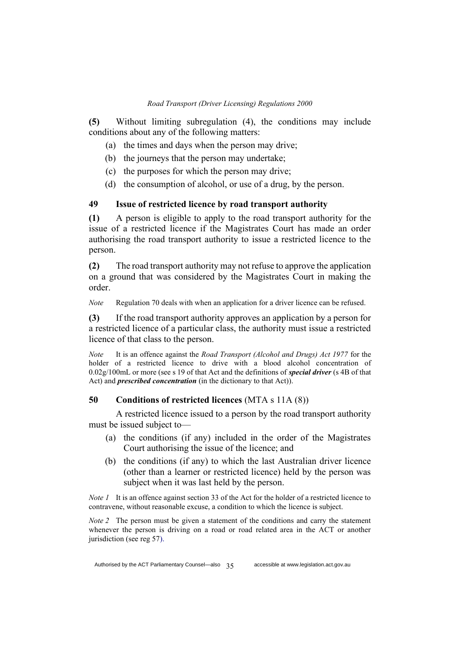**(5)** Without limiting subregulation (4), the conditions may include conditions about any of the following matters:

- (a) the times and days when the person may drive;
- (b) the journeys that the person may undertake;
- (c) the purposes for which the person may drive;
- (d) the consumption of alcohol, or use of a drug, by the person.

### **49 Issue of restricted licence by road transport authority**

**(1)** A person is eligible to apply to the road transport authority for the issue of a restricted licence if the Magistrates Court has made an order authorising the road transport authority to issue a restricted licence to the person.

**(2)** The road transport authority may not refuse to approve the application on a ground that was considered by the Magistrates Court in making the order.

*Note* Regulation 70 deals with when an application for a driver licence can be refused.

**(3)** If the road transport authority approves an application by a person for a restricted licence of a particular class, the authority must issue a restricted licence of that class to the person.

*Note* It is an offence against the *Road Transport (Alcohol and Drugs) Act 1977* for the holder of a restricted licence to drive with a blood alcohol concentration of 0.02g/100mL or more (see s 19 of that Act and the definitions of *special driver* (s 4B of that Act) and *prescribed concentration* (in the dictionary to that Act)).

### **50 Conditions of restricted licences** (MTA s 11A (8))

A restricted licence issued to a person by the road transport authority must be issued subject to—

- (a) the conditions (if any) included in the order of the Magistrates Court authorising the issue of the licence; and
- (b) the conditions (if any) to which the last Australian driver licence (other than a learner or restricted licence) held by the person was subject when it was last held by the person.

*Note 1* It is an offence against section 33 of the Act for the holder of a restricted licence to contravene, without reasonable excuse, a condition to which the licence is subject.

*Note 2* The person must be given a statement of the conditions and carry the statement whenever the person is driving on a road or road related area in the ACT or another jurisdiction (see reg 57).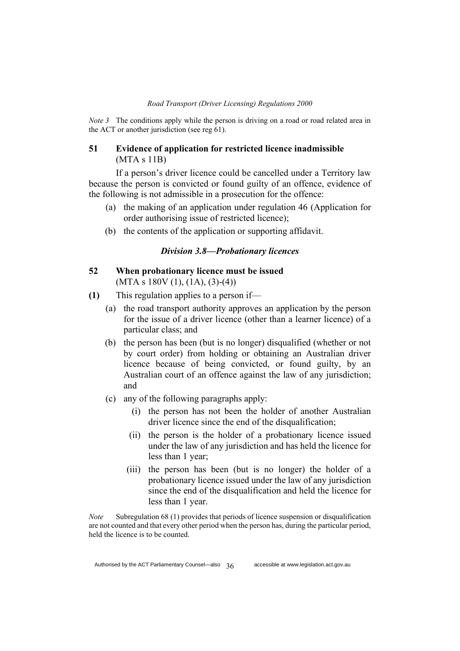*Note 3* The conditions apply while the person is driving on a road or road related area in the ACT or another jurisdiction (see reg 61).

### **51 Evidence of application for restricted licence inadmissible**  (MTA s 11B)

If a person's driver licence could be cancelled under a Territory law because the person is convicted or found guilty of an offence, evidence of the following is not admissible in a prosecution for the offence:

- (a) the making of an application under regulation 46 (Application for order authorising issue of restricted licence);
- (b) the contents of the application or supporting affidavit.

### *Division 3.8—Probationary licences*

### **52 When probationary licence must be issued**   $(MTA s 180V (1), (1A), (3)-(4))$

- **(1)** This regulation applies to a person if—
	- (a) the road transport authority approves an application by the person for the issue of a driver licence (other than a learner licence) of a particular class; and
	- (b) the person has been (but is no longer) disqualified (whether or not by court order) from holding or obtaining an Australian driver licence because of being convicted, or found guilty, by an Australian court of an offence against the law of any jurisdiction; and
	- (c) any of the following paragraphs apply:
		- (i) the person has not been the holder of another Australian driver licence since the end of the disqualification;
		- (ii) the person is the holder of a probationary licence issued under the law of any jurisdiction and has held the licence for less than 1 year;
		- (iii) the person has been (but is no longer) the holder of a probationary licence issued under the law of any jurisdiction since the end of the disqualification and held the licence for less than 1 year.

*Note* Subregulation 68 (1) provides that periods of licence suspension or disqualification are not counted and that every other period when the person has, during the particular period, held the licence is to be counted.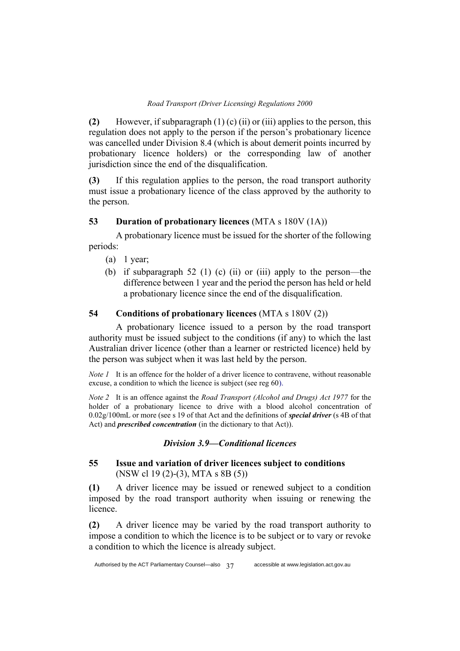**(2)** However, if subparagraph (1) (c) (ii) or (iii) applies to the person, this regulation does not apply to the person if the person's probationary licence was cancelled under Division 8.4 (which is about demerit points incurred by probationary licence holders) or the corresponding law of another jurisdiction since the end of the disqualification.

**(3)** If this regulation applies to the person, the road transport authority must issue a probationary licence of the class approved by the authority to the person.

# **53 Duration of probationary licences** (MTA s 180V (1A))

A probationary licence must be issued for the shorter of the following periods:

- (a) 1 year;
- (b) if subparagraph 52 (1) (c) (ii) or (iii) apply to the person—the difference between 1 year and the period the person has held or held a probationary licence since the end of the disqualification.

# **54 Conditions of probationary licences** (MTA s 180V (2))

A probationary licence issued to a person by the road transport authority must be issued subject to the conditions (if any) to which the last Australian driver licence (other than a learner or restricted licence) held by the person was subject when it was last held by the person.

*Note 1* It is an offence for the holder of a driver licence to contravene, without reasonable excuse, a condition to which the licence is subject (see reg 60).

*Note 2* It is an offence against the *Road Transport (Alcohol and Drugs) Act 1977* for the holder of a probationary licence to drive with a blood alcohol concentration of 0.02g/100mL or more (see s 19 of that Act and the definitions of *special driver* (s 4B of that Act) and *prescribed concentration* (in the dictionary to that Act)).

# *Division 3.9—Conditional licences*

# **55 Issue and variation of driver licences subject to conditions**  (NSW cl 19 (2)-(3), MTA s 8B (5))

**(1)** A driver licence may be issued or renewed subject to a condition imposed by the road transport authority when issuing or renewing the licence.

**(2)** A driver licence may be varied by the road transport authority to impose a condition to which the licence is to be subject or to vary or revoke a condition to which the licence is already subject.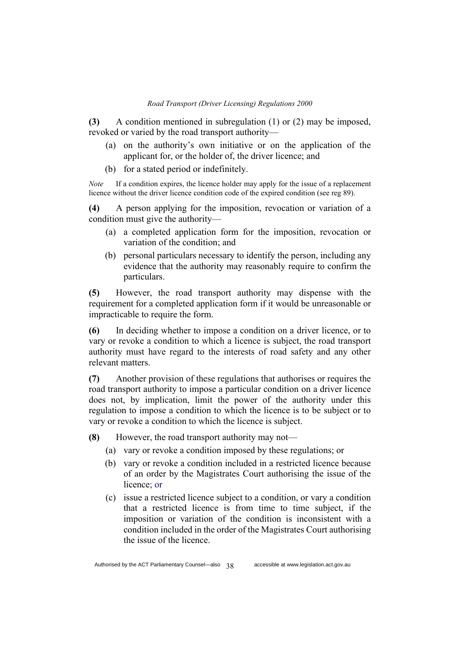**(3)** A condition mentioned in subregulation (1) or (2) may be imposed, revoked or varied by the road transport authority—

- (a) on the authority's own initiative or on the application of the applicant for, or the holder of, the driver licence; and
- (b) for a stated period or indefinitely.

*Note* If a condition expires, the licence holder may apply for the issue of a replacement licence without the driver licence condition code of the expired condition (see reg 89).

**(4)** A person applying for the imposition, revocation or variation of a condition must give the authority—

- (a) a completed application form for the imposition, revocation or variation of the condition; and
- (b) personal particulars necessary to identify the person, including any evidence that the authority may reasonably require to confirm the particulars.

**(5)** However, the road transport authority may dispense with the requirement for a completed application form if it would be unreasonable or impracticable to require the form.

**(6)** In deciding whether to impose a condition on a driver licence, or to vary or revoke a condition to which a licence is subject, the road transport authority must have regard to the interests of road safety and any other relevant matters.

**(7)** Another provision of these regulations that authorises or requires the road transport authority to impose a particular condition on a driver licence does not, by implication, limit the power of the authority under this regulation to impose a condition to which the licence is to be subject or to vary or revoke a condition to which the licence is subject.

**(8)** However, the road transport authority may not—

- (a) vary or revoke a condition imposed by these regulations; or
- (b) vary or revoke a condition included in a restricted licence because of an order by the Magistrates Court authorising the issue of the licence; or
- (c) issue a restricted licence subject to a condition, or vary a condition that a restricted licence is from time to time subject, if the imposition or variation of the condition is inconsistent with a condition included in the order of the Magistrates Court authorising the issue of the licence.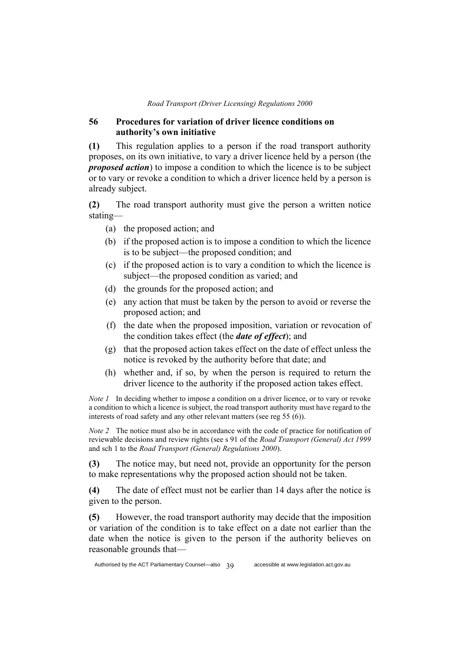### **56 Procedures for variation of driver licence conditions on authority's own initiative**

**(1)** This regulation applies to a person if the road transport authority proposes, on its own initiative, to vary a driver licence held by a person (the *proposed action*) to impose a condition to which the licence is to be subject or to vary or revoke a condition to which a driver licence held by a person is already subject.

**(2)** The road transport authority must give the person a written notice stating—

- (a) the proposed action; and
- (b) if the proposed action is to impose a condition to which the licence is to be subject—the proposed condition; and
- (c) if the proposed action is to vary a condition to which the licence is subject—the proposed condition as varied; and
- (d) the grounds for the proposed action; and
- (e) any action that must be taken by the person to avoid or reverse the proposed action; and
- (f) the date when the proposed imposition, variation or revocation of the condition takes effect (the *date of effect*); and
- (g) that the proposed action takes effect on the date of effect unless the notice is revoked by the authority before that date; and
- (h) whether and, if so, by when the person is required to return the driver licence to the authority if the proposed action takes effect.

*Note 1* In deciding whether to impose a condition on a driver licence, or to vary or revoke a condition to which a licence is subject, the road transport authority must have regard to the interests of road safety and any other relevant matters (see reg 55 (6)).

*Note 2* The notice must also be in accordance with the code of practice for notification of reviewable decisions and review rights (see s 91 of the *Road Transport (General) Act 1999* and sch 1 to the *Road Transport (General) Regulations 2000*).

**(3)** The notice may, but need not, provide an opportunity for the person to make representations why the proposed action should not be taken.

**(4)** The date of effect must not be earlier than 14 days after the notice is given to the person.

**(5)** However, the road transport authority may decide that the imposition or variation of the condition is to take effect on a date not earlier than the date when the notice is given to the person if the authority believes on reasonable grounds that—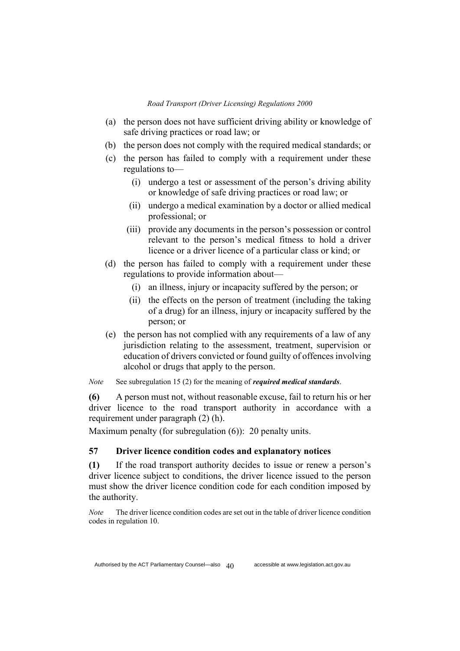- (a) the person does not have sufficient driving ability or knowledge of safe driving practices or road law; or
- (b) the person does not comply with the required medical standards; or
- (c) the person has failed to comply with a requirement under these regulations to—
	- (i) undergo a test or assessment of the person's driving ability or knowledge of safe driving practices or road law; or
	- (ii) undergo a medical examination by a doctor or allied medical professional; or
	- (iii) provide any documents in the person's possession or control relevant to the person's medical fitness to hold a driver licence or a driver licence of a particular class or kind; or
- (d) the person has failed to comply with a requirement under these regulations to provide information about—
	- (i) an illness, injury or incapacity suffered by the person; or
	- (ii) the effects on the person of treatment (including the taking of a drug) for an illness, injury or incapacity suffered by the person; or
- (e) the person has not complied with any requirements of a law of any jurisdiction relating to the assessment, treatment, supervision or education of drivers convicted or found guilty of offences involving alcohol or drugs that apply to the person.

*Note* See subregulation 15 (2) for the meaning of *required medical standards*.

**(6)** A person must not, without reasonable excuse, fail to return his or her driver licence to the road transport authority in accordance with a requirement under paragraph (2) (h).

Maximum penalty (for subregulation (6)): 20 penalty units.

## **57 Driver licence condition codes and explanatory notices**

**(1)** If the road transport authority decides to issue or renew a person's driver licence subject to conditions, the driver licence issued to the person must show the driver licence condition code for each condition imposed by the authority.

*Note* The driver licence condition codes are set out in the table of driver licence condition codes in regulation 10.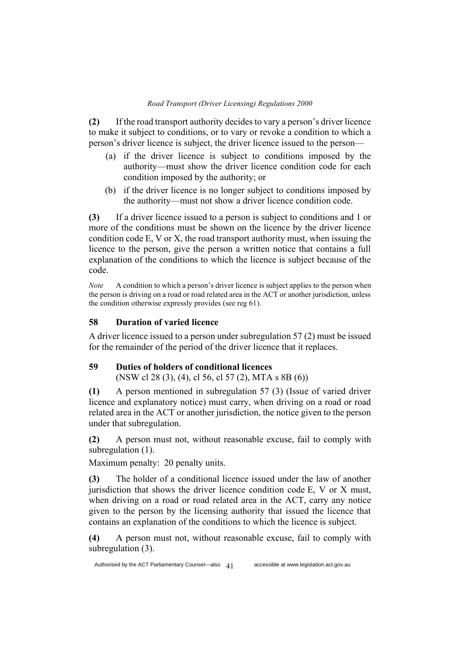**(2)** If the road transport authority decides to vary a person's driver licence to make it subject to conditions, or to vary or revoke a condition to which a person's driver licence is subject, the driver licence issued to the person—

- (a) if the driver licence is subject to conditions imposed by the authority—must show the driver licence condition code for each condition imposed by the authority; or
- (b) if the driver licence is no longer subject to conditions imposed by the authority—must not show a driver licence condition code.

**(3)** If a driver licence issued to a person is subject to conditions and 1 or more of the conditions must be shown on the licence by the driver licence condition code E, V or X, the road transport authority must, when issuing the licence to the person, give the person a written notice that contains a full explanation of the conditions to which the licence is subject because of the code.

*Note* A condition to which a person's driver licence is subject applies to the person when the person is driving on a road or road related area in the ACT or another jurisdiction, unless the condition otherwise expressly provides (see reg 61).

## **58 Duration of varied licence**

A driver licence issued to a person under subregulation 57 (2) must be issued for the remainder of the period of the driver licence that it replaces.

### **59 Duties of holders of conditional licences**

(NSW cl 28 (3), (4), cl 56, cl 57 (2), MTA s 8B (6))

**(1)** A person mentioned in subregulation 57 (3) (Issue of varied driver licence and explanatory notice) must carry, when driving on a road or road related area in the ACT or another jurisdiction, the notice given to the person under that subregulation.

**(2)** A person must not, without reasonable excuse, fail to comply with subregulation (1).

Maximum penalty: 20 penalty units.

**(3)** The holder of a conditional licence issued under the law of another jurisdiction that shows the driver licence condition code E, V or X must, when driving on a road or road related area in the ACT, carry any notice given to the person by the licensing authority that issued the licence that contains an explanation of the conditions to which the licence is subject.

**(4)** A person must not, without reasonable excuse, fail to comply with subregulation (3).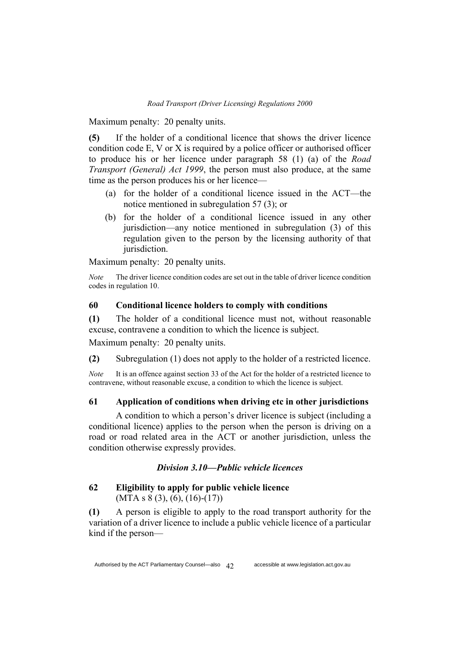Maximum penalty: 20 penalty units.

**(5)** If the holder of a conditional licence that shows the driver licence condition code E, V or X is required by a police officer or authorised officer to produce his or her licence under paragraph 58 (1) (a) of the *Road Transport (General) Act 1999*, the person must also produce, at the same time as the person produces his or her licence—

- (a) for the holder of a conditional licence issued in the ACT—the notice mentioned in subregulation 57 (3); or
- (b) for the holder of a conditional licence issued in any other jurisdiction—any notice mentioned in subregulation (3) of this regulation given to the person by the licensing authority of that jurisdiction.

Maximum penalty: 20 penalty units.

*Note* The driver licence condition codes are set out in the table of driver licence condition codes in regulation 10.

## **60 Conditional licence holders to comply with conditions**

**(1)** The holder of a conditional licence must not, without reasonable excuse, contravene a condition to which the licence is subject.

Maximum penalty: 20 penalty units.

**(2)** Subregulation (1) does not apply to the holder of a restricted licence.

*Note* It is an offence against section 33 of the Act for the holder of a restricted licence to contravene, without reasonable excuse, a condition to which the licence is subject.

## **61 Application of conditions when driving etc in other jurisdictions**

A condition to which a person's driver licence is subject (including a conditional licence) applies to the person when the person is driving on a road or road related area in the ACT or another jurisdiction, unless the condition otherwise expressly provides.

#### *Division 3.10—Public vehicle licences*

## **62 Eligibility to apply for public vehicle licence**   $(MTA s 8 (3), (6), (16)-(17))$

**(1)** A person is eligible to apply to the road transport authority for the variation of a driver licence to include a public vehicle licence of a particular kind if the person—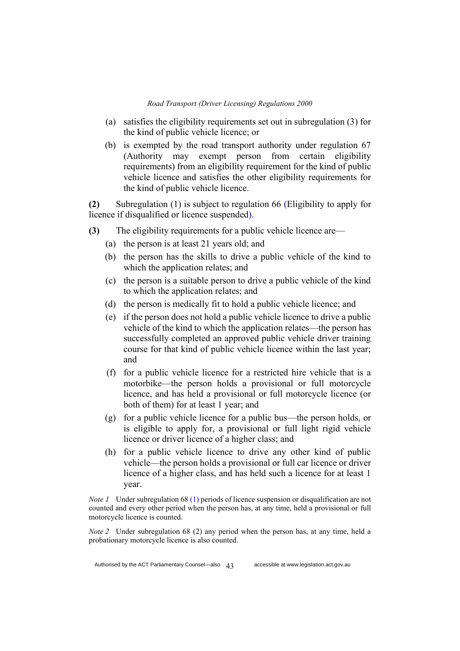- (a) satisfies the eligibility requirements set out in subregulation (3) for the kind of public vehicle licence; or
- (b) is exempted by the road transport authority under regulation 67 (Authority may exempt person from certain eligibility requirements) from an eligibility requirement for the kind of public vehicle licence and satisfies the other eligibility requirements for the kind of public vehicle licence.

**(2)** Subregulation (1) is subject to regulation 66 (Eligibility to apply for licence if disqualified or licence suspended).

- **(3)** The eligibility requirements for a public vehicle licence are—
	- (a) the person is at least 21 years old; and
	- (b) the person has the skills to drive a public vehicle of the kind to which the application relates; and
	- (c) the person is a suitable person to drive a public vehicle of the kind to which the application relates; and
	- (d) the person is medically fit to hold a public vehicle licence; and
	- (e) if the person does not hold a public vehicle licence to drive a public vehicle of the kind to which the application relates—the person has successfully completed an approved public vehicle driver training course for that kind of public vehicle licence within the last year; and
	- (f) for a public vehicle licence for a restricted hire vehicle that is a motorbike—the person holds a provisional or full motorcycle licence, and has held a provisional or full motorcycle licence (or both of them) for at least 1 year; and
	- (g) for a public vehicle licence for a public bus—the person holds, or is eligible to apply for, a provisional or full light rigid vehicle licence or driver licence of a higher class; and
	- (h) for a public vehicle licence to drive any other kind of public vehicle—the person holds a provisional or full car licence or driver licence of a higher class, and has held such a licence for at least 1 year.

*Note 1* Under subregulation 68 (1) periods of licence suspension or disqualification are not counted and every other period when the person has, at any time, held a provisional or full motorcycle licence is counted.

*Note 2* Under subregulation 68 (2) any period when the person has, at any time, held a probationary motorcycle licence is also counted.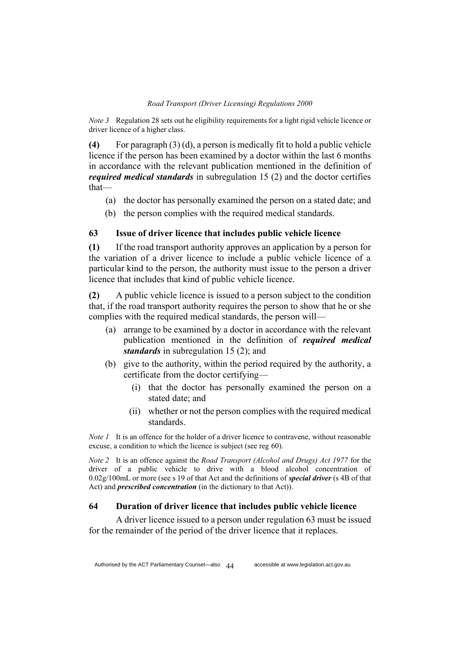*Note 3* Regulation 28 sets out he eligibility requirements for a light rigid vehicle licence or driver licence of a higher class.

**(4)** For paragraph (3) (d), a person is medically fit to hold a public vehicle licence if the person has been examined by a doctor within the last 6 months in accordance with the relevant publication mentioned in the definition of *required medical standards* in subregulation 15 (2) and the doctor certifies that—

- (a) the doctor has personally examined the person on a stated date; and
- (b) the person complies with the required medical standards.

## **63 Issue of driver licence that includes public vehicle licence**

**(1)** If the road transport authority approves an application by a person for the variation of a driver licence to include a public vehicle licence of a particular kind to the person, the authority must issue to the person a driver licence that includes that kind of public vehicle licence.

**(2)** A public vehicle licence is issued to a person subject to the condition that, if the road transport authority requires the person to show that he or she complies with the required medical standards, the person will—

- (a) arrange to be examined by a doctor in accordance with the relevant publication mentioned in the definition of *required medical standards* in subregulation 15 (2); and
- (b) give to the authority, within the period required by the authority, a certificate from the doctor certifying—
	- (i) that the doctor has personally examined the person on a stated date; and
	- (ii) whether or not the person complies with the required medical standards.

*Note 1* It is an offence for the holder of a driver licence to contravene, without reasonable excuse, a condition to which the licence is subject (see reg 60).

*Note 2* It is an offence against the *Road Transport (Alcohol and Drugs) Act 1977* for the driver of a public vehicle to drive with a blood alcohol concentration of 0.02g/100mL or more (see s 19 of that Act and the definitions of *special driver* (s 4B of that Act) and *prescribed concentration* (in the dictionary to that Act)).

### **64 Duration of driver licence that includes public vehicle licence**

A driver licence issued to a person under regulation 63 must be issued for the remainder of the period of the driver licence that it replaces.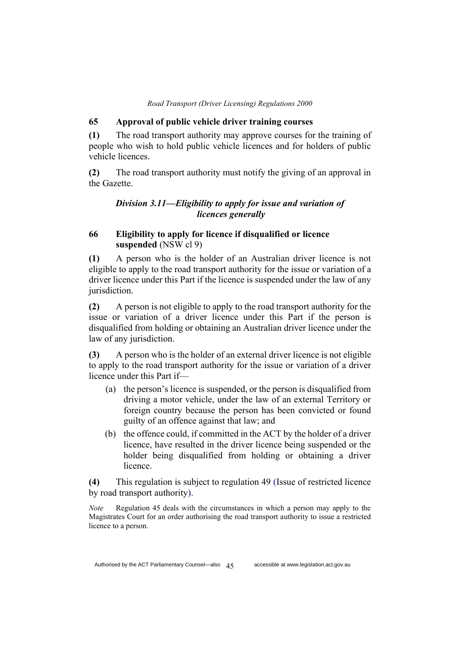### **65 Approval of public vehicle driver training courses**

**(1)** The road transport authority may approve courses for the training of people who wish to hold public vehicle licences and for holders of public vehicle licences.

**(2)** The road transport authority must notify the giving of an approval in the Gazette.

# *Division 3.11—Eligibility to apply for issue and variation of licences generally*

# **66 Eligibility to apply for licence if disqualified or licence suspended** (NSW cl 9)

**(1)** A person who is the holder of an Australian driver licence is not eligible to apply to the road transport authority for the issue or variation of a driver licence under this Part if the licence is suspended under the law of any jurisdiction.

**(2)** A person is not eligible to apply to the road transport authority for the issue or variation of a driver licence under this Part if the person is disqualified from holding or obtaining an Australian driver licence under the law of any jurisdiction.

**(3)** A person who is the holder of an external driver licence is not eligible to apply to the road transport authority for the issue or variation of a driver licence under this Part if—

- (a) the person's licence is suspended, or the person is disqualified from driving a motor vehicle, under the law of an external Territory or foreign country because the person has been convicted or found guilty of an offence against that law; and
- (b) the offence could, if committed in the ACT by the holder of a driver licence, have resulted in the driver licence being suspended or the holder being disqualified from holding or obtaining a driver licence.

**(4)** This regulation is subject to regulation 49 (Issue of restricted licence by road transport authority).

*Note* Regulation 45 deals with the circumstances in which a person may apply to the Magistrates Court for an order authorising the road transport authority to issue a restricted licence to a person.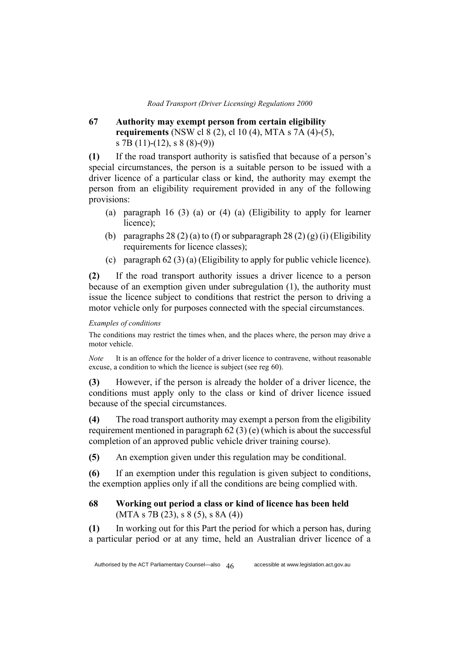# **67 Authority may exempt person from certain eligibility requirements** (NSW cl 8 (2), cl 10 (4), MTA s 7A (4)-(5), s 7B (11)-(12), s 8 (8)-(9))

**(1)** If the road transport authority is satisfied that because of a person's special circumstances, the person is a suitable person to be issued with a driver licence of a particular class or kind, the authority may exempt the person from an eligibility requirement provided in any of the following provisions:

- (a) paragraph 16 (3) (a) or (4) (a) (Eligibility to apply for learner licence);
- (b) paragraphs 28 (2) (a) to (f) or subparagraph 28 (2) (g) (i) (Eligibility requirements for licence classes);
- (c) paragraph 62 (3) (a) (Eligibility to apply for public vehicle licence).

**(2)** If the road transport authority issues a driver licence to a person because of an exemption given under subregulation (1), the authority must issue the licence subject to conditions that restrict the person to driving a motor vehicle only for purposes connected with the special circumstances.

#### *Examples of conditions*

The conditions may restrict the times when, and the places where, the person may drive a motor vehicle.

*Note* It is an offence for the holder of a driver licence to contravene, without reasonable excuse, a condition to which the licence is subject (see reg 60).

**(3)** However, if the person is already the holder of a driver licence, the conditions must apply only to the class or kind of driver licence issued because of the special circumstances.

**(4)** The road transport authority may exempt a person from the eligibility requirement mentioned in paragraph 62 (3) (e) (which is about the successful completion of an approved public vehicle driver training course).

**(5)** An exemption given under this regulation may be conditional.

**(6)** If an exemption under this regulation is given subject to conditions, the exemption applies only if all the conditions are being complied with.

## **68 Working out period a class or kind of licence has been held**  $(MTA s 7B (23), s 8 (5), s 8A (4))$

**(1)** In working out for this Part the period for which a person has, during a particular period or at any time, held an Australian driver licence of a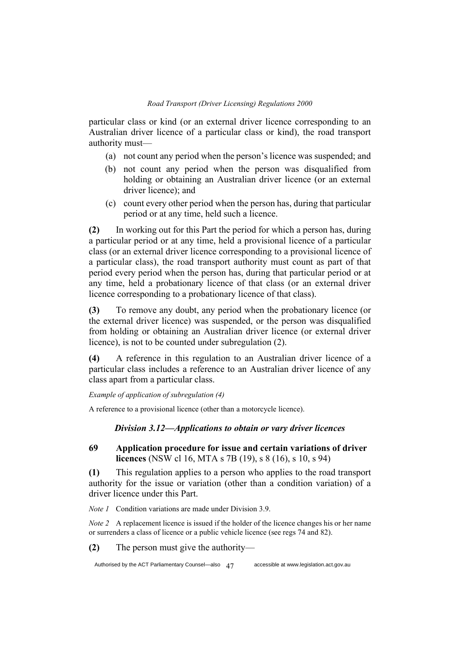particular class or kind (or an external driver licence corresponding to an Australian driver licence of a particular class or kind), the road transport authority must—

- (a) not count any period when the person's licence was suspended; and
- (b) not count any period when the person was disqualified from holding or obtaining an Australian driver licence (or an external driver licence); and
- (c) count every other period when the person has, during that particular period or at any time, held such a licence.

**(2)** In working out for this Part the period for which a person has, during a particular period or at any time, held a provisional licence of a particular class (or an external driver licence corresponding to a provisional licence of a particular class), the road transport authority must count as part of that period every period when the person has, during that particular period or at any time, held a probationary licence of that class (or an external driver licence corresponding to a probationary licence of that class).

**(3)** To remove any doubt, any period when the probationary licence (or the external driver licence) was suspended, or the person was disqualified from holding or obtaining an Australian driver licence (or external driver licence), is not to be counted under subregulation (2).

**(4)** A reference in this regulation to an Australian driver licence of a particular class includes a reference to an Australian driver licence of any class apart from a particular class.

*Example of application of subregulation (4)*

A reference to a provisional licence (other than a motorcycle licence).

## *Division 3.12—Applications to obtain or vary driver licences*

## **69 Application procedure for issue and certain variations of driver licences** (NSW cl 16, MTA s 7B (19), s 8 (16), s 10, s 94)

**(1)** This regulation applies to a person who applies to the road transport authority for the issue or variation (other than a condition variation) of a driver licence under this Part.

*Note 1* Condition variations are made under Division 3.9.

*Note 2* A replacement licence is issued if the holder of the licence changes his or her name or surrenders a class of licence or a public vehicle licence (see regs 74 and 82).

**(2)** The person must give the authority—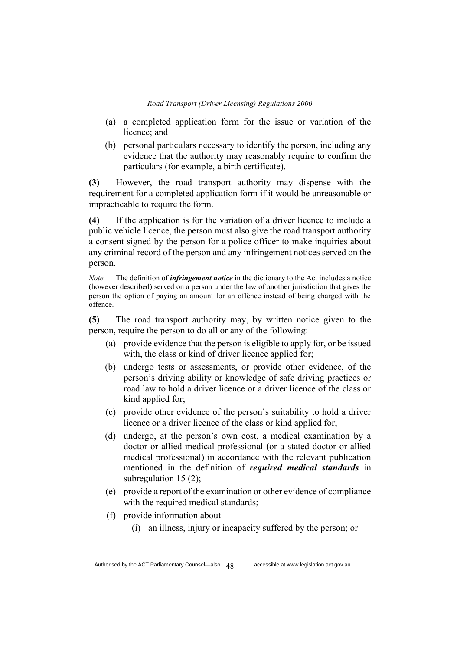- (a) a completed application form for the issue or variation of the licence; and
- (b) personal particulars necessary to identify the person, including any evidence that the authority may reasonably require to confirm the particulars (for example, a birth certificate).

**(3)** However, the road transport authority may dispense with the requirement for a completed application form if it would be unreasonable or impracticable to require the form.

**(4)** If the application is for the variation of a driver licence to include a public vehicle licence, the person must also give the road transport authority a consent signed by the person for a police officer to make inquiries about any criminal record of the person and any infringement notices served on the person.

*Note* The definition of *infringement notice* in the dictionary to the Act includes a notice (however described) served on a person under the law of another jurisdiction that gives the person the option of paying an amount for an offence instead of being charged with the offence.

**(5)** The road transport authority may, by written notice given to the person, require the person to do all or any of the following:

- (a) provide evidence that the person is eligible to apply for, or be issued with, the class or kind of driver licence applied for;
- (b) undergo tests or assessments, or provide other evidence, of the person's driving ability or knowledge of safe driving practices or road law to hold a driver licence or a driver licence of the class or kind applied for;
- (c) provide other evidence of the person's suitability to hold a driver licence or a driver licence of the class or kind applied for;
- (d) undergo, at the person's own cost, a medical examination by a doctor or allied medical professional (or a stated doctor or allied medical professional) in accordance with the relevant publication mentioned in the definition of *required medical standards* in subregulation 15 (2);
- (e) provide a report of the examination or other evidence of compliance with the required medical standards;
- (f) provide information about—
	- (i) an illness, injury or incapacity suffered by the person; or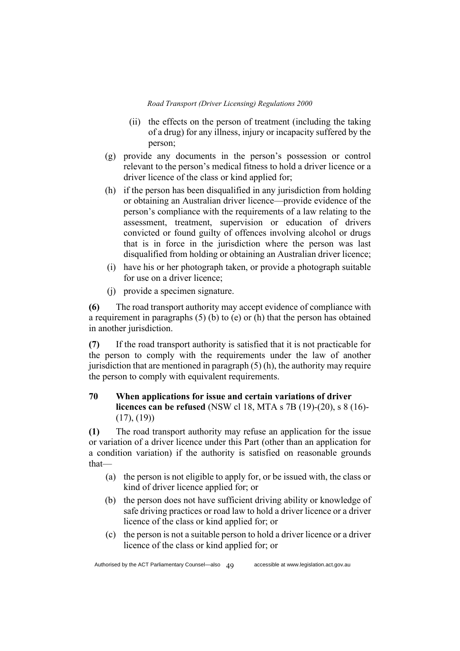- (ii) the effects on the person of treatment (including the taking of a drug) for any illness, injury or incapacity suffered by the person;
- (g) provide any documents in the person's possession or control relevant to the person's medical fitness to hold a driver licence or a driver licence of the class or kind applied for;
- (h) if the person has been disqualified in any jurisdiction from holding or obtaining an Australian driver licence—provide evidence of the person's compliance with the requirements of a law relating to the assessment, treatment, supervision or education of drivers convicted or found guilty of offences involving alcohol or drugs that is in force in the jurisdiction where the person was last disqualified from holding or obtaining an Australian driver licence;
- (i) have his or her photograph taken, or provide a photograph suitable for use on a driver licence;
- (j) provide a specimen signature.

**(6)** The road transport authority may accept evidence of compliance with a requirement in paragraphs (5) (b) to (e) or (h) that the person has obtained in another jurisdiction.

**(7)** If the road transport authority is satisfied that it is not practicable for the person to comply with the requirements under the law of another jurisdiction that are mentioned in paragraph (5) (h), the authority may require the person to comply with equivalent requirements.

# **70 When applications for issue and certain variations of driver licences can be refused** (NSW cl 18, MTA s 7B (19)-(20), s 8 (16)-  $(17), (19)$

**(1)** The road transport authority may refuse an application for the issue or variation of a driver licence under this Part (other than an application for a condition variation) if the authority is satisfied on reasonable grounds that—

- (a) the person is not eligible to apply for, or be issued with, the class or kind of driver licence applied for; or
- (b) the person does not have sufficient driving ability or knowledge of safe driving practices or road law to hold a driver licence or a driver licence of the class or kind applied for; or
- (c) the person is not a suitable person to hold a driver licence or a driver licence of the class or kind applied for; or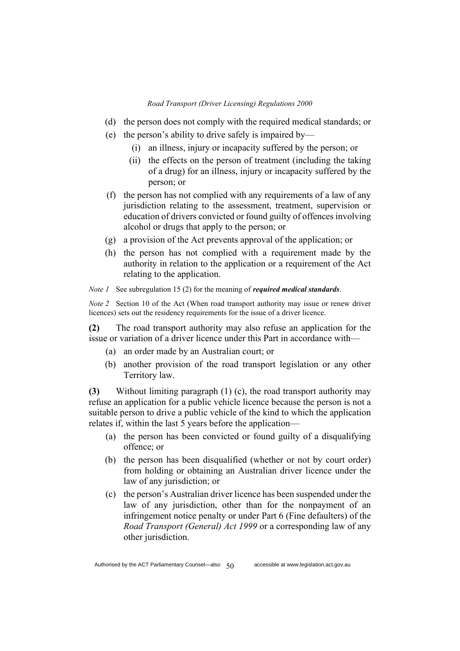- (d) the person does not comply with the required medical standards; or
- (e) the person's ability to drive safely is impaired by—
	- (i) an illness, injury or incapacity suffered by the person; or
	- (ii) the effects on the person of treatment (including the taking of a drug) for an illness, injury or incapacity suffered by the person; or
- (f) the person has not complied with any requirements of a law of any jurisdiction relating to the assessment, treatment, supervision or education of drivers convicted or found guilty of offences involving alcohol or drugs that apply to the person; or
- (g) a provision of the Act prevents approval of the application; or
- (h) the person has not complied with a requirement made by the authority in relation to the application or a requirement of the Act relating to the application.

#### *Note 1* See subregulation 15 (2) for the meaning of *required medical standards*.

*Note 2* Section 10 of the Act (When road transport authority may issue or renew driver licences) sets out the residency requirements for the issue of a driver licence.

**(2)** The road transport authority may also refuse an application for the issue or variation of a driver licence under this Part in accordance with—

- (a) an order made by an Australian court; or
- (b) another provision of the road transport legislation or any other Territory law.

**(3)** Without limiting paragraph (1) (c), the road transport authority may refuse an application for a public vehicle licence because the person is not a suitable person to drive a public vehicle of the kind to which the application relates if, within the last 5 years before the application—

- (a) the person has been convicted or found guilty of a disqualifying offence; or
- (b) the person has been disqualified (whether or not by court order) from holding or obtaining an Australian driver licence under the law of any jurisdiction; or
- (c) the person's Australian driver licence has been suspended under the law of any jurisdiction, other than for the nonpayment of an infringement notice penalty or under Part 6 (Fine defaulters) of the *Road Transport (General) Act 1999* or a corresponding law of any other jurisdiction.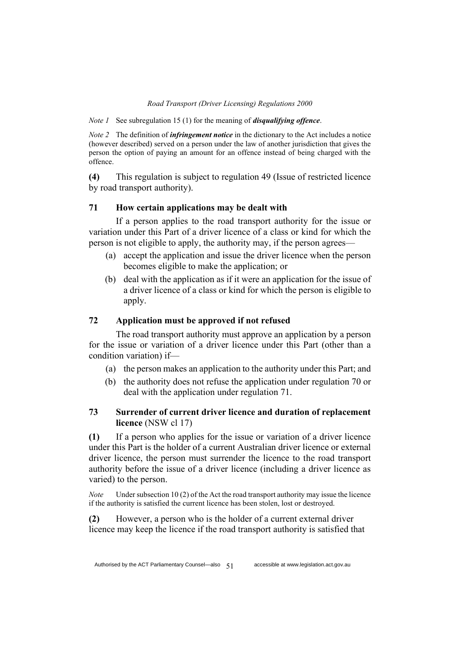*Note 1* See subregulation 15 (1) for the meaning of *disqualifying offence*.

*Note 2* The definition of *infringement notice* in the dictionary to the Act includes a notice (however described) served on a person under the law of another jurisdiction that gives the person the option of paying an amount for an offence instead of being charged with the offence.

**(4)** This regulation is subject to regulation 49 (Issue of restricted licence by road transport authority).

## **71 How certain applications may be dealt with**

If a person applies to the road transport authority for the issue or variation under this Part of a driver licence of a class or kind for which the person is not eligible to apply, the authority may, if the person agrees—

- (a) accept the application and issue the driver licence when the person becomes eligible to make the application; or
- (b) deal with the application as if it were an application for the issue of a driver licence of a class or kind for which the person is eligible to apply.

## **72 Application must be approved if not refused**

The road transport authority must approve an application by a person for the issue or variation of a driver licence under this Part (other than a condition variation) if—

- (a) the person makes an application to the authority under this Part; and
- (b) the authority does not refuse the application under regulation 70 or deal with the application under regulation 71.

# **73 Surrender of current driver licence and duration of replacement licence** (NSW cl 17)

**(1)** If a person who applies for the issue or variation of a driver licence under this Part is the holder of a current Australian driver licence or external driver licence, the person must surrender the licence to the road transport authority before the issue of a driver licence (including a driver licence as varied) to the person.

*Note* Under subsection 10 (2) of the Act the road transport authority may issue the licence if the authority is satisfied the current licence has been stolen, lost or destroyed.

**(2)** However, a person who is the holder of a current external driver licence may keep the licence if the road transport authority is satisfied that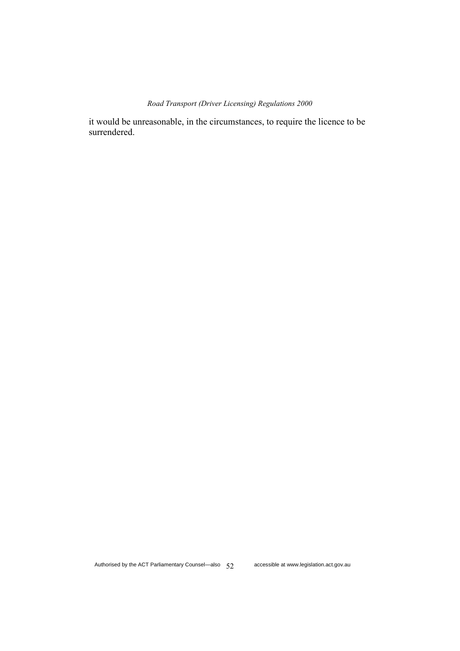it would be unreasonable, in the circumstances, to require the licence to be surrendered.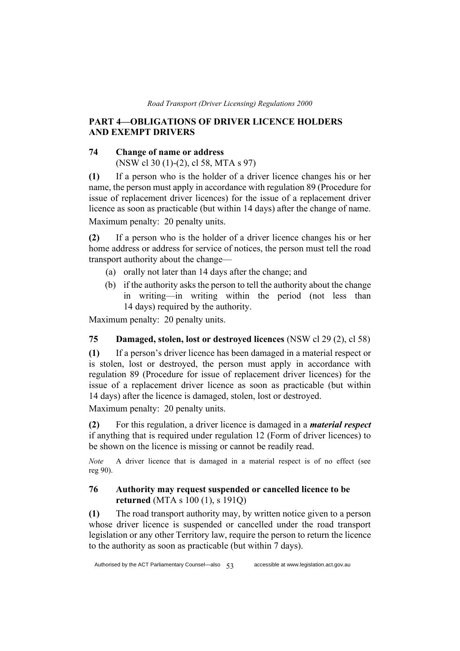## **PART 4—OBLIGATIONS OF DRIVER LICENCE HOLDERS AND EXEMPT DRIVERS**

## **74 Change of name or address**

(NSW cl 30 (1)-(2), cl 58, MTA s 97)

**(1)** If a person who is the holder of a driver licence changes his or her name, the person must apply in accordance with regulation 89 (Procedure for issue of replacement driver licences) for the issue of a replacement driver licence as soon as practicable (but within 14 days) after the change of name. Maximum penalty: 20 penalty units.

**(2)** If a person who is the holder of a driver licence changes his or her home address or address for service of notices, the person must tell the road transport authority about the change—

- (a) orally not later than 14 days after the change; and
- (b) if the authority asks the person to tell the authority about the change in writing—in writing within the period (not less than 14 days) required by the authority.

Maximum penalty: 20 penalty units.

## **75 Damaged, stolen, lost or destroyed licences** (NSW cl 29 (2), cl 58)

**(1)** If a person's driver licence has been damaged in a material respect or is stolen, lost or destroyed, the person must apply in accordance with regulation 89 (Procedure for issue of replacement driver licences) for the issue of a replacement driver licence as soon as practicable (but within 14 days) after the licence is damaged, stolen, lost or destroyed.

Maximum penalty: 20 penalty units.

**(2)** For this regulation, a driver licence is damaged in a *material respect* if anything that is required under regulation 12 (Form of driver licences) to be shown on the licence is missing or cannot be readily read.

*Note* A driver licence that is damaged in a material respect is of no effect (see reg 90).

## **76 Authority may request suspended or cancelled licence to be returned** (MTA s 100 (1), s 191Q)

**(1)** The road transport authority may, by written notice given to a person whose driver licence is suspended or cancelled under the road transport legislation or any other Territory law, require the person to return the licence to the authority as soon as practicable (but within 7 days).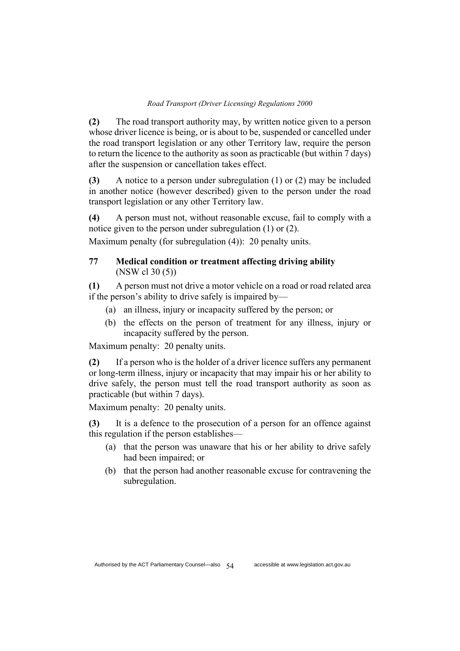**(2)** The road transport authority may, by written notice given to a person whose driver licence is being, or is about to be, suspended or cancelled under the road transport legislation or any other Territory law, require the person to return the licence to the authority as soon as practicable (but within 7 days) after the suspension or cancellation takes effect.

**(3)** A notice to a person under subregulation (1) or (2) may be included in another notice (however described) given to the person under the road transport legislation or any other Territory law.

**(4)** A person must not, without reasonable excuse, fail to comply with a notice given to the person under subregulation (1) or (2).

Maximum penalty (for subregulation (4)): 20 penalty units.

# **77 Medical condition or treatment affecting driving ability**  (NSW cl 30 (5))

**(1)** A person must not drive a motor vehicle on a road or road related area if the person's ability to drive safely is impaired by—

- (a) an illness, injury or incapacity suffered by the person; or
- (b) the effects on the person of treatment for any illness, injury or incapacity suffered by the person.

Maximum penalty: 20 penalty units.

**(2)** If a person who is the holder of a driver licence suffers any permanent or long-term illness, injury or incapacity that may impair his or her ability to drive safely, the person must tell the road transport authority as soon as practicable (but within 7 days).

Maximum penalty: 20 penalty units.

**(3)** It is a defence to the prosecution of a person for an offence against this regulation if the person establishes—

- (a) that the person was unaware that his or her ability to drive safely had been impaired; or
- (b) that the person had another reasonable excuse for contravening the subregulation.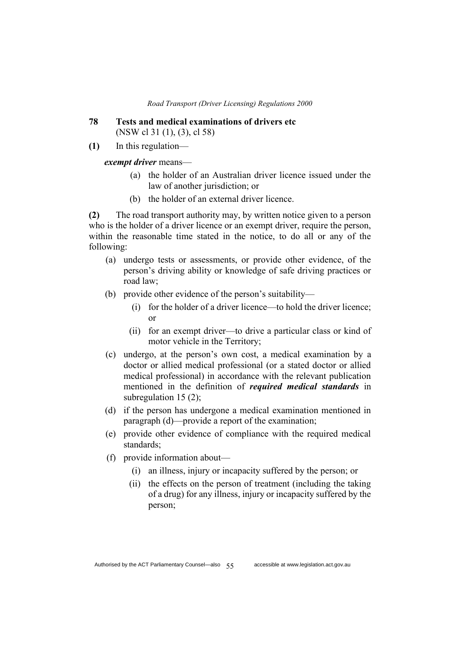- **78 Tests and medical examinations of drivers etc**  (NSW cl 31 (1), (3), cl 58)
- **(1)** In this regulation—

*exempt driver* means—

- (a) the holder of an Australian driver licence issued under the law of another jurisdiction; or
- (b) the holder of an external driver licence.

**(2)** The road transport authority may, by written notice given to a person who is the holder of a driver licence or an exempt driver, require the person, within the reasonable time stated in the notice, to do all or any of the following:

- (a) undergo tests or assessments, or provide other evidence, of the person's driving ability or knowledge of safe driving practices or road law;
- (b) provide other evidence of the person's suitability—
	- (i) for the holder of a driver licence—to hold the driver licence; or
	- (ii) for an exempt driver—to drive a particular class or kind of motor vehicle in the Territory;
- (c) undergo, at the person's own cost, a medical examination by a doctor or allied medical professional (or a stated doctor or allied medical professional) in accordance with the relevant publication mentioned in the definition of *required medical standards* in subregulation 15 (2);
- (d) if the person has undergone a medical examination mentioned in paragraph (d)—provide a report of the examination;
- (e) provide other evidence of compliance with the required medical standards;
- (f) provide information about—
	- (i) an illness, injury or incapacity suffered by the person; or
	- (ii) the effects on the person of treatment (including the taking of a drug) for any illness, injury or incapacity suffered by the person;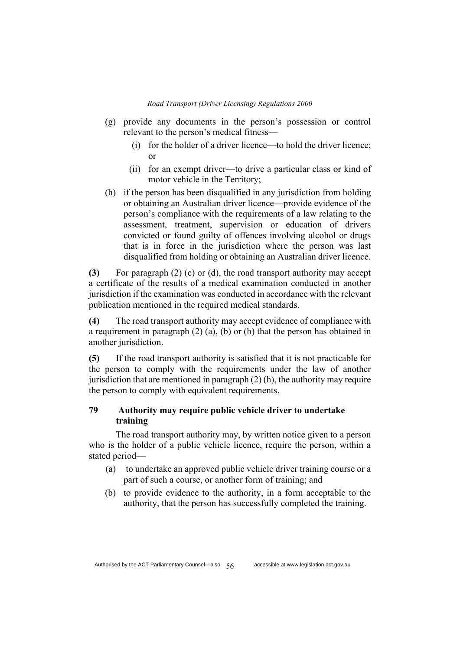- (g) provide any documents in the person's possession or control relevant to the person's medical fitness—
	- (i) for the holder of a driver licence—to hold the driver licence; or
	- (ii) for an exempt driver—to drive a particular class or kind of motor vehicle in the Territory;
- (h) if the person has been disqualified in any jurisdiction from holding or obtaining an Australian driver licence—provide evidence of the person's compliance with the requirements of a law relating to the assessment, treatment, supervision or education of drivers convicted or found guilty of offences involving alcohol or drugs that is in force in the jurisdiction where the person was last disqualified from holding or obtaining an Australian driver licence.

**(3)** For paragraph (2) (c) or (d), the road transport authority may accept a certificate of the results of a medical examination conducted in another jurisdiction if the examination was conducted in accordance with the relevant publication mentioned in the required medical standards.

**(4)** The road transport authority may accept evidence of compliance with a requirement in paragraph (2) (a), (b) or (h) that the person has obtained in another jurisdiction.

**(5)** If the road transport authority is satisfied that it is not practicable for the person to comply with the requirements under the law of another jurisdiction that are mentioned in paragraph  $(2)$  (h), the authority may require the person to comply with equivalent requirements.

# **79 Authority may require public vehicle driver to undertake training**

The road transport authority may, by written notice given to a person who is the holder of a public vehicle licence, require the person, within a stated period—

- (a) to undertake an approved public vehicle driver training course or a part of such a course, or another form of training; and
- (b) to provide evidence to the authority, in a form acceptable to the authority, that the person has successfully completed the training.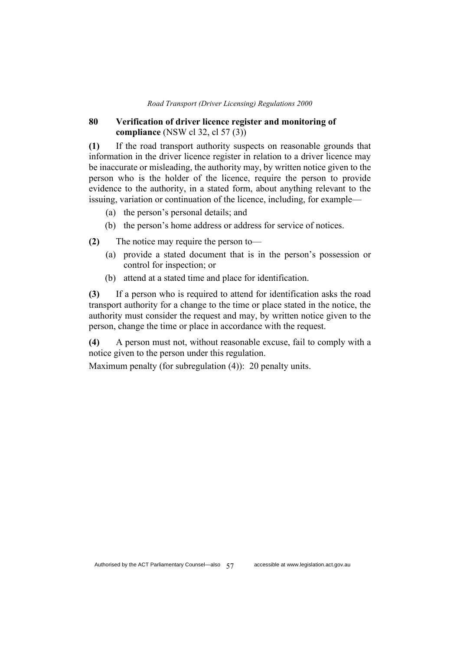### **80 Verification of driver licence register and monitoring of compliance** (NSW cl 32, cl 57 (3))

**(1)** If the road transport authority suspects on reasonable grounds that information in the driver licence register in relation to a driver licence may be inaccurate or misleading, the authority may, by written notice given to the person who is the holder of the licence, require the person to provide evidence to the authority, in a stated form, about anything relevant to the issuing, variation or continuation of the licence, including, for example—

- (a) the person's personal details; and
- (b) the person's home address or address for service of notices.

**(2)** The notice may require the person to—

- (a) provide a stated document that is in the person's possession or control for inspection; or
- (b) attend at a stated time and place for identification.

**(3)** If a person who is required to attend for identification asks the road transport authority for a change to the time or place stated in the notice, the authority must consider the request and may, by written notice given to the person, change the time or place in accordance with the request.

**(4)** A person must not, without reasonable excuse, fail to comply with a notice given to the person under this regulation.

Maximum penalty (for subregulation (4)): 20 penalty units.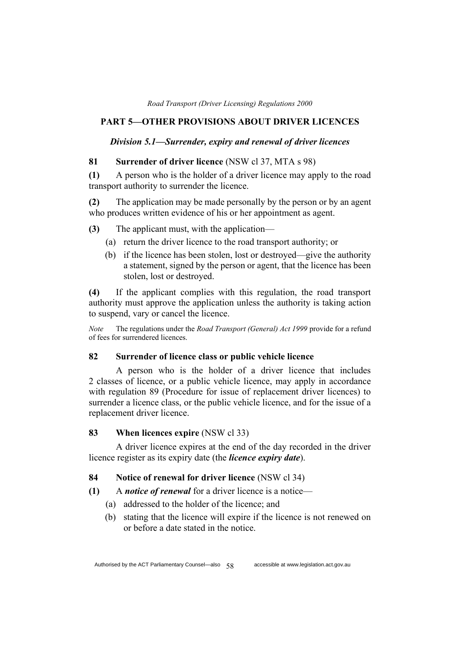## **PART 5—OTHER PROVISIONS ABOUT DRIVER LICENCES**

### *Division 5.1—Surrender, expiry and renewal of driver licences*

### **81 Surrender of driver licence** (NSW cl 37, MTA s 98)

**(1)** A person who is the holder of a driver licence may apply to the road transport authority to surrender the licence.

**(2)** The application may be made personally by the person or by an agent who produces written evidence of his or her appointment as agent.

- **(3)** The applicant must, with the application—
	- (a) return the driver licence to the road transport authority; or
	- (b) if the licence has been stolen, lost or destroyed—give the authority a statement, signed by the person or agent, that the licence has been stolen, lost or destroyed.

**(4)** If the applicant complies with this regulation, the road transport authority must approve the application unless the authority is taking action to suspend, vary or cancel the licence.

*Note* The regulations under the *Road Transport (General) Act 1999* provide for a refund of fees for surrendered licences.

## **82 Surrender of licence class or public vehicle licence**

A person who is the holder of a driver licence that includes 2 classes of licence, or a public vehicle licence, may apply in accordance with regulation 89 (Procedure for issue of replacement driver licences) to surrender a licence class, or the public vehicle licence, and for the issue of a replacement driver licence.

**83 When licences expire** (NSW cl 33)

A driver licence expires at the end of the day recorded in the driver licence register as its expiry date (the *licence expiry date*).

### **84 Notice of renewal for driver licence** (NSW cl 34)

**(1)** A *notice of renewal* for a driver licence is a notice—

- (a) addressed to the holder of the licence; and
- (b) stating that the licence will expire if the licence is not renewed on or before a date stated in the notice.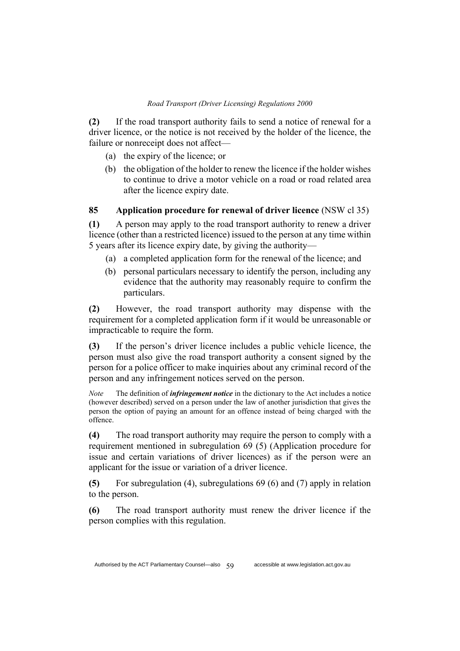**(2)** If the road transport authority fails to send a notice of renewal for a driver licence, or the notice is not received by the holder of the licence, the failure or nonreceipt does not affect—

- (a) the expiry of the licence; or
- (b) the obligation of the holder to renew the licence if the holder wishes to continue to drive a motor vehicle on a road or road related area after the licence expiry date.

# **85 Application procedure for renewal of driver licence** (NSW cl 35)

**(1)** A person may apply to the road transport authority to renew a driver licence (other than a restricted licence) issued to the person at any time within 5 years after its licence expiry date, by giving the authority—

- (a) a completed application form for the renewal of the licence; and
- (b) personal particulars necessary to identify the person, including any evidence that the authority may reasonably require to confirm the particulars.

**(2)** However, the road transport authority may dispense with the requirement for a completed application form if it would be unreasonable or impracticable to require the form.

**(3)** If the person's driver licence includes a public vehicle licence, the person must also give the road transport authority a consent signed by the person for a police officer to make inquiries about any criminal record of the person and any infringement notices served on the person.

*Note* The definition of *infringement notice* in the dictionary to the Act includes a notice (however described) served on a person under the law of another jurisdiction that gives the person the option of paying an amount for an offence instead of being charged with the offence.

**(4)** The road transport authority may require the person to comply with a requirement mentioned in subregulation 69 (5) (Application procedure for issue and certain variations of driver licences) as if the person were an applicant for the issue or variation of a driver licence.

**(5)** For subregulation (4), subregulations 69 (6) and (7) apply in relation to the person.

**(6)** The road transport authority must renew the driver licence if the person complies with this regulation.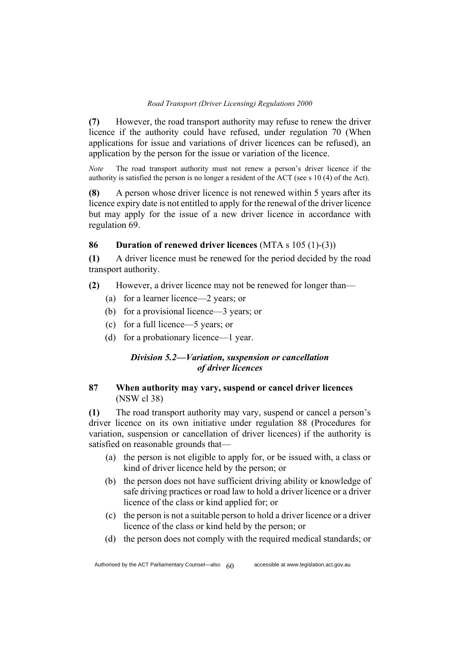**(7)** However, the road transport authority may refuse to renew the driver licence if the authority could have refused, under regulation 70 (When applications for issue and variations of driver licences can be refused), an application by the person for the issue or variation of the licence.

*Note* The road transport authority must not renew a person's driver licence if the authority is satisfied the person is no longer a resident of the ACT (see s 10 (4) of the Act).

**(8)** A person whose driver licence is not renewed within 5 years after its licence expiry date is not entitled to apply for the renewal of the driver licence but may apply for the issue of a new driver licence in accordance with regulation 69.

## **86 Duration of renewed driver licences** (MTA s 105 (1)-(3))

**(1)** A driver licence must be renewed for the period decided by the road transport authority.

- **(2)** However, a driver licence may not be renewed for longer than—
	- (a) for a learner licence—2 years; or
	- (b) for a provisional licence—3 years; or
	- (c) for a full licence—5 years; or
	- (d) for a probationary licence—1 year.

# *Division 5.2—Variation, suspension or cancellation of driver licences*

# **87 When authority may vary, suspend or cancel driver licences**  (NSW cl 38)

**(1)** The road transport authority may vary, suspend or cancel a person's driver licence on its own initiative under regulation 88 (Procedures for variation, suspension or cancellation of driver licences) if the authority is satisfied on reasonable grounds that—

- (a) the person is not eligible to apply for, or be issued with, a class or kind of driver licence held by the person; or
- (b) the person does not have sufficient driving ability or knowledge of safe driving practices or road law to hold a driver licence or a driver licence of the class or kind applied for; or
- (c) the person is not a suitable person to hold a driver licence or a driver licence of the class or kind held by the person; or
- (d) the person does not comply with the required medical standards; or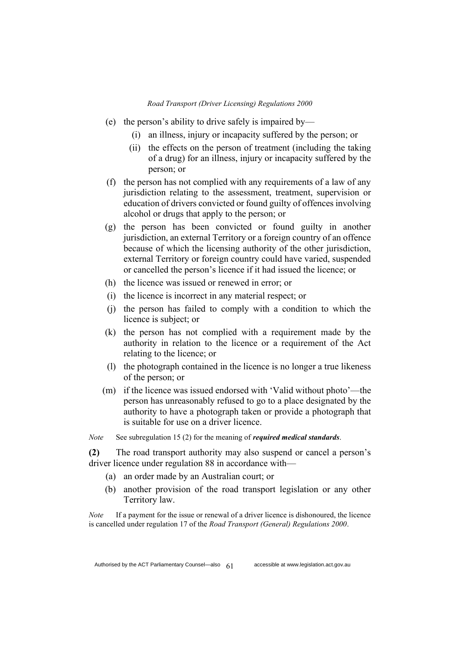- (e) the person's ability to drive safely is impaired by—
	- (i) an illness, injury or incapacity suffered by the person; or
	- (ii) the effects on the person of treatment (including the taking of a drug) for an illness, injury or incapacity suffered by the person; or
- (f) the person has not complied with any requirements of a law of any jurisdiction relating to the assessment, treatment, supervision or education of drivers convicted or found guilty of offences involving alcohol or drugs that apply to the person; or
- (g) the person has been convicted or found guilty in another jurisdiction, an external Territory or a foreign country of an offence because of which the licensing authority of the other jurisdiction, external Territory or foreign country could have varied, suspended or cancelled the person's licence if it had issued the licence; or
- (h) the licence was issued or renewed in error; or
- (i) the licence is incorrect in any material respect; or
- (j) the person has failed to comply with a condition to which the licence is subject; or
- (k) the person has not complied with a requirement made by the authority in relation to the licence or a requirement of the Act relating to the licence; or
- (l) the photograph contained in the licence is no longer a true likeness of the person; or
- (m) if the licence was issued endorsed with 'Valid without photo'—the person has unreasonably refused to go to a place designated by the authority to have a photograph taken or provide a photograph that is suitable for use on a driver licence.

*Note* See subregulation 15 (2) for the meaning of *required medical standards*.

**(2)** The road transport authority may also suspend or cancel a person's driver licence under regulation 88 in accordance with—

- (a) an order made by an Australian court; or
- (b) another provision of the road transport legislation or any other Territory law.

*Note* If a payment for the issue or renewal of a driver licence is dishonoured, the licence is cancelled under regulation 17 of the *Road Transport (General) Regulations 2000*.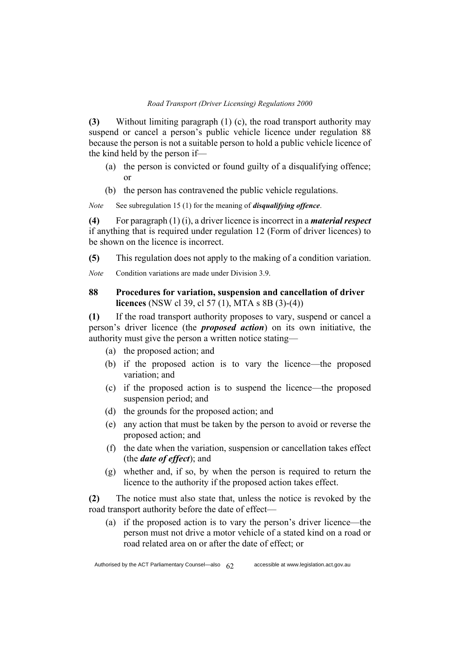**(3)** Without limiting paragraph (1) (c), the road transport authority may suspend or cancel a person's public vehicle licence under regulation 88 because the person is not a suitable person to hold a public vehicle licence of the kind held by the person if—

- (a) the person is convicted or found guilty of a disqualifying offence; or
- (b) the person has contravened the public vehicle regulations.

*Note* See subregulation 15 (1) for the meaning of *disqualifying offence*.

**(4)** For paragraph (1) (i), a driver licence is incorrect in a *material respect* if anything that is required under regulation 12 (Form of driver licences) to be shown on the licence is incorrect.

**(5)** This regulation does not apply to the making of a condition variation.

*Note* Condition variations are made under Division 3.9.

## **88 Procedures for variation, suspension and cancellation of driver licences** (NSW cl 39, cl 57 (1), MTA s 8B (3)-(4))

**(1)** If the road transport authority proposes to vary, suspend or cancel a person's driver licence (the *proposed action*) on its own initiative, the authority must give the person a written notice stating—

- (a) the proposed action; and
- (b) if the proposed action is to vary the licence—the proposed variation; and
- (c) if the proposed action is to suspend the licence—the proposed suspension period; and
- (d) the grounds for the proposed action; and
- (e) any action that must be taken by the person to avoid or reverse the proposed action; and
- (f) the date when the variation, suspension or cancellation takes effect (the *date of effect*); and
- (g) whether and, if so, by when the person is required to return the licence to the authority if the proposed action takes effect.

**(2)** The notice must also state that, unless the notice is revoked by the road transport authority before the date of effect—

(a) if the proposed action is to vary the person's driver licence—the person must not drive a motor vehicle of a stated kind on a road or road related area on or after the date of effect; or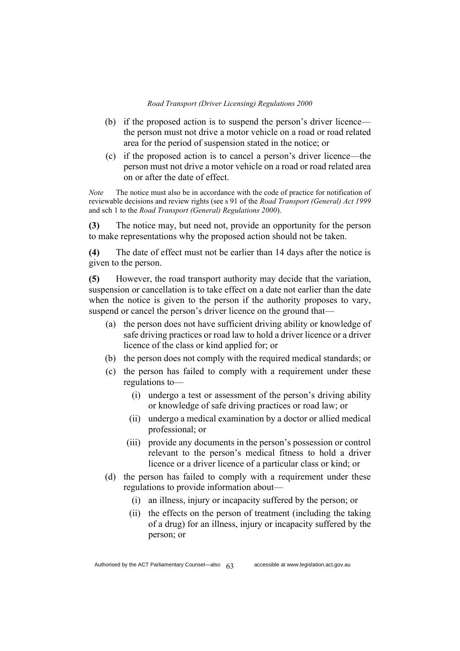- (b) if the proposed action is to suspend the person's driver licence the person must not drive a motor vehicle on a road or road related area for the period of suspension stated in the notice; or
- (c) if the proposed action is to cancel a person's driver licence—the person must not drive a motor vehicle on a road or road related area on or after the date of effect.

*Note* The notice must also be in accordance with the code of practice for notification of reviewable decisions and review rights (see s 91 of the *Road Transport (General) Act 1999* and sch 1 to the *Road Transport (General) Regulations 2000*).

**(3)** The notice may, but need not, provide an opportunity for the person to make representations why the proposed action should not be taken.

**(4)** The date of effect must not be earlier than 14 days after the notice is given to the person.

**(5)** However, the road transport authority may decide that the variation, suspension or cancellation is to take effect on a date not earlier than the date when the notice is given to the person if the authority proposes to vary, suspend or cancel the person's driver licence on the ground that—

- (a) the person does not have sufficient driving ability or knowledge of safe driving practices or road law to hold a driver licence or a driver licence of the class or kind applied for; or
- (b) the person does not comply with the required medical standards; or
- (c) the person has failed to comply with a requirement under these regulations to—
	- (i) undergo a test or assessment of the person's driving ability or knowledge of safe driving practices or road law; or
	- (ii) undergo a medical examination by a doctor or allied medical professional; or
	- (iii) provide any documents in the person's possession or control relevant to the person's medical fitness to hold a driver licence or a driver licence of a particular class or kind; or
- (d) the person has failed to comply with a requirement under these regulations to provide information about—
	- (i) an illness, injury or incapacity suffered by the person; or
	- (ii) the effects on the person of treatment (including the taking of a drug) for an illness, injury or incapacity suffered by the person; or

Authorised by the ACT Parliamentary Counsel—also  $63$  accessible at www.legislation.act.gov.au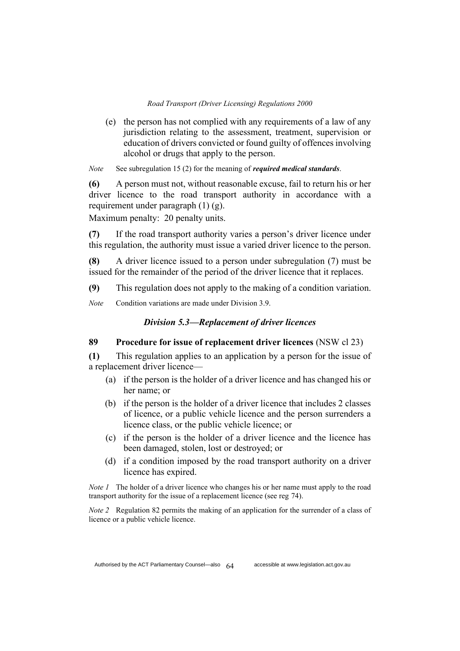(e) the person has not complied with any requirements of a law of any jurisdiction relating to the assessment, treatment, supervision or education of drivers convicted or found guilty of offences involving alcohol or drugs that apply to the person.

*Note* See subregulation 15 (2) for the meaning of *required medical standards*.

**(6)** A person must not, without reasonable excuse, fail to return his or her driver licence to the road transport authority in accordance with a requirement under paragraph (1) (g).

Maximum penalty: 20 penalty units.

**(7)** If the road transport authority varies a person's driver licence under this regulation, the authority must issue a varied driver licence to the person.

**(8)** A driver licence issued to a person under subregulation (7) must be issued for the remainder of the period of the driver licence that it replaces.

**(9)** This regulation does not apply to the making of a condition variation.

*Note* Condition variations are made under Division 3.9.

## *Division 5.3—Replacement of driver licences*

## **89 Procedure for issue of replacement driver licences** (NSW cl 23)

**(1)** This regulation applies to an application by a person for the issue of a replacement driver licence—

- (a) if the person is the holder of a driver licence and has changed his or her name; or
- (b) if the person is the holder of a driver licence that includes 2 classes of licence, or a public vehicle licence and the person surrenders a licence class, or the public vehicle licence; or
- (c) if the person is the holder of a driver licence and the licence has been damaged, stolen, lost or destroyed; or
- (d) if a condition imposed by the road transport authority on a driver licence has expired.

*Note 1* The holder of a driver licence who changes his or her name must apply to the road transport authority for the issue of a replacement licence (see reg 74).

*Note 2* Regulation 82 permits the making of an application for the surrender of a class of licence or a public vehicle licence.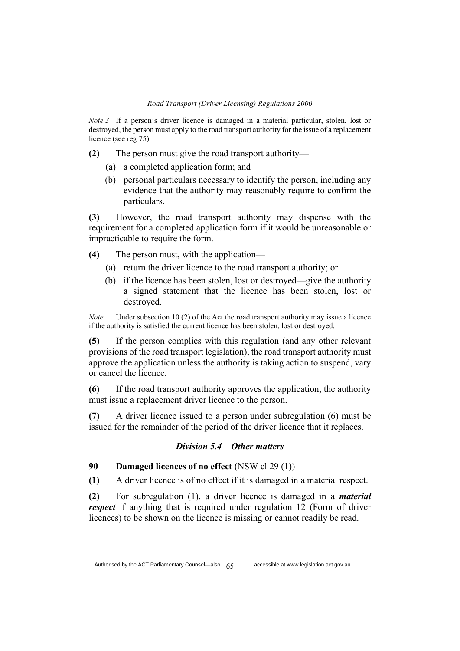*Note 3* If a person's driver licence is damaged in a material particular, stolen, lost or destroyed, the person must apply to the road transport authority for the issue of a replacement licence (see reg 75).

- **(2)** The person must give the road transport authority—
	- (a) a completed application form; and
	- (b) personal particulars necessary to identify the person, including any evidence that the authority may reasonably require to confirm the particulars.

**(3)** However, the road transport authority may dispense with the requirement for a completed application form if it would be unreasonable or impracticable to require the form.

- **(4)** The person must, with the application—
	- (a) return the driver licence to the road transport authority; or
	- (b) if the licence has been stolen, lost or destroyed—give the authority a signed statement that the licence has been stolen, lost or destroyed.

*Note* Under subsection 10 (2) of the Act the road transport authority may issue a licence if the authority is satisfied the current licence has been stolen, lost or destroyed.

**(5)** If the person complies with this regulation (and any other relevant provisions of the road transport legislation), the road transport authority must approve the application unless the authority is taking action to suspend, vary or cancel the licence.

**(6)** If the road transport authority approves the application, the authority must issue a replacement driver licence to the person.

**(7)** A driver licence issued to a person under subregulation (6) must be issued for the remainder of the period of the driver licence that it replaces.

### *Division 5.4—Other matters*

## **90 Damaged licences of no effect** (NSW cl 29 (1))

**(1)** A driver licence is of no effect if it is damaged in a material respect.

**(2)** For subregulation (1), a driver licence is damaged in a *material respect* if anything that is required under regulation 12 (Form of driver licences) to be shown on the licence is missing or cannot readily be read.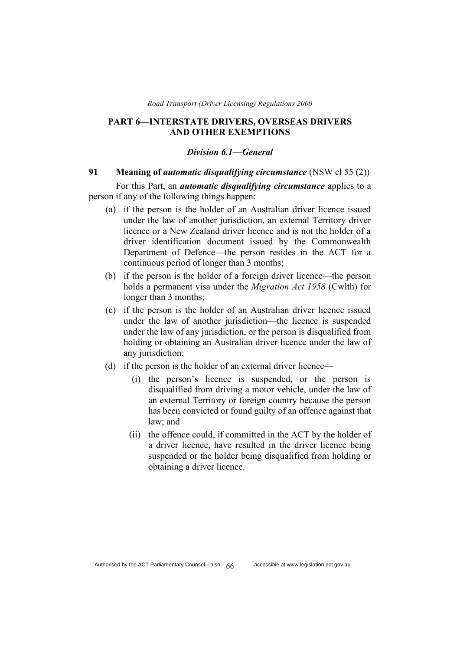### **PART 6—INTERSTATE DRIVERS, OVERSEAS DRIVERS AND OTHER EXEMPTIONS**

#### *Division 6.1—General*

### **91 Meaning of** *automatic disqualifying circumstance* (NSW cl 55 (2))

For this Part, an *automatic disqualifying circumstance* applies to a person if any of the following things happen:

- (a) if the person is the holder of an Australian driver licence issued under the law of another jurisdiction, an external Territory driver licence or a New Zealand driver licence and is not the holder of a driver identification document issued by the Commonwealth Department of Defence—the person resides in the ACT for a continuous period of longer than 3 months;
- (b) if the person is the holder of a foreign driver licence—the person holds a permanent visa under the *Migration Act 1958* (Cwlth) for longer than 3 months;
- (c) if the person is the holder of an Australian driver licence issued under the law of another jurisdiction—the licence is suspended under the law of any jurisdiction, or the person is disqualified from holding or obtaining an Australian driver licence under the law of any jurisdiction;
- (d) if the person is the holder of an external driver licence—
	- (i) the person's licence is suspended, or the person is disqualified from driving a motor vehicle, under the law of an external Territory or foreign country because the person has been convicted or found guilty of an offence against that law; and
	- (ii) the offence could, if committed in the ACT by the holder of a driver licence, have resulted in the driver licence being suspended or the holder being disqualified from holding or obtaining a driver licence.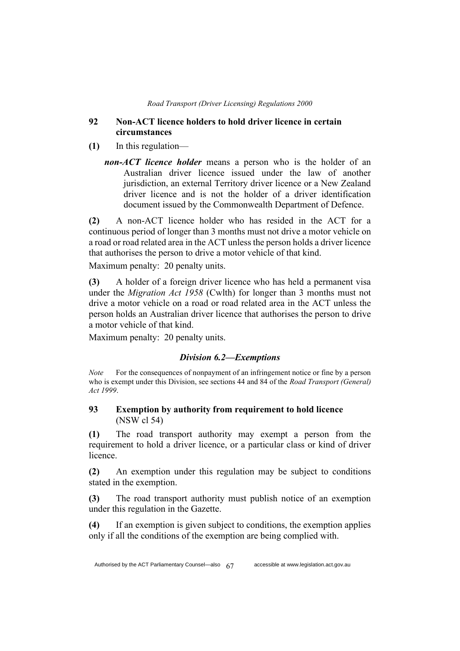### **92 Non-ACT licence holders to hold driver licence in certain circumstances**

- **(1)** In this regulation
	- *non-ACT licence holder* means a person who is the holder of an Australian driver licence issued under the law of another jurisdiction, an external Territory driver licence or a New Zealand driver licence and is not the holder of a driver identification document issued by the Commonwealth Department of Defence.

**(2)** A non-ACT licence holder who has resided in the ACT for a continuous period of longer than 3 months must not drive a motor vehicle on a road or road related area in the ACT unless the person holds a driver licence that authorises the person to drive a motor vehicle of that kind.

Maximum penalty: 20 penalty units.

**(3)** A holder of a foreign driver licence who has held a permanent visa under the *Migration Act 1958* (Cwlth) for longer than 3 months must not drive a motor vehicle on a road or road related area in the ACT unless the person holds an Australian driver licence that authorises the person to drive a motor vehicle of that kind.

Maximum penalty: 20 penalty units.

## *Division 6.2—Exemptions*

*Note* For the consequences of nonpayment of an infringement notice or fine by a person who is exempt under this Division, see sections 44 and 84 of the *Road Transport (General) Act 1999*.

## **93 Exemption by authority from requirement to hold licence**  (NSW cl 54)

**(1)** The road transport authority may exempt a person from the requirement to hold a driver licence, or a particular class or kind of driver licence.

**(2)** An exemption under this regulation may be subject to conditions stated in the exemption.

**(3)** The road transport authority must publish notice of an exemption under this regulation in the Gazette.

**(4)** If an exemption is given subject to conditions, the exemption applies only if all the conditions of the exemption are being complied with.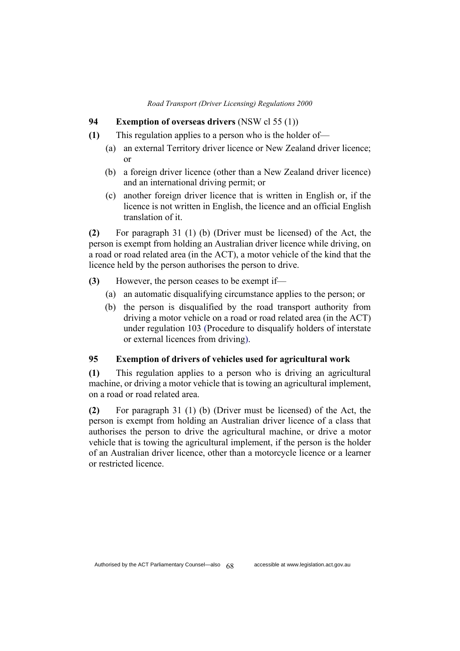### **94 Exemption of overseas drivers** (NSW cl 55 (1))

- **(1)** This regulation applies to a person who is the holder of—
	- (a) an external Territory driver licence or New Zealand driver licence; or
	- (b) a foreign driver licence (other than a New Zealand driver licence) and an international driving permit; or
	- (c) another foreign driver licence that is written in English or, if the licence is not written in English, the licence and an official English translation of it.

**(2)** For paragraph 31 (1) (b) (Driver must be licensed) of the Act, the person is exempt from holding an Australian driver licence while driving, on a road or road related area (in the ACT), a motor vehicle of the kind that the licence held by the person authorises the person to drive.

- **(3)** However, the person ceases to be exempt if—
	- (a) an automatic disqualifying circumstance applies to the person; or
	- (b) the person is disqualified by the road transport authority from driving a motor vehicle on a road or road related area (in the ACT) under regulation 103 (Procedure to disqualify holders of interstate or external licences from driving).

## **95 Exemption of drivers of vehicles used for agricultural work**

**(1)** This regulation applies to a person who is driving an agricultural machine, or driving a motor vehicle that is towing an agricultural implement, on a road or road related area.

**(2)** For paragraph 31 (1) (b) (Driver must be licensed) of the Act, the person is exempt from holding an Australian driver licence of a class that authorises the person to drive the agricultural machine, or drive a motor vehicle that is towing the agricultural implement, if the person is the holder of an Australian driver licence, other than a motorcycle licence or a learner or restricted licence.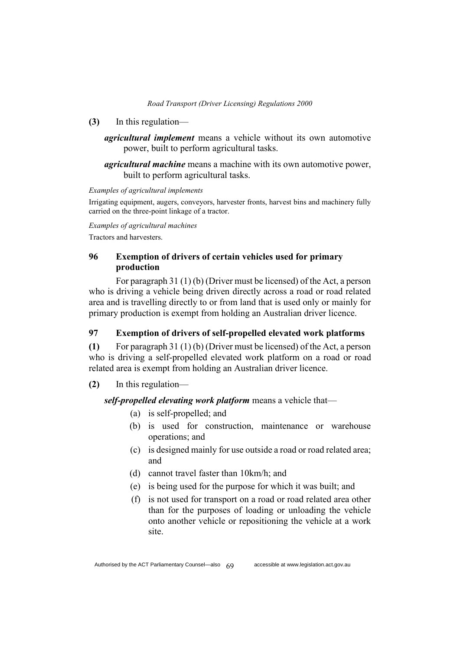- **(3)** In this regulation
	- *agricultural implement* means a vehicle without its own automotive power, built to perform agricultural tasks.

*agricultural machine* means a machine with its own automotive power, built to perform agricultural tasks.

#### *Examples of agricultural implements*

Irrigating equipment, augers, conveyors, harvester fronts, harvest bins and machinery fully carried on the three-point linkage of a tractor.

*Examples of agricultural machines*

Tractors and harvesters.

## **96 Exemption of drivers of certain vehicles used for primary production**

For paragraph 31 (1) (b) (Driver must be licensed) of the Act, a person who is driving a vehicle being driven directly across a road or road related area and is travelling directly to or from land that is used only or mainly for primary production is exempt from holding an Australian driver licence.

### **97 Exemption of drivers of self-propelled elevated work platforms**

**(1)** For paragraph 31 (1) (b) (Driver must be licensed) of the Act, a person who is driving a self-propelled elevated work platform on a road or road related area is exempt from holding an Australian driver licence.

## **(2)** In this regulation—

## *self-propelled elevating work platform* means a vehicle that—

- (a) is self-propelled; and
- (b) is used for construction, maintenance or warehouse operations; and
- (c) is designed mainly for use outside a road or road related area; and
- (d) cannot travel faster than 10km/h; and
- (e) is being used for the purpose for which it was built; and
- (f) is not used for transport on a road or road related area other than for the purposes of loading or unloading the vehicle onto another vehicle or repositioning the vehicle at a work site.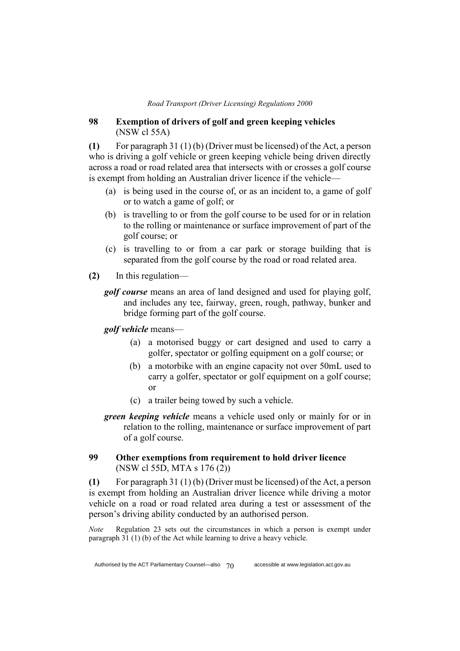## **98 Exemption of drivers of golf and green keeping vehicles**  (NSW cl 55A)

**(1)** For paragraph 31 (1) (b) (Driver must be licensed) of the Act, a person who is driving a golf vehicle or green keeping vehicle being driven directly across a road or road related area that intersects with or crosses a golf course is exempt from holding an Australian driver licence if the vehicle—

- (a) is being used in the course of, or as an incident to, a game of golf or to watch a game of golf; or
- (b) is travelling to or from the golf course to be used for or in relation to the rolling or maintenance or surface improvement of part of the golf course; or
- (c) is travelling to or from a car park or storage building that is separated from the golf course by the road or road related area.
- **(2)** In this regulation
	- *golf course* means an area of land designed and used for playing golf, and includes any tee, fairway, green, rough, pathway, bunker and bridge forming part of the golf course.

*golf vehicle* means—

- (a) a motorised buggy or cart designed and used to carry a golfer, spectator or golfing equipment on a golf course; or
- (b) a motorbike with an engine capacity not over 50mL used to carry a golfer, spectator or golf equipment on a golf course; or
- (c) a trailer being towed by such a vehicle.
- *green keeping vehicle* means a vehicle used only or mainly for or in relation to the rolling, maintenance or surface improvement of part of a golf course.

## **99 Other exemptions from requirement to hold driver licence**  (NSW cl 55D, MTA s 176 (2))

**(1)** For paragraph 31 (1) (b) (Driver must be licensed) of the Act, a person is exempt from holding an Australian driver licence while driving a motor vehicle on a road or road related area during a test or assessment of the person's driving ability conducted by an authorised person.

*Note* Regulation 23 sets out the circumstances in which a person is exempt under paragraph 31 (1) (b) of the Act while learning to drive a heavy vehicle.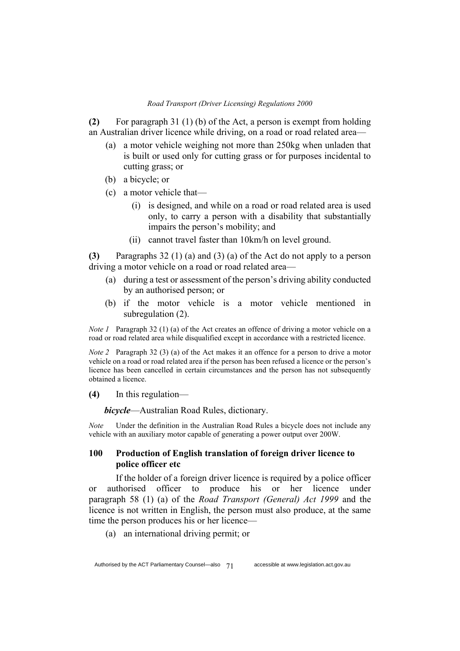**(2)** For paragraph 31 (1) (b) of the Act, a person is exempt from holding an Australian driver licence while driving, on a road or road related area—

- (a) a motor vehicle weighing not more than 250kg when unladen that is built or used only for cutting grass or for purposes incidental to cutting grass; or
- (b) a bicycle; or
- (c) a motor vehicle that—
	- (i) is designed, and while on a road or road related area is used only, to carry a person with a disability that substantially impairs the person's mobility; and
	- (ii) cannot travel faster than 10km/h on level ground.

**(3)** Paragraphs 32 (1) (a) and (3) (a) of the Act do not apply to a person driving a motor vehicle on a road or road related area—

- (a) during a test or assessment of the person's driving ability conducted by an authorised person; or
- (b) if the motor vehicle is a motor vehicle mentioned in subregulation (2).

*Note 1* Paragraph 32 (1) (a) of the Act creates an offence of driving a motor vehicle on a road or road related area while disqualified except in accordance with a restricted licence.

*Note 2* Paragraph 32 (3) (a) of the Act makes it an offence for a person to drive a motor vehicle on a road or road related area if the person has been refused a licence or the person's licence has been cancelled in certain circumstances and the person has not subsequently obtained a licence.

**(4)** In this regulation—

*bicycle*—Australian Road Rules, dictionary.

*Note* Under the definition in the Australian Road Rules a bicycle does not include any vehicle with an auxiliary motor capable of generating a power output over 200W.

## **100 Production of English translation of foreign driver licence to police officer etc**

If the holder of a foreign driver licence is required by a police officer or authorised officer to produce his or her licence under paragraph 58 (1) (a) of the *Road Transport (General) Act 1999* and the licence is not written in English, the person must also produce, at the same time the person produces his or her licence—

(a) an international driving permit; or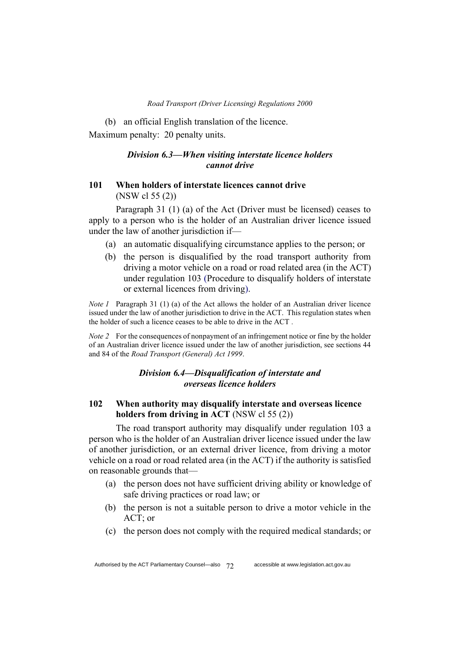(b) an official English translation of the licence. Maximum penalty: 20 penalty units.

### *Division 6.3—When visiting interstate licence holders cannot drive*

## **101 When holders of interstate licences cannot drive** (NSW cl 55 (2))

Paragraph 31 (1) (a) of the Act (Driver must be licensed) ceases to apply to a person who is the holder of an Australian driver licence issued under the law of another jurisdiction if—

- (a) an automatic disqualifying circumstance applies to the person; or
- (b) the person is disqualified by the road transport authority from driving a motor vehicle on a road or road related area (in the ACT) under regulation 103 (Procedure to disqualify holders of interstate or external licences from driving).

*Note 1* Paragraph 31 (1) (a) of the Act allows the holder of an Australian driver licence issued under the law of another jurisdiction to drive in the ACT. This regulation states when the holder of such a licence ceases to be able to drive in the ACT *.*

*Note 2* For the consequences of nonpayment of an infringement notice or fine by the holder of an Australian driver licence issued under the law of another jurisdiction, see sections 44 and 84 of the *Road Transport (General) Act 1999*.

## *Division 6.4—Disqualification of interstate and overseas licence holders*

## **102 When authority may disqualify interstate and overseas licence holders from driving in ACT** (NSW cl 55 (2))

The road transport authority may disqualify under regulation 103 a person who is the holder of an Australian driver licence issued under the law of another jurisdiction, or an external driver licence, from driving a motor vehicle on a road or road related area (in the ACT) if the authority is satisfied on reasonable grounds that—

- (a) the person does not have sufficient driving ability or knowledge of safe driving practices or road law; or
- (b) the person is not a suitable person to drive a motor vehicle in the ACT; or
- (c) the person does not comply with the required medical standards; or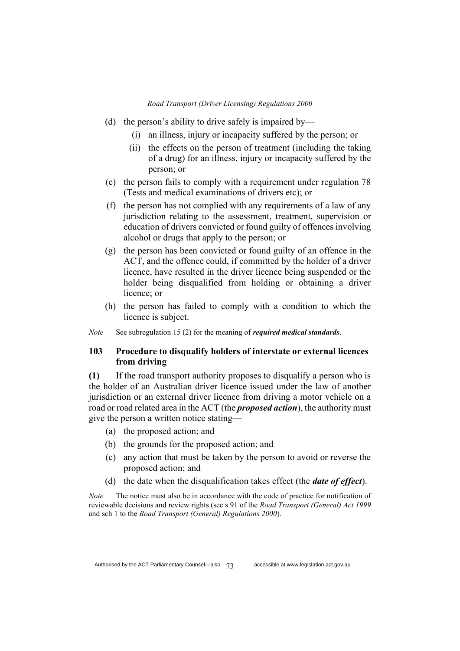- (d) the person's ability to drive safely is impaired by—
	- (i) an illness, injury or incapacity suffered by the person; or
	- (ii) the effects on the person of treatment (including the taking of a drug) for an illness, injury or incapacity suffered by the person; or
- (e) the person fails to comply with a requirement under regulation 78 (Tests and medical examinations of drivers etc); or
- (f) the person has not complied with any requirements of a law of any jurisdiction relating to the assessment, treatment, supervision or education of drivers convicted or found guilty of offences involving alcohol or drugs that apply to the person; or
- (g) the person has been convicted or found guilty of an offence in the ACT, and the offence could, if committed by the holder of a driver licence, have resulted in the driver licence being suspended or the holder being disqualified from holding or obtaining a driver licence; or
- (h) the person has failed to comply with a condition to which the licence is subject.

*Note* See subregulation 15 (2) for the meaning of *required medical standards*.

## **103 Procedure to disqualify holders of interstate or external licences from driving**

**(1)** If the road transport authority proposes to disqualify a person who is the holder of an Australian driver licence issued under the law of another jurisdiction or an external driver licence from driving a motor vehicle on a road or road related area in the ACT (the *proposed action*), the authority must give the person a written notice stating—

- (a) the proposed action; and
- (b) the grounds for the proposed action; and
- (c) any action that must be taken by the person to avoid or reverse the proposed action; and
- (d) the date when the disqualification takes effect (the *date of effect*).

*Note* The notice must also be in accordance with the code of practice for notification of reviewable decisions and review rights (see s 91 of the *Road Transport (General) Act 1999* and sch 1 to the *Road Transport (General) Regulations 2000*).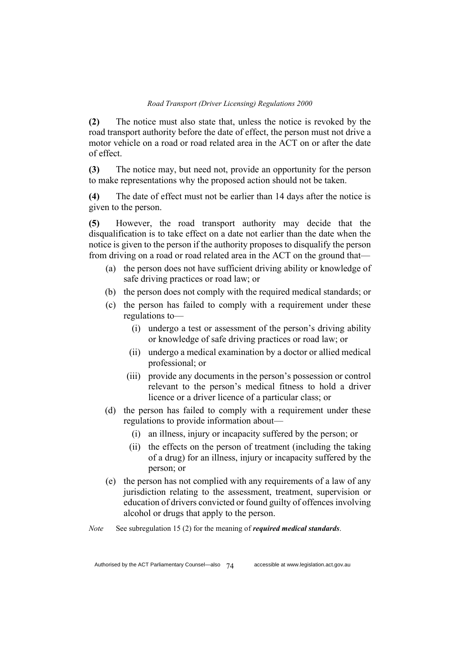**(2)** The notice must also state that, unless the notice is revoked by the road transport authority before the date of effect, the person must not drive a motor vehicle on a road or road related area in the ACT on or after the date of effect.

**(3)** The notice may, but need not, provide an opportunity for the person to make representations why the proposed action should not be taken.

**(4)** The date of effect must not be earlier than 14 days after the notice is given to the person.

**(5)** However, the road transport authority may decide that the disqualification is to take effect on a date not earlier than the date when the notice is given to the person if the authority proposes to disqualify the person from driving on a road or road related area in the ACT on the ground that—

- (a) the person does not have sufficient driving ability or knowledge of safe driving practices or road law; or
- (b) the person does not comply with the required medical standards; or
- (c) the person has failed to comply with a requirement under these regulations to—
	- (i) undergo a test or assessment of the person's driving ability or knowledge of safe driving practices or road law; or
	- (ii) undergo a medical examination by a doctor or allied medical professional; or
	- (iii) provide any documents in the person's possession or control relevant to the person's medical fitness to hold a driver licence or a driver licence of a particular class; or
- (d) the person has failed to comply with a requirement under these regulations to provide information about—
	- (i) an illness, injury or incapacity suffered by the person; or
	- (ii) the effects on the person of treatment (including the taking of a drug) for an illness, injury or incapacity suffered by the person; or
- (e) the person has not complied with any requirements of a law of any jurisdiction relating to the assessment, treatment, supervision or education of drivers convicted or found guilty of offences involving alcohol or drugs that apply to the person.

*Note* See subregulation 15 (2) for the meaning of *required medical standards*.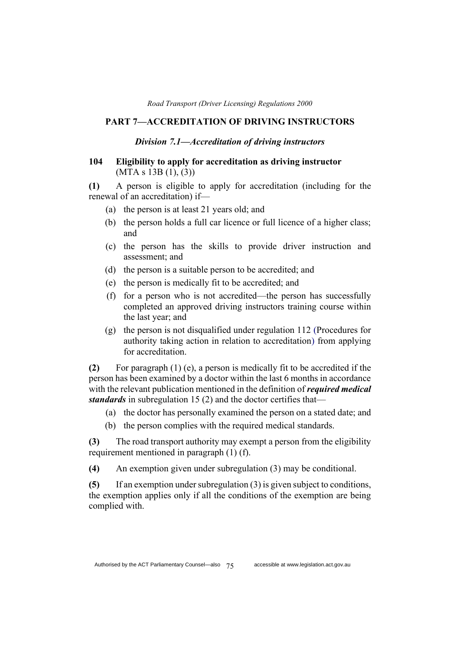### **PART 7—ACCREDITATION OF DRIVING INSTRUCTORS**

#### *Division 7.1—Accreditation of driving instructors*

## **104 Eligibility to apply for accreditation as driving instructor**  (MTA s 13B (1), (3))

**(1)** A person is eligible to apply for accreditation (including for the renewal of an accreditation) if—

- (a) the person is at least 21 years old; and
- (b) the person holds a full car licence or full licence of a higher class; and
- (c) the person has the skills to provide driver instruction and assessment; and
- (d) the person is a suitable person to be accredited; and
- (e) the person is medically fit to be accredited; and
- (f) for a person who is not accredited—the person has successfully completed an approved driving instructors training course within the last year; and
- (g) the person is not disqualified under regulation 112 (Procedures for authority taking action in relation to accreditation) from applying for accreditation.

**(2)** For paragraph (1) (e), a person is medically fit to be accredited if the person has been examined by a doctor within the last 6 months in accordance with the relevant publication mentioned in the definition of *required medical standards* in subregulation 15 (2) and the doctor certifies that—

- (a) the doctor has personally examined the person on a stated date; and
- (b) the person complies with the required medical standards.

**(3)** The road transport authority may exempt a person from the eligibility requirement mentioned in paragraph (1) (f).

**(4)** An exemption given under subregulation (3) may be conditional.

**(5)** If an exemption under subregulation (3) is given subject to conditions, the exemption applies only if all the conditions of the exemption are being complied with.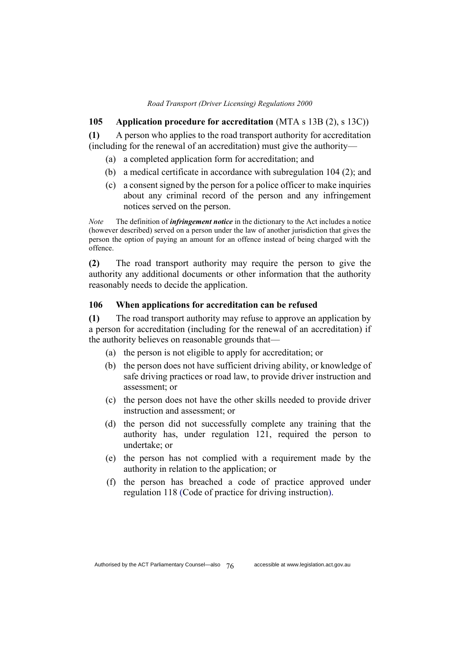#### **105 Application procedure for accreditation** (MTA s 13B (2), s 13C))

**(1)** A person who applies to the road transport authority for accreditation (including for the renewal of an accreditation) must give the authority—

- (a) a completed application form for accreditation; and
- (b) a medical certificate in accordance with subregulation 104 (2); and
- (c) a consent signed by the person for a police officer to make inquiries about any criminal record of the person and any infringement notices served on the person.

*Note* The definition of *infringement notice* in the dictionary to the Act includes a notice (however described) served on a person under the law of another jurisdiction that gives the person the option of paying an amount for an offence instead of being charged with the offence.

**(2)** The road transport authority may require the person to give the authority any additional documents or other information that the authority reasonably needs to decide the application.

### **106 When applications for accreditation can be refused**

**(1)** The road transport authority may refuse to approve an application by a person for accreditation (including for the renewal of an accreditation) if the authority believes on reasonable grounds that—

- (a) the person is not eligible to apply for accreditation; or
- (b) the person does not have sufficient driving ability, or knowledge of safe driving practices or road law, to provide driver instruction and assessment; or
- (c) the person does not have the other skills needed to provide driver instruction and assessment; or
- (d) the person did not successfully complete any training that the authority has, under regulation 121, required the person to undertake; or
- (e) the person has not complied with a requirement made by the authority in relation to the application; or
- (f) the person has breached a code of practice approved under regulation 118 (Code of practice for driving instruction).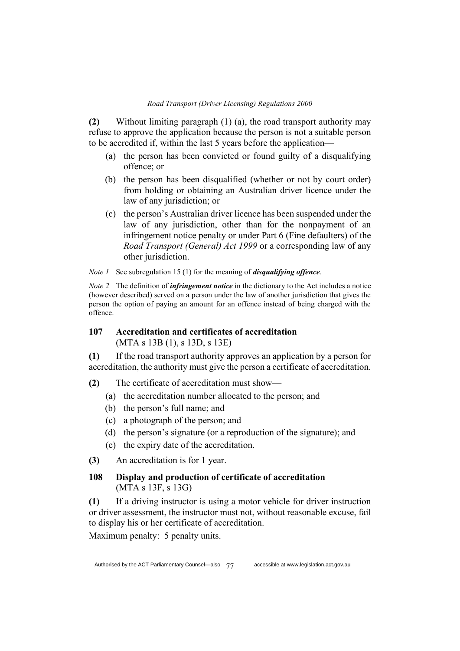**(2)** Without limiting paragraph (1) (a), the road transport authority may refuse to approve the application because the person is not a suitable person to be accredited if, within the last 5 years before the application—

- (a) the person has been convicted or found guilty of a disqualifying offence; or
- (b) the person has been disqualified (whether or not by court order) from holding or obtaining an Australian driver licence under the law of any jurisdiction; or
- (c) the person's Australian driver licence has been suspended under the law of any jurisdiction, other than for the nonpayment of an infringement notice penalty or under Part 6 (Fine defaulters) of the *Road Transport (General) Act 1999* or a corresponding law of any other jurisdiction.

*Note 1* See subregulation 15 (1) for the meaning of *disqualifying offence*.

*Note 2* The definition of *infringement notice* in the dictionary to the Act includes a notice (however described) served on a person under the law of another jurisdiction that gives the person the option of paying an amount for an offence instead of being charged with the offence.

## **107 Accreditation and certificates of accreditation**  (MTA s 13B (1), s 13D, s 13E)

**(1)** If the road transport authority approves an application by a person for accreditation, the authority must give the person a certificate of accreditation.

- **(2)** The certificate of accreditation must show—
	- (a) the accreditation number allocated to the person; and
	- (b) the person's full name; and
	- (c) a photograph of the person; and
	- (d) the person's signature (or a reproduction of the signature); and
	- (e) the expiry date of the accreditation.
- **(3)** An accreditation is for 1 year.
- **108 Display and production of certificate of accreditation**  (MTA s 13F, s 13G)

**(1)** If a driving instructor is using a motor vehicle for driver instruction or driver assessment, the instructor must not, without reasonable excuse, fail to display his or her certificate of accreditation.

Maximum penalty: 5 penalty units.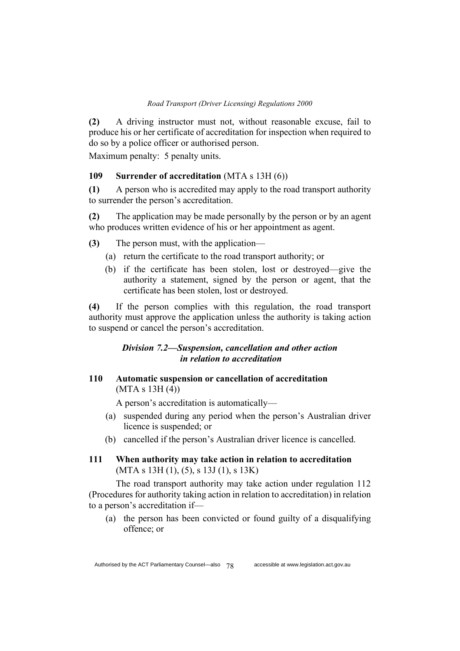**(2)** A driving instructor must not, without reasonable excuse, fail to produce his or her certificate of accreditation for inspection when required to do so by a police officer or authorised person.

Maximum penalty: 5 penalty units.

#### **109 Surrender of accreditation** (MTA s 13H (6))

**(1)** A person who is accredited may apply to the road transport authority to surrender the person's accreditation.

**(2)** The application may be made personally by the person or by an agent who produces written evidence of his or her appointment as agent.

**(3)** The person must, with the application—

- (a) return the certificate to the road transport authority; or
- (b) if the certificate has been stolen, lost or destroyed—give the authority a statement, signed by the person or agent, that the certificate has been stolen, lost or destroyed.

**(4)** If the person complies with this regulation, the road transport authority must approve the application unless the authority is taking action to suspend or cancel the person's accreditation.

## *Division 7.2—Suspension, cancellation and other action in relation to accreditation*

**110 Automatic suspension or cancellation of accreditation**  (MTA s 13H (4))

A person's accreditation is automatically—

- (a) suspended during any period when the person's Australian driver licence is suspended; or
- (b) cancelled if the person's Australian driver licence is cancelled.
- **111 When authority may take action in relation to accreditation**  (MTA s 13H (1), (5), s 13J (1), s 13K)

The road transport authority may take action under regulation 112 (Procedures for authority taking action in relation to accreditation) in relation to a person's accreditation if—

(a) the person has been convicted or found guilty of a disqualifying offence; or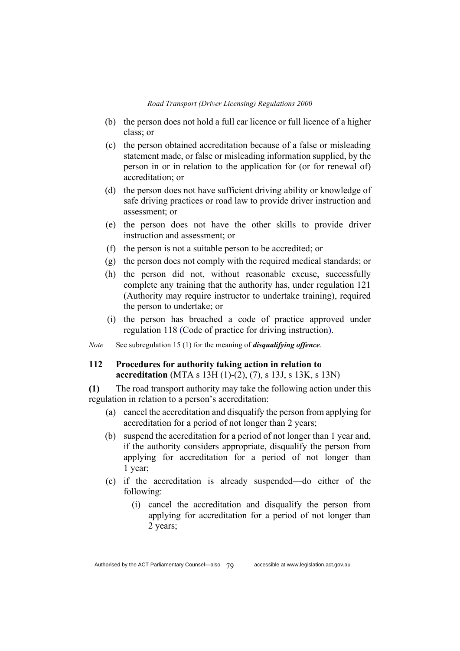- (b) the person does not hold a full car licence or full licence of a higher class; or
- (c) the person obtained accreditation because of a false or misleading statement made, or false or misleading information supplied, by the person in or in relation to the application for (or for renewal of) accreditation; or
- (d) the person does not have sufficient driving ability or knowledge of safe driving practices or road law to provide driver instruction and assessment; or
- (e) the person does not have the other skills to provide driver instruction and assessment; or
- (f) the person is not a suitable person to be accredited; or
- (g) the person does not comply with the required medical standards; or
- (h) the person did not, without reasonable excuse, successfully complete any training that the authority has, under regulation 121 (Authority may require instructor to undertake training), required the person to undertake; or
- (i) the person has breached a code of practice approved under regulation 118 (Code of practice for driving instruction).

*Note* See subregulation 15 (1) for the meaning of *disqualifying offence*.

## **112 Procedures for authority taking action in relation to accreditation** (MTA s 13H (1)-(2), (7), s 13J, s 13K, s 13N)

**(1)** The road transport authority may take the following action under this regulation in relation to a person's accreditation:

- (a) cancel the accreditation and disqualify the person from applying for accreditation for a period of not longer than 2 years;
- (b) suspend the accreditation for a period of not longer than 1 year and, if the authority considers appropriate, disqualify the person from applying for accreditation for a period of not longer than 1 year;
- (c) if the accreditation is already suspended—do either of the following:
	- (i) cancel the accreditation and disqualify the person from applying for accreditation for a period of not longer than 2 years;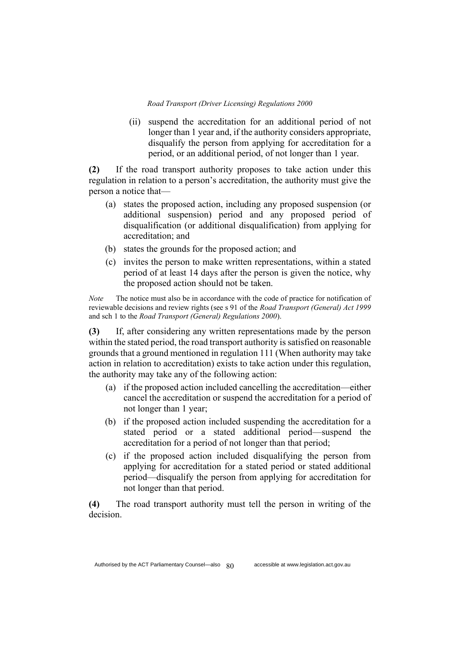(ii) suspend the accreditation for an additional period of not longer than 1 year and, if the authority considers appropriate, disqualify the person from applying for accreditation for a period, or an additional period, of not longer than 1 year.

**(2)** If the road transport authority proposes to take action under this regulation in relation to a person's accreditation, the authority must give the person a notice that—

- (a) states the proposed action, including any proposed suspension (or additional suspension) period and any proposed period of disqualification (or additional disqualification) from applying for accreditation; and
- (b) states the grounds for the proposed action; and
- (c) invites the person to make written representations, within a stated period of at least 14 days after the person is given the notice, why the proposed action should not be taken.

*Note* The notice must also be in accordance with the code of practice for notification of reviewable decisions and review rights (see s 91 of the *Road Transport (General) Act 1999* and sch 1 to the *Road Transport (General) Regulations 2000*).

**(3)** If, after considering any written representations made by the person within the stated period, the road transport authority is satisfied on reasonable grounds that a ground mentioned in regulation 111 (When authority may take action in relation to accreditation) exists to take action under this regulation, the authority may take any of the following action:

- (a) if the proposed action included cancelling the accreditation—either cancel the accreditation or suspend the accreditation for a period of not longer than 1 year;
- (b) if the proposed action included suspending the accreditation for a stated period or a stated additional period—suspend the accreditation for a period of not longer than that period;
- (c) if the proposed action included disqualifying the person from applying for accreditation for a stated period or stated additional period—disqualify the person from applying for accreditation for not longer than that period.

**(4)** The road transport authority must tell the person in writing of the decision.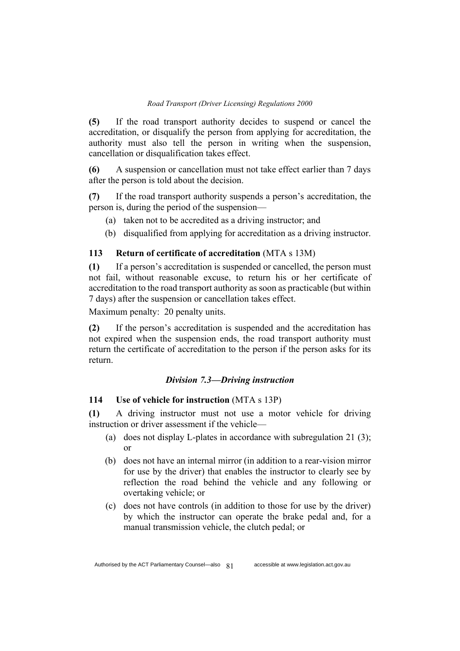**(5)** If the road transport authority decides to suspend or cancel the accreditation, or disqualify the person from applying for accreditation, the authority must also tell the person in writing when the suspension, cancellation or disqualification takes effect.

**(6)** A suspension or cancellation must not take effect earlier than 7 days after the person is told about the decision.

**(7)** If the road transport authority suspends a person's accreditation, the person is, during the period of the suspension—

- (a) taken not to be accredited as a driving instructor; and
- (b) disqualified from applying for accreditation as a driving instructor.

### **113 Return of certificate of accreditation** (MTA s 13M)

**(1)** If a person's accreditation is suspended or cancelled, the person must not fail, without reasonable excuse, to return his or her certificate of accreditation to the road transport authority as soon as practicable (but within 7 days) after the suspension or cancellation takes effect.

Maximum penalty: 20 penalty units.

**(2)** If the person's accreditation is suspended and the accreditation has not expired when the suspension ends, the road transport authority must return the certificate of accreditation to the person if the person asks for its return.

### *Division 7.3—Driving instruction*

### **114 Use of vehicle for instruction** (MTA s 13P)

**(1)** A driving instructor must not use a motor vehicle for driving instruction or driver assessment if the vehicle—

- (a) does not display L-plates in accordance with subregulation 21 (3); or
- (b) does not have an internal mirror (in addition to a rear-vision mirror for use by the driver) that enables the instructor to clearly see by reflection the road behind the vehicle and any following or overtaking vehicle; or
- (c) does not have controls (in addition to those for use by the driver) by which the instructor can operate the brake pedal and, for a manual transmission vehicle, the clutch pedal; or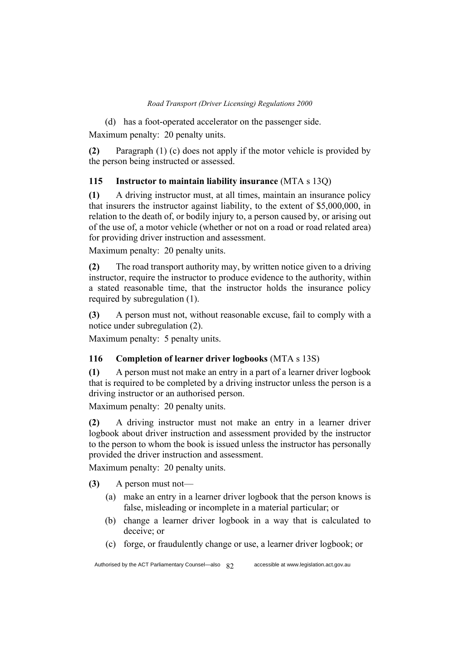(d) has a foot-operated accelerator on the passenger side. Maximum penalty: 20 penalty units.

**(2)** Paragraph (1) (c) does not apply if the motor vehicle is provided by the person being instructed or assessed.

# **115 Instructor to maintain liability insurance** (MTA s 13Q)

**(1)** A driving instructor must, at all times, maintain an insurance policy that insurers the instructor against liability, to the extent of \$5,000,000, in relation to the death of, or bodily injury to, a person caused by, or arising out of the use of, a motor vehicle (whether or not on a road or road related area) for providing driver instruction and assessment.

Maximum penalty: 20 penalty units.

**(2)** The road transport authority may, by written notice given to a driving instructor, require the instructor to produce evidence to the authority, within a stated reasonable time, that the instructor holds the insurance policy required by subregulation (1).

**(3)** A person must not, without reasonable excuse, fail to comply with a notice under subregulation (2).

Maximum penalty: 5 penalty units.

# **116 Completion of learner driver logbooks** (MTA s 13S)

**(1)** A person must not make an entry in a part of a learner driver logbook that is required to be completed by a driving instructor unless the person is a driving instructor or an authorised person.

Maximum penalty: 20 penalty units.

**(2)** A driving instructor must not make an entry in a learner driver logbook about driver instruction and assessment provided by the instructor to the person to whom the book is issued unless the instructor has personally provided the driver instruction and assessment.

Maximum penalty: 20 penalty units.

**(3)** A person must not—

- (a) make an entry in a learner driver logbook that the person knows is false, misleading or incomplete in a material particular; or
- (b) change a learner driver logbook in a way that is calculated to deceive; or
- (c) forge, or fraudulently change or use, a learner driver logbook; or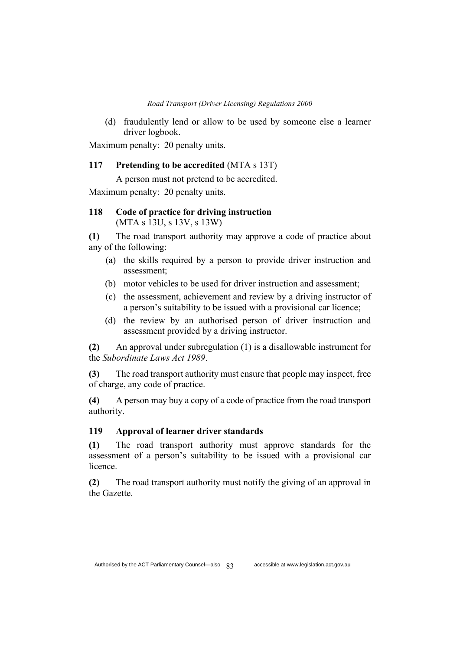(d) fraudulently lend or allow to be used by someone else a learner driver logbook.

Maximum penalty: 20 penalty units.

## **117 Pretending to be accredited** (MTA s 13T)

A person must not pretend to be accredited.

Maximum penalty: 20 penalty units.

## **118 Code of practice for driving instruction**  (MTA s 13U, s 13V, s 13W)

**(1)** The road transport authority may approve a code of practice about any of the following:

- (a) the skills required by a person to provide driver instruction and assessment;
- (b) motor vehicles to be used for driver instruction and assessment;
- (c) the assessment, achievement and review by a driving instructor of a person's suitability to be issued with a provisional car licence;
- (d) the review by an authorised person of driver instruction and assessment provided by a driving instructor.

**(2)** An approval under subregulation (1) is a disallowable instrument for the *Subordinate Laws Act 1989*.

**(3)** The road transport authority must ensure that people may inspect, free of charge, any code of practice.

**(4)** A person may buy a copy of a code of practice from the road transport authority.

# **119 Approval of learner driver standards**

**(1)** The road transport authority must approve standards for the assessment of a person's suitability to be issued with a provisional car licence.

**(2)** The road transport authority must notify the giving of an approval in the Gazette.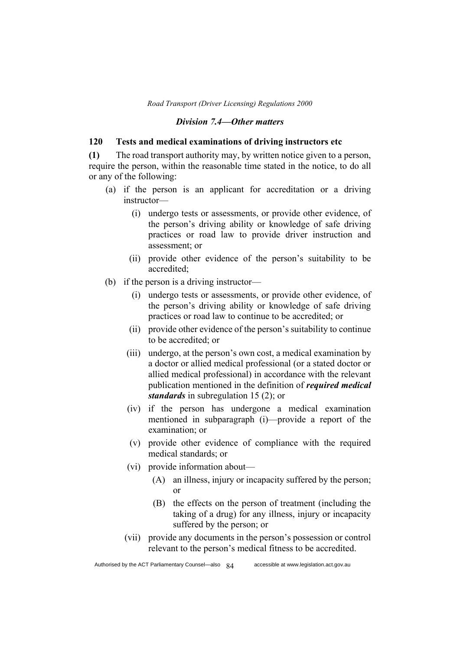#### *Division 7.4—Other matters*

### **120 Tests and medical examinations of driving instructors etc**

**(1)** The road transport authority may, by written notice given to a person, require the person, within the reasonable time stated in the notice, to do all or any of the following:

- (a) if the person is an applicant for accreditation or a driving instructor—
	- (i) undergo tests or assessments, or provide other evidence, of the person's driving ability or knowledge of safe driving practices or road law to provide driver instruction and assessment; or
	- (ii) provide other evidence of the person's suitability to be accredited;
- (b) if the person is a driving instructor—
	- (i) undergo tests or assessments, or provide other evidence, of the person's driving ability or knowledge of safe driving practices or road law to continue to be accredited; or
	- (ii) provide other evidence of the person's suitability to continue to be accredited; or
	- (iii) undergo, at the person's own cost, a medical examination by a doctor or allied medical professional (or a stated doctor or allied medical professional) in accordance with the relevant publication mentioned in the definition of *required medical standards* in subregulation 15 (2); or
	- (iv) if the person has undergone a medical examination mentioned in subparagraph (i)—provide a report of the examination; or
	- (v) provide other evidence of compliance with the required medical standards; or
	- (vi) provide information about—
		- (A) an illness, injury or incapacity suffered by the person; or
		- (B) the effects on the person of treatment (including the taking of a drug) for any illness, injury or incapacity suffered by the person; or
	- (vii) provide any documents in the person's possession or control relevant to the person's medical fitness to be accredited.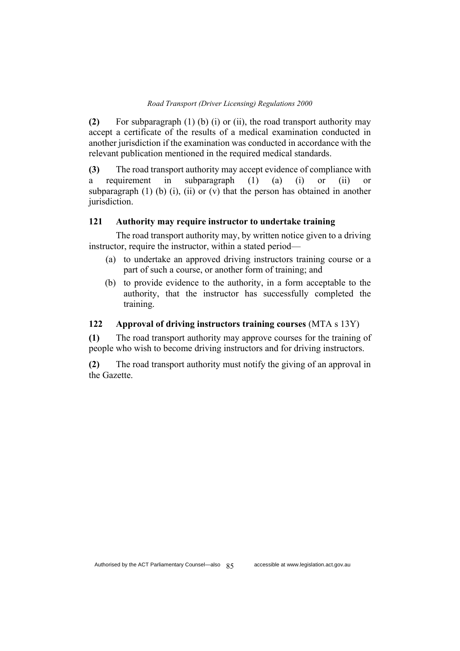**(2)** For subparagraph (1) (b) (i) or (ii), the road transport authority may accept a certificate of the results of a medical examination conducted in another jurisdiction if the examination was conducted in accordance with the relevant publication mentioned in the required medical standards.

**(3)** The road transport authority may accept evidence of compliance with a requirement in subparagraph (1) (a) (i) or (ii) or subparagraph  $(1)$   $(b)$   $(i)$ ,  $(ii)$  or  $(v)$  that the person has obtained in another jurisdiction.

## **121 Authority may require instructor to undertake training**

The road transport authority may, by written notice given to a driving instructor, require the instructor, within a stated period—

- (a) to undertake an approved driving instructors training course or a part of such a course, or another form of training; and
- (b) to provide evidence to the authority, in a form acceptable to the authority, that the instructor has successfully completed the training.

## **122 Approval of driving instructors training courses** (MTA s 13Y)

**(1)** The road transport authority may approve courses for the training of people who wish to become driving instructors and for driving instructors.

**(2)** The road transport authority must notify the giving of an approval in the Gazette.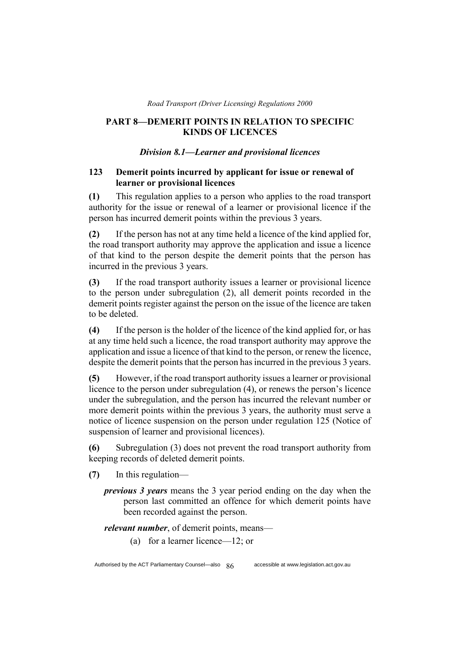## **PART 8—DEMERIT POINTS IN RELATION TO SPECIFIC KINDS OF LICENCES**

### *Division 8.1—Learner and provisional licences*

## **123 Demerit points incurred by applicant for issue or renewal of learner or provisional licences**

**(1)** This regulation applies to a person who applies to the road transport authority for the issue or renewal of a learner or provisional licence if the person has incurred demerit points within the previous 3 years.

**(2)** If the person has not at any time held a licence of the kind applied for, the road transport authority may approve the application and issue a licence of that kind to the person despite the demerit points that the person has incurred in the previous 3 years.

**(3)** If the road transport authority issues a learner or provisional licence to the person under subregulation (2), all demerit points recorded in the demerit points register against the person on the issue of the licence are taken to be deleted.

**(4)** If the person is the holder of the licence of the kind applied for, or has at any time held such a licence, the road transport authority may approve the application and issue a licence of that kind to the person, or renew the licence, despite the demerit points that the person has incurred in the previous 3 years.

**(5)** However, if the road transport authority issues a learner or provisional licence to the person under subregulation (4), or renews the person's licence under the subregulation, and the person has incurred the relevant number or more demerit points within the previous 3 years, the authority must serve a notice of licence suspension on the person under regulation 125 (Notice of suspension of learner and provisional licences).

**(6)** Subregulation (3) does not prevent the road transport authority from keeping records of deleted demerit points.

- **(7)** In this regulation
	- *previous 3 years* means the 3 year period ending on the day when the person last committed an offence for which demerit points have been recorded against the person.

*relevant number*, of demerit points, means—

(a) for a learner licence—12; or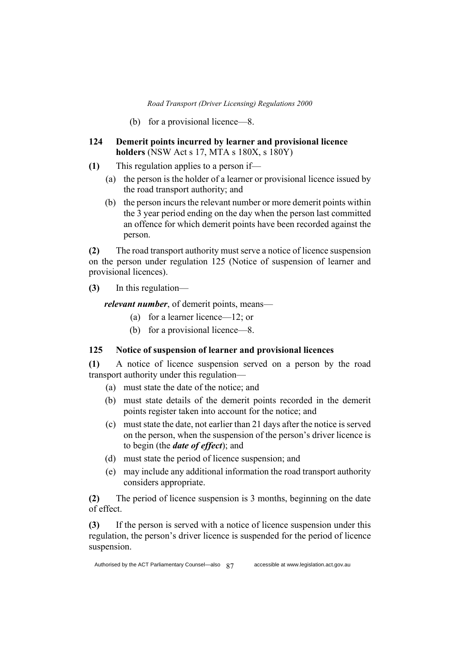- (b) for a provisional licence—8.
- **124 Demerit points incurred by learner and provisional licence holders** (NSW Act s 17, MTA s 180X, s 180Y)
- **(1)** This regulation applies to a person if—
	- (a) the person is the holder of a learner or provisional licence issued by the road transport authority; and
	- (b) the person incurs the relevant number or more demerit points within the 3 year period ending on the day when the person last committed an offence for which demerit points have been recorded against the person.

**(2)** The road transport authority must serve a notice of licence suspension on the person under regulation 125 (Notice of suspension of learner and provisional licences).

**(3)** In this regulation—

*relevant number*, of demerit points, means—

- (a) for a learner licence—12; or
- (b) for a provisional licence—8.

## **125 Notice of suspension of learner and provisional licences**

**(1)** A notice of licence suspension served on a person by the road transport authority under this regulation—

- (a) must state the date of the notice; and
- (b) must state details of the demerit points recorded in the demerit points register taken into account for the notice; and
- (c) must state the date, not earlier than 21 days after the notice is served on the person, when the suspension of the person's driver licence is to begin (the *date of effect*); and
- (d) must state the period of licence suspension; and
- (e) may include any additional information the road transport authority considers appropriate.

**(2)** The period of licence suspension is 3 months, beginning on the date of effect.

**(3)** If the person is served with a notice of licence suspension under this regulation, the person's driver licence is suspended for the period of licence suspension.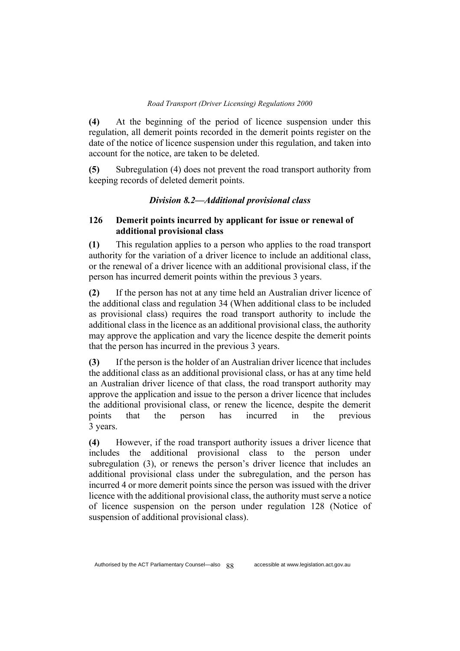**(4)** At the beginning of the period of licence suspension under this regulation, all demerit points recorded in the demerit points register on the date of the notice of licence suspension under this regulation, and taken into account for the notice, are taken to be deleted.

**(5)** Subregulation (4) does not prevent the road transport authority from keeping records of deleted demerit points.

## *Division 8.2—Additional provisional class*

## **126 Demerit points incurred by applicant for issue or renewal of additional provisional class**

**(1)** This regulation applies to a person who applies to the road transport authority for the variation of a driver licence to include an additional class, or the renewal of a driver licence with an additional provisional class, if the person has incurred demerit points within the previous 3 years.

**(2)** If the person has not at any time held an Australian driver licence of the additional class and regulation 34 (When additional class to be included as provisional class) requires the road transport authority to include the additional class in the licence as an additional provisional class, the authority may approve the application and vary the licence despite the demerit points that the person has incurred in the previous 3 years.

**(3)** If the person is the holder of an Australian driver licence that includes the additional class as an additional provisional class, or has at any time held an Australian driver licence of that class, the road transport authority may approve the application and issue to the person a driver licence that includes the additional provisional class, or renew the licence, despite the demerit points that the person has incurred in the previous 3 years.

**(4)** However, if the road transport authority issues a driver licence that includes the additional provisional class to the person under subregulation (3), or renews the person's driver licence that includes an additional provisional class under the subregulation, and the person has incurred 4 or more demerit points since the person was issued with the driver licence with the additional provisional class, the authority must serve a notice of licence suspension on the person under regulation 128 (Notice of suspension of additional provisional class).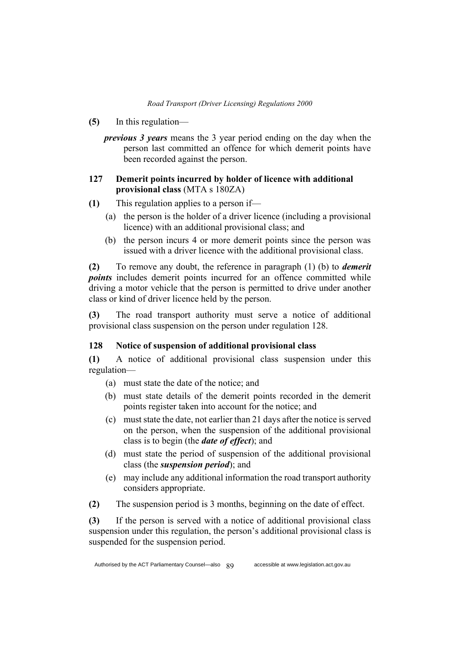- **(5)** In this regulation
	- *previous 3 years* means the 3 year period ending on the day when the person last committed an offence for which demerit points have been recorded against the person.

## **127 Demerit points incurred by holder of licence with additional provisional class** (MTA s 180ZA)

- **(1)** This regulation applies to a person if—
	- (a) the person is the holder of a driver licence (including a provisional licence) with an additional provisional class; and
	- (b) the person incurs 4 or more demerit points since the person was issued with a driver licence with the additional provisional class.

**(2)** To remove any doubt, the reference in paragraph (1) (b) to *demerit points* includes demerit points incurred for an offence committed while driving a motor vehicle that the person is permitted to drive under another class or kind of driver licence held by the person.

**(3)** The road transport authority must serve a notice of additional provisional class suspension on the person under regulation 128.

## **128 Notice of suspension of additional provisional class**

**(1)** A notice of additional provisional class suspension under this regulation—

- (a) must state the date of the notice; and
- (b) must state details of the demerit points recorded in the demerit points register taken into account for the notice; and
- (c) must state the date, not earlier than 21 days after the notice is served on the person, when the suspension of the additional provisional class is to begin (the *date of effect*); and
- (d) must state the period of suspension of the additional provisional class (the *suspension period*); and
- (e) may include any additional information the road transport authority considers appropriate.
- **(2)** The suspension period is 3 months, beginning on the date of effect.

**(3)** If the person is served with a notice of additional provisional class suspension under this regulation, the person's additional provisional class is suspended for the suspension period.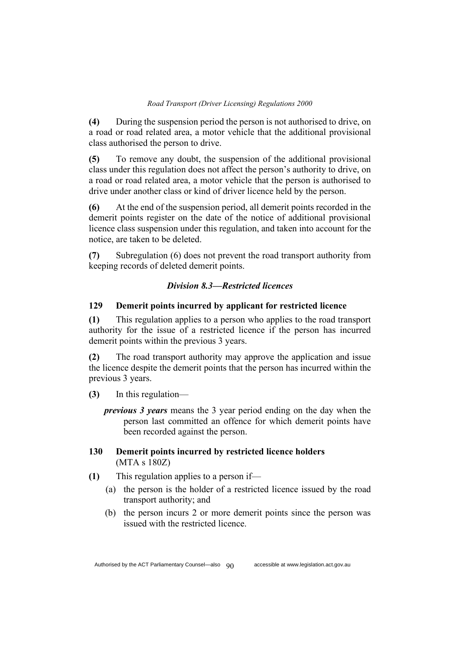**(4)** During the suspension period the person is not authorised to drive, on a road or road related area, a motor vehicle that the additional provisional class authorised the person to drive.

**(5)** To remove any doubt, the suspension of the additional provisional class under this regulation does not affect the person's authority to drive, on a road or road related area, a motor vehicle that the person is authorised to drive under another class or kind of driver licence held by the person.

**(6)** At the end of the suspension period, all demerit points recorded in the demerit points register on the date of the notice of additional provisional licence class suspension under this regulation, and taken into account for the notice, are taken to be deleted.

**(7)** Subregulation (6) does not prevent the road transport authority from keeping records of deleted demerit points.

## *Division 8.3—Restricted licences*

### **129 Demerit points incurred by applicant for restricted licence**

**(1)** This regulation applies to a person who applies to the road transport authority for the issue of a restricted licence if the person has incurred demerit points within the previous 3 years.

**(2)** The road transport authority may approve the application and issue the licence despite the demerit points that the person has incurred within the previous 3 years.

- **(3)** In this regulation
	- *previous 3 years* means the 3 year period ending on the day when the person last committed an offence for which demerit points have been recorded against the person.

## **130 Demerit points incurred by restricted licence holders**  (MTA s 180Z)

- **(1)** This regulation applies to a person if—
	- (a) the person is the holder of a restricted licence issued by the road transport authority; and
	- (b) the person incurs 2 or more demerit points since the person was issued with the restricted licence.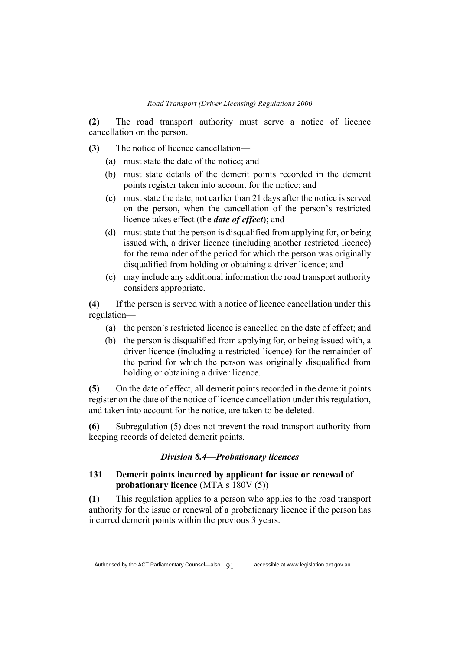**(2)** The road transport authority must serve a notice of licence cancellation on the person.

**(3)** The notice of licence cancellation—

- (a) must state the date of the notice; and
- (b) must state details of the demerit points recorded in the demerit points register taken into account for the notice; and
- (c) must state the date, not earlier than 21 days after the notice is served on the person, when the cancellation of the person's restricted licence takes effect (the *date of effect*); and
- (d) must state that the person is disqualified from applying for, or being issued with, a driver licence (including another restricted licence) for the remainder of the period for which the person was originally disqualified from holding or obtaining a driver licence; and
- (e) may include any additional information the road transport authority considers appropriate.

**(4)** If the person is served with a notice of licence cancellation under this regulation—

- (a) the person's restricted licence is cancelled on the date of effect; and
- (b) the person is disqualified from applying for, or being issued with, a driver licence (including a restricted licence) for the remainder of the period for which the person was originally disqualified from holding or obtaining a driver licence.

**(5)** On the date of effect, all demerit points recorded in the demerit points register on the date of the notice of licence cancellation under this regulation, and taken into account for the notice, are taken to be deleted.

**(6)** Subregulation (5) does not prevent the road transport authority from keeping records of deleted demerit points.

### *Division 8.4—Probationary licences*

## **131 Demerit points incurred by applicant for issue or renewal of probationary licence** (MTA s 180V (5))

**(1)** This regulation applies to a person who applies to the road transport authority for the issue or renewal of a probationary licence if the person has incurred demerit points within the previous 3 years.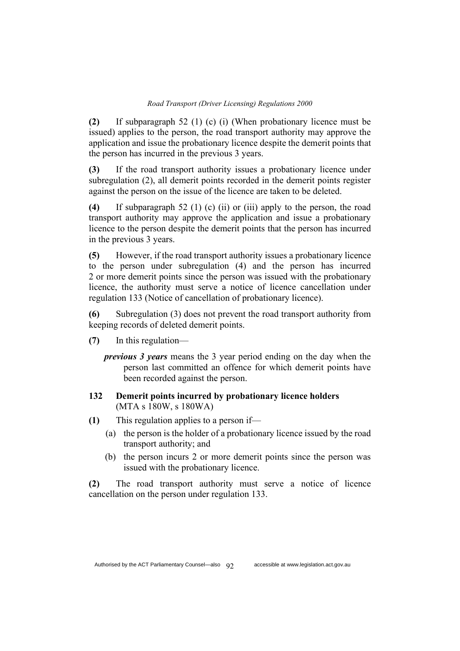**(2)** If subparagraph 52 (1) (c) (i) (When probationary licence must be issued) applies to the person, the road transport authority may approve the application and issue the probationary licence despite the demerit points that the person has incurred in the previous 3 years.

**(3)** If the road transport authority issues a probationary licence under subregulation (2), all demerit points recorded in the demerit points register against the person on the issue of the licence are taken to be deleted.

**(4)** If subparagraph 52 (1) (c) (ii) or (iii) apply to the person, the road transport authority may approve the application and issue a probationary licence to the person despite the demerit points that the person has incurred in the previous 3 years.

**(5)** However, if the road transport authority issues a probationary licence to the person under subregulation (4) and the person has incurred 2 or more demerit points since the person was issued with the probationary licence, the authority must serve a notice of licence cancellation under regulation 133 (Notice of cancellation of probationary licence).

**(6)** Subregulation (3) does not prevent the road transport authority from keeping records of deleted demerit points.

- **(7)** In this regulation
	- *previous 3 years* means the 3 year period ending on the day when the person last committed an offence for which demerit points have been recorded against the person.

## **132 Demerit points incurred by probationary licence holders**  (MTA s 180W, s 180WA)

- **(1)** This regulation applies to a person if—
	- (a) the person is the holder of a probationary licence issued by the road transport authority; and
	- (b) the person incurs 2 or more demerit points since the person was issued with the probationary licence.

**(2)** The road transport authority must serve a notice of licence cancellation on the person under regulation 133.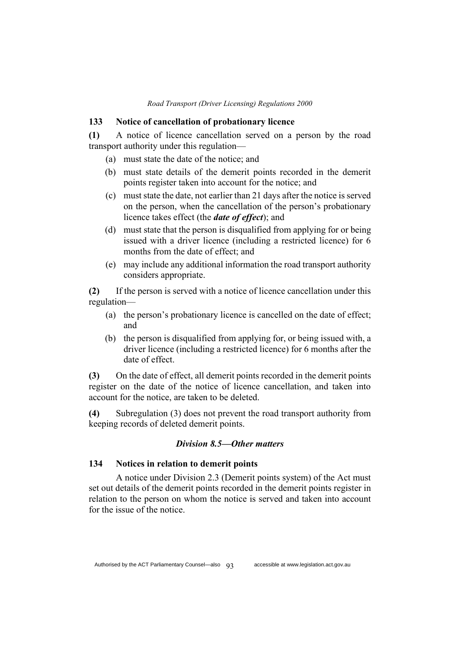#### **133 Notice of cancellation of probationary licence**

**(1)** A notice of licence cancellation served on a person by the road transport authority under this regulation—

- (a) must state the date of the notice; and
- (b) must state details of the demerit points recorded in the demerit points register taken into account for the notice; and
- (c) must state the date, not earlier than 21 days after the notice is served on the person, when the cancellation of the person's probationary licence takes effect (the *date of effect*); and
- (d) must state that the person is disqualified from applying for or being issued with a driver licence (including a restricted licence) for 6 months from the date of effect; and
- (e) may include any additional information the road transport authority considers appropriate.

**(2)** If the person is served with a notice of licence cancellation under this regulation—

- (a) the person's probationary licence is cancelled on the date of effect; and
- (b) the person is disqualified from applying for, or being issued with, a driver licence (including a restricted licence) for 6 months after the date of effect.

**(3)** On the date of effect, all demerit points recorded in the demerit points register on the date of the notice of licence cancellation, and taken into account for the notice, are taken to be deleted.

**(4)** Subregulation (3) does not prevent the road transport authority from keeping records of deleted demerit points.

## *Division 8.5—Other matters*

## **134 Notices in relation to demerit points**

A notice under Division 2.3 (Demerit points system) of the Act must set out details of the demerit points recorded in the demerit points register in relation to the person on whom the notice is served and taken into account for the issue of the notice.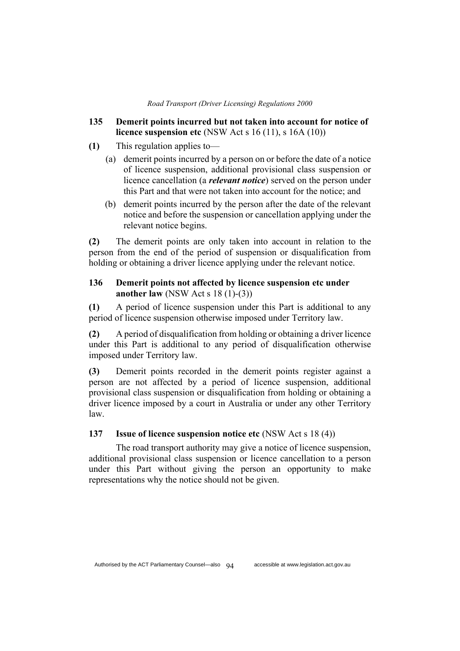- **135 Demerit points incurred but not taken into account for notice of licence suspension etc** (NSW Act s 16 (11), s 16A (10))
- **(1)** This regulation applies to—
	- (a) demerit points incurred by a person on or before the date of a notice of licence suspension, additional provisional class suspension or licence cancellation (a *relevant notice*) served on the person under this Part and that were not taken into account for the notice; and
	- (b) demerit points incurred by the person after the date of the relevant notice and before the suspension or cancellation applying under the relevant notice begins.

**(2)** The demerit points are only taken into account in relation to the person from the end of the period of suspension or disqualification from holding or obtaining a driver licence applying under the relevant notice.

## **136 Demerit points not affected by licence suspension etc under another law** (NSW Act s 18 (1)-(3))

**(1)** A period of licence suspension under this Part is additional to any period of licence suspension otherwise imposed under Territory law.

**(2)** A period of disqualification from holding or obtaining a driver licence under this Part is additional to any period of disqualification otherwise imposed under Territory law.

**(3)** Demerit points recorded in the demerit points register against a person are not affected by a period of licence suspension, additional provisional class suspension or disqualification from holding or obtaining a driver licence imposed by a court in Australia or under any other Territory law.

## **137 Issue of licence suspension notice etc** (NSW Act s 18 (4))

The road transport authority may give a notice of licence suspension, additional provisional class suspension or licence cancellation to a person under this Part without giving the person an opportunity to make representations why the notice should not be given.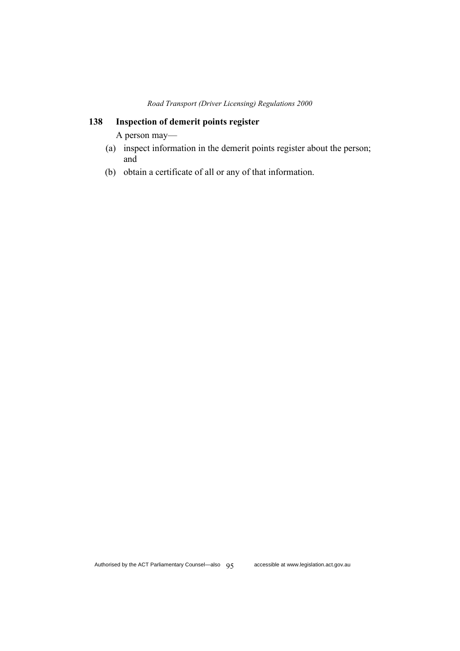# **138 Inspection of demerit points register**

A person may—

- (a) inspect information in the demerit points register about the person; and
- (b) obtain a certificate of all or any of that information.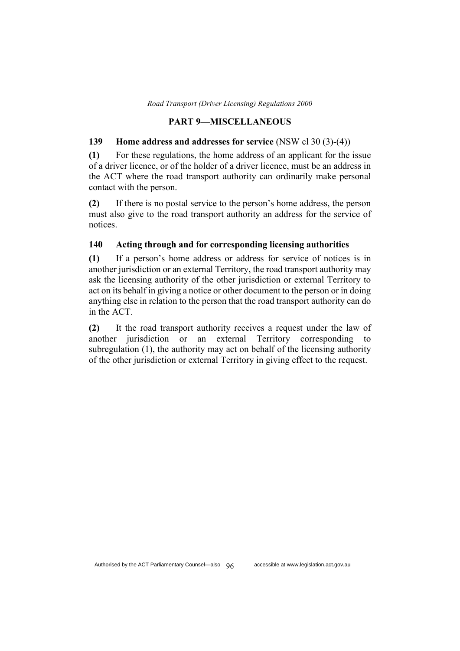### **PART 9—MISCELLANEOUS**

## **139 Home address and addresses for service** (NSW cl 30 (3)-(4))

**(1)** For these regulations, the home address of an applicant for the issue of a driver licence, or of the holder of a driver licence, must be an address in the ACT where the road transport authority can ordinarily make personal contact with the person.

**(2)** If there is no postal service to the person's home address, the person must also give to the road transport authority an address for the service of notices.

## **140 Acting through and for corresponding licensing authorities**

**(1)** If a person's home address or address for service of notices is in another jurisdiction or an external Territory, the road transport authority may ask the licensing authority of the other jurisdiction or external Territory to act on its behalf in giving a notice or other document to the person or in doing anything else in relation to the person that the road transport authority can do in the ACT.

**(2)** It the road transport authority receives a request under the law of another jurisdiction or an external Territory corresponding to subregulation (1), the authority may act on behalf of the licensing authority of the other jurisdiction or external Territory in giving effect to the request.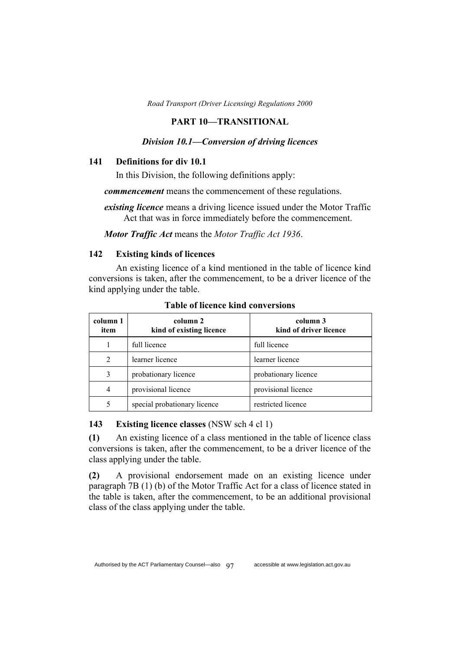#### **PART 10—TRANSITIONAL**

### *Division 10.1—Conversion of driving licences*

## **141 Definitions for div 10.1**

In this Division, the following definitions apply:

*commencement* means the commencement of these regulations.

*existing licence* means a driving licence issued under the Motor Traffic Act that was in force immediately before the commencement.

*Motor Traffic Act* means the *Motor Traffic Act 1936*.

### **142 Existing kinds of licences**

An existing licence of a kind mentioned in the table of licence kind conversions is taken, after the commencement, to be a driver licence of the kind applying under the table.

| column 1<br>item            | column 2<br>kind of existing licence | column 3<br>kind of driver licence |
|-----------------------------|--------------------------------------|------------------------------------|
|                             | full licence                         | full licence                       |
| $\mathcal{D}_{\mathcal{L}}$ | learner licence                      | learner licence                    |
| 3                           | probationary licence                 | probationary licence               |
| 4                           | provisional licence                  | provisional licence                |
|                             | special probationary licence         | restricted licence                 |

**Table of licence kind conversions**

#### **143 Existing licence classes** (NSW sch 4 cl 1)

**(1)** An existing licence of a class mentioned in the table of licence class conversions is taken, after the commencement, to be a driver licence of the class applying under the table.

**(2)** A provisional endorsement made on an existing licence under paragraph 7B (1) (b) of the Motor Traffic Act for a class of licence stated in the table is taken, after the commencement, to be an additional provisional class of the class applying under the table.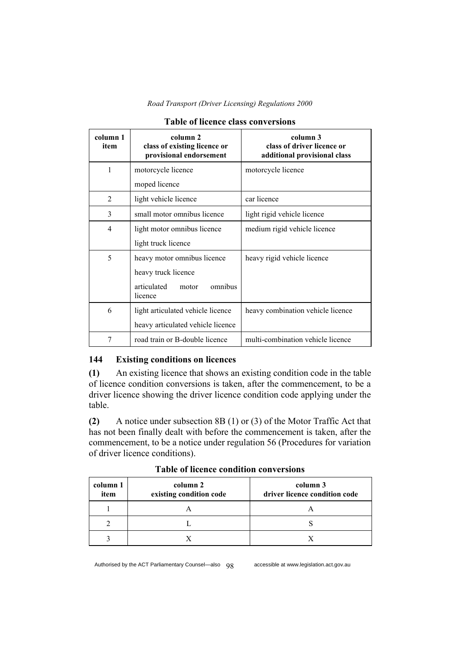| column 1<br>item | column 2<br>class of existing licence or<br>provisional endorsement | column 3<br>class of driver licence or<br>additional provisional class |
|------------------|---------------------------------------------------------------------|------------------------------------------------------------------------|
| 1                | motorcycle licence                                                  | motorcycle licence                                                     |
|                  | moped licence                                                       |                                                                        |
| 2                | light vehicle licence                                               | car licence                                                            |
| 3                | small motor omnibus licence                                         | light rigid vehicle licence                                            |
| 4                | light motor omnibus licence                                         | medium rigid vehicle licence                                           |
|                  | light truck licence                                                 |                                                                        |
| 5                | heavy motor omnibus licence                                         | heavy rigid vehicle licence                                            |
|                  | heavy truck licence                                                 |                                                                        |
|                  | articulated<br>omnibus<br>motor<br>licence                          |                                                                        |
| 6                | light articulated vehicle licence                                   | heavy combination vehicle licence                                      |
|                  | heavy articulated vehicle licence                                   |                                                                        |
| 7                | road train or B-double licence                                      | multi-combination vehicle licence                                      |

### **Table of licence class conversions**

## **144 Existing conditions on licences**

**(1)** An existing licence that shows an existing condition code in the table of licence condition conversions is taken, after the commencement, to be a driver licence showing the driver licence condition code applying under the table.

**(2)** A notice under subsection 8B (1) or (3) of the Motor Traffic Act that has not been finally dealt with before the commencement is taken, after the commencement, to be a notice under regulation 56 (Procedures for variation of driver licence conditions).

| column 1<br>item | column 2<br>existing condition code | column 3<br>driver licence condition code |
|------------------|-------------------------------------|-------------------------------------------|
|                  |                                     |                                           |
|                  |                                     |                                           |
|                  |                                     |                                           |

**Table of licence condition conversions**

Authorised by the ACT Parliamentary Counsel—also  $q\alpha$  accessible at www.legislation.act.gov.au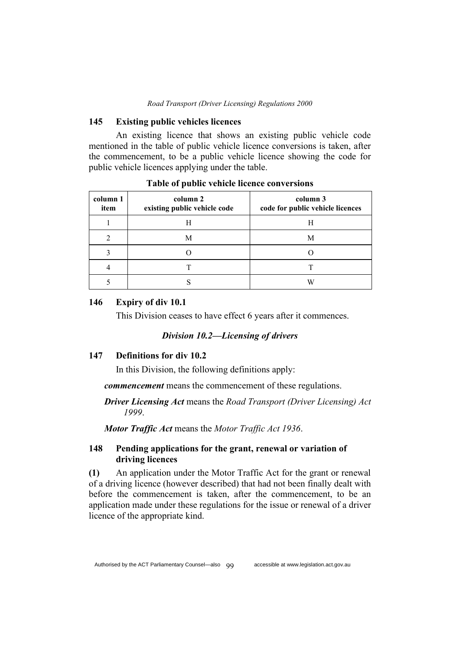#### **145 Existing public vehicles licences**

An existing licence that shows an existing public vehicle code mentioned in the table of public vehicle licence conversions is taken, after the commencement, to be a public vehicle licence showing the code for public vehicle licences applying under the table.

| column 1<br>item | column 2<br>existing public vehicle code | column 3<br>code for public vehicle licences |
|------------------|------------------------------------------|----------------------------------------------|
|                  | Н                                        | Н                                            |
|                  | М                                        | М                                            |
|                  |                                          |                                              |
|                  |                                          |                                              |
|                  |                                          |                                              |

**Table of public vehicle licence conversions**

## **146 Expiry of div 10.1**

This Division ceases to have effect 6 years after it commences.

## *Division 10.2—Licensing of drivers*

## **147 Definitions for div 10.2**

In this Division, the following definitions apply:

*commencement* means the commencement of these regulations.

# *Driver Licensing Act* means the *Road Transport (Driver Licensing) Act 1999*.

*Motor Traffic Act* means the *Motor Traffic Act 1936*.

# **148 Pending applications for the grant, renewal or variation of driving licences**

**(1)** An application under the Motor Traffic Act for the grant or renewal of a driving licence (however described) that had not been finally dealt with before the commencement is taken, after the commencement, to be an application made under these regulations for the issue or renewal of a driver licence of the appropriate kind.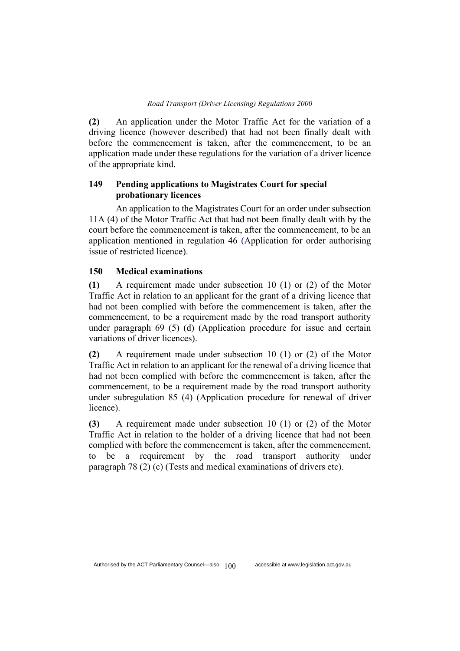**(2)** An application under the Motor Traffic Act for the variation of a driving licence (however described) that had not been finally dealt with before the commencement is taken, after the commencement, to be an application made under these regulations for the variation of a driver licence of the appropriate kind.

# **149 Pending applications to Magistrates Court for special probationary licences**

An application to the Magistrates Court for an order under subsection 11A (4) of the Motor Traffic Act that had not been finally dealt with by the court before the commencement is taken, after the commencement, to be an application mentioned in regulation 46 (Application for order authorising issue of restricted licence).

### **150 Medical examinations**

**(1)** A requirement made under subsection 10 (1) or (2) of the Motor Traffic Act in relation to an applicant for the grant of a driving licence that had not been complied with before the commencement is taken, after the commencement, to be a requirement made by the road transport authority under paragraph 69 (5) (d) (Application procedure for issue and certain variations of driver licences).

**(2)** A requirement made under subsection 10 (1) or (2) of the Motor Traffic Act in relation to an applicant for the renewal of a driving licence that had not been complied with before the commencement is taken, after the commencement, to be a requirement made by the road transport authority under subregulation 85 (4) (Application procedure for renewal of driver licence).

**(3)** A requirement made under subsection 10 (1) or (2) of the Motor Traffic Act in relation to the holder of a driving licence that had not been complied with before the commencement is taken, after the commencement, to be a requirement by the road transport authority under paragraph 78 (2) (c) (Tests and medical examinations of drivers etc).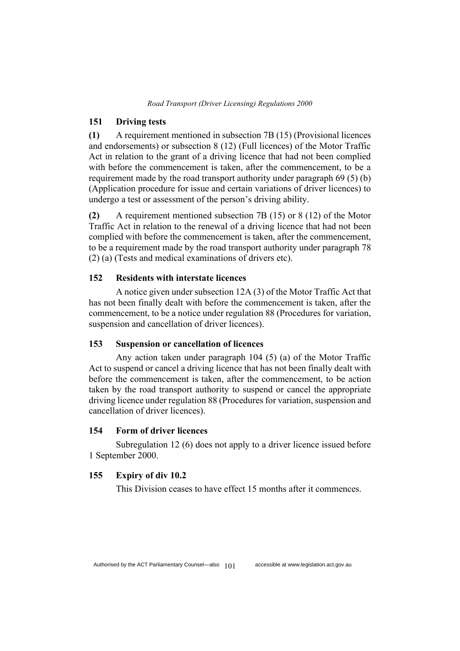## **151 Driving tests**

**(1)** A requirement mentioned in subsection 7B (15) (Provisional licences and endorsements) or subsection 8 (12) (Full licences) of the Motor Traffic Act in relation to the grant of a driving licence that had not been complied with before the commencement is taken, after the commencement, to be a requirement made by the road transport authority under paragraph 69 (5) (b) (Application procedure for issue and certain variations of driver licences) to undergo a test or assessment of the person's driving ability.

**(2)** A requirement mentioned subsection 7B (15) or 8 (12) of the Motor Traffic Act in relation to the renewal of a driving licence that had not been complied with before the commencement is taken, after the commencement, to be a requirement made by the road transport authority under paragraph 78 (2) (a) (Tests and medical examinations of drivers etc).

# **152 Residents with interstate licences**

A notice given under subsection 12A (3) of the Motor Traffic Act that has not been finally dealt with before the commencement is taken, after the commencement, to be a notice under regulation 88 (Procedures for variation, suspension and cancellation of driver licences).

## **153 Suspension or cancellation of licences**

Any action taken under paragraph 104 (5) (a) of the Motor Traffic Act to suspend or cancel a driving licence that has not been finally dealt with before the commencement is taken, after the commencement, to be action taken by the road transport authority to suspend or cancel the appropriate driving licence under regulation 88 (Procedures for variation, suspension and cancellation of driver licences).

## **154 Form of driver licences**

Subregulation 12 (6) does not apply to a driver licence issued before 1 September 2000.

### **155 Expiry of div 10.2**

This Division ceases to have effect 15 months after it commences.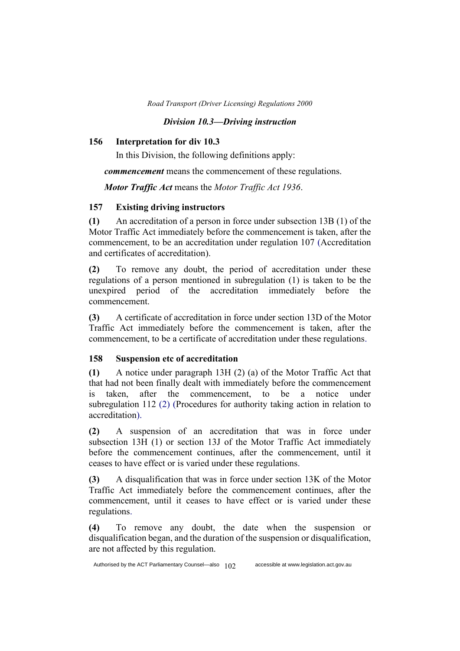# *Division 10.3—Driving instruction*

# **156 Interpretation for div 10.3**

In this Division, the following definitions apply:

*commencement* means the commencement of these regulations.

*Motor Traffic Act* means the *Motor Traffic Act 1936*.

# **157 Existing driving instructors**

**(1)** An accreditation of a person in force under subsection 13B (1) of the Motor Traffic Act immediately before the commencement is taken, after the commencement, to be an accreditation under regulation 107 (Accreditation and certificates of accreditation).

**(2)** To remove any doubt, the period of accreditation under these regulations of a person mentioned in subregulation (1) is taken to be the unexpired period of the accreditation immediately before the commencement.

**(3)** A certificate of accreditation in force under section 13D of the Motor Traffic Act immediately before the commencement is taken, after the commencement, to be a certificate of accreditation under these regulations.

# **158 Suspension etc of accreditation**

**(1)** A notice under paragraph 13H (2) (a) of the Motor Traffic Act that that had not been finally dealt with immediately before the commencement is taken, after the commencement, to be a notice under subregulation 112 (2) (Procedures for authority taking action in relation to accreditation).

**(2)** A suspension of an accreditation that was in force under subsection 13H (1) or section 13J of the Motor Traffic Act immediately before the commencement continues, after the commencement, until it ceases to have effect or is varied under these regulations.

**(3)** A disqualification that was in force under section 13K of the Motor Traffic Act immediately before the commencement continues, after the commencement, until it ceases to have effect or is varied under these regulations.

**(4)** To remove any doubt, the date when the suspension or disqualification began, and the duration of the suspension or disqualification, are not affected by this regulation.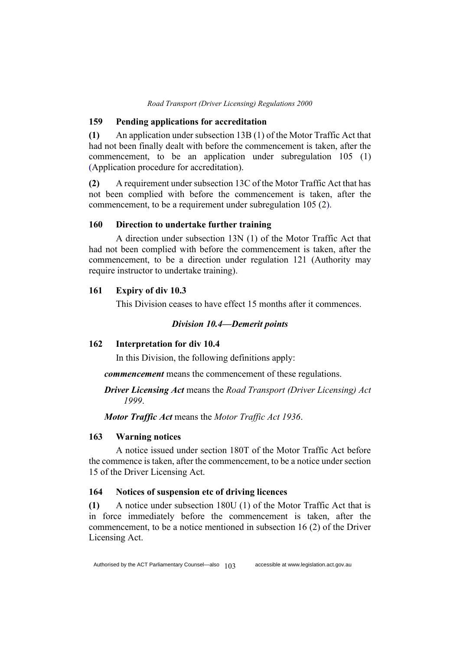#### **159 Pending applications for accreditation**

**(1)** An application under subsection 13B (1) of the Motor Traffic Act that had not been finally dealt with before the commencement is taken, after the commencement, to be an application under subregulation 105 (1) (Application procedure for accreditation).

**(2)** A requirement under subsection 13C of the Motor Traffic Act that has not been complied with before the commencement is taken, after the commencement, to be a requirement under subregulation 105 (2).

# **160 Direction to undertake further training**

A direction under subsection 13N (1) of the Motor Traffic Act that had not been complied with before the commencement is taken, after the commencement, to be a direction under regulation 121 (Authority may require instructor to undertake training).

### **161 Expiry of div 10.3**

This Division ceases to have effect 15 months after it commences.

# *Division 10.4—Demerit points*

# **162 Interpretation for div 10.4**

In this Division, the following definitions apply:

*commencement* means the commencement of these regulations.

# *Driver Licensing Act* means the *Road Transport (Driver Licensing) Act 1999*.

*Motor Traffic Act* means the *Motor Traffic Act 1936*.

### **163 Warning notices**

A notice issued under section 180T of the Motor Traffic Act before the commence is taken, after the commencement, to be a notice under section 15 of the Driver Licensing Act.

# **164 Notices of suspension etc of driving licences**

**(1)** A notice under subsection 180U (1) of the Motor Traffic Act that is in force immediately before the commencement is taken, after the commencement, to be a notice mentioned in subsection 16 (2) of the Driver Licensing Act.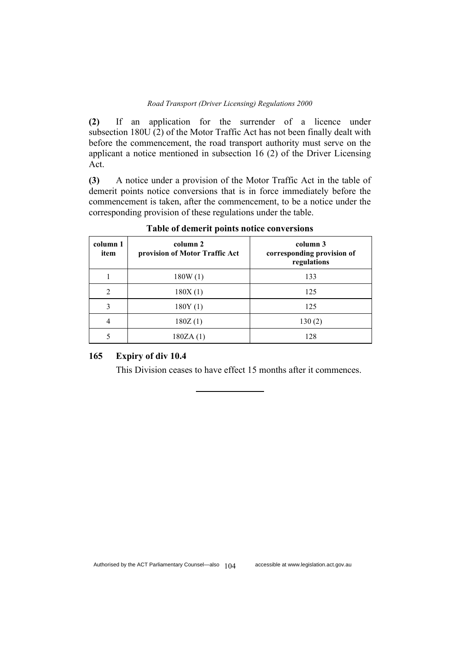**(2)** If an application for the surrender of a licence under subsection 180U (2) of the Motor Traffic Act has not been finally dealt with before the commencement, the road transport authority must serve on the applicant a notice mentioned in subsection 16 (2) of the Driver Licensing Act.

**(3)** A notice under a provision of the Motor Traffic Act in the table of demerit points notice conversions that is in force immediately before the commencement is taken, after the commencement, to be a notice under the corresponding provision of these regulations under the table.

| column 1<br>item | column 2<br>provision of Motor Traffic Act | column 3<br>corresponding provision of<br>regulations |
|------------------|--------------------------------------------|-------------------------------------------------------|
|                  | 180W(1)                                    | 133                                                   |
| $\mathfrak{D}$   | 180X(1)                                    | 125                                                   |
| 3                | 180Y(1)                                    | 125                                                   |
|                  | 180Z(1)                                    | 130(2)                                                |
|                  | 180ZA(1)                                   | 128                                                   |

**Table of demerit points notice conversions**

# **165 Expiry of div 10.4**

This Division ceases to have effect 15 months after it commences.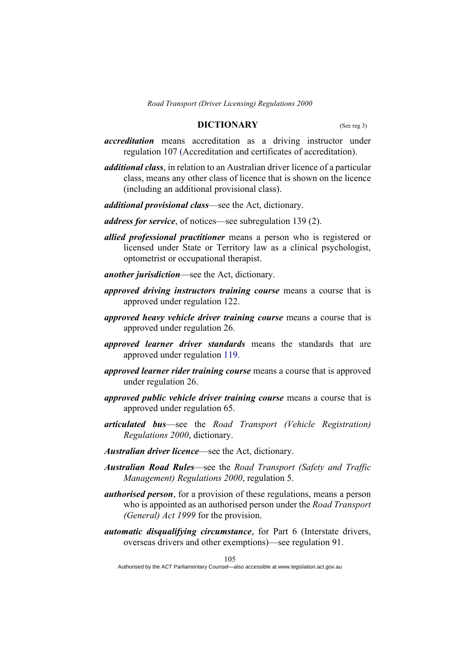# **DICTIONARY** (See reg 3)

- *accreditation* means accreditation as a driving instructor under regulation 107 (Accreditation and certificates of accreditation).
- *additional class*, in relation to an Australian driver licence of a particular class, means any other class of licence that is shown on the licence (including an additional provisional class).
- *additional provisional class*—see the Act, dictionary.
- *address for service*, of notices—see subregulation 139 (2).
- *allied professional practitioner* means a person who is registered or licensed under State or Territory law as a clinical psychologist, optometrist or occupational therapist.
- *another jurisdiction*—see the Act, dictionary.
- *approved driving instructors training course* means a course that is approved under regulation 122.
- *approved heavy vehicle driver training course* means a course that is approved under regulation 26.
- *approved learner driver standards* means the standards that are approved under regulation 119.
- *approved learner rider training course* means a course that is approved under regulation 26.
- *approved public vehicle driver training course* means a course that is approved under regulation 65.
- *articulated bus*—see the *Road Transport (Vehicle Registration) Regulations 2000*, dictionary.
- *Australian driver licence*—see the Act, dictionary.
- *Australian Road Rules*—see the *Road Transport (Safety and Traffic Management) Regulations 2000*, regulation 5.
- *authorised person*, for a provision of these regulations, means a person who is appointed as an authorised person under the *Road Transport (General) Act 1999* for the provision.
- *automatic disqualifying circumstance*, for Part 6 (Interstate drivers, overseas drivers and other exemptions)—see regulation 91.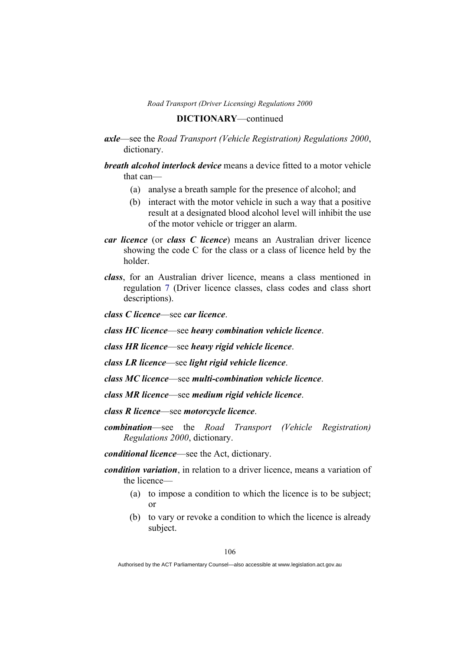### **DICTIONARY**—continued

- *axle*—see the *Road Transport (Vehicle Registration) Regulations 2000*, dictionary.
- *breath alcohol interlock device* means a device fitted to a motor vehicle that can—
	- (a) analyse a breath sample for the presence of alcohol; and
	- (b) interact with the motor vehicle in such a way that a positive result at a designated blood alcohol level will inhibit the use of the motor vehicle or trigger an alarm.
- *car licence* (or *class C licence*) means an Australian driver licence showing the code C for the class or a class of licence held by the holder.
- *class*, for an Australian driver licence, means a class mentioned in regulation 7 (Driver licence classes, class codes and class short descriptions).

*class C licence*—see *car licence*.

*class HC licence*—see *heavy combination vehicle licence*.

*class HR licence*—see *heavy rigid vehicle licence*.

*class LR licence*—see *light rigid vehicle licence*.

*class MC licence*—see *multi-combination vehicle licence*.

*class MR licence*—see *medium rigid vehicle licence*.

*class R licence*—see *motorcycle licence*.

*combination*—see the *Road Transport (Vehicle Registration) Regulations 2000*, dictionary.

*conditional licence*—see the Act, dictionary.

- *condition variation*, in relation to a driver licence, means a variation of the licence—
	- (a) to impose a condition to which the licence is to be subject; or
	- (b) to vary or revoke a condition to which the licence is already subject.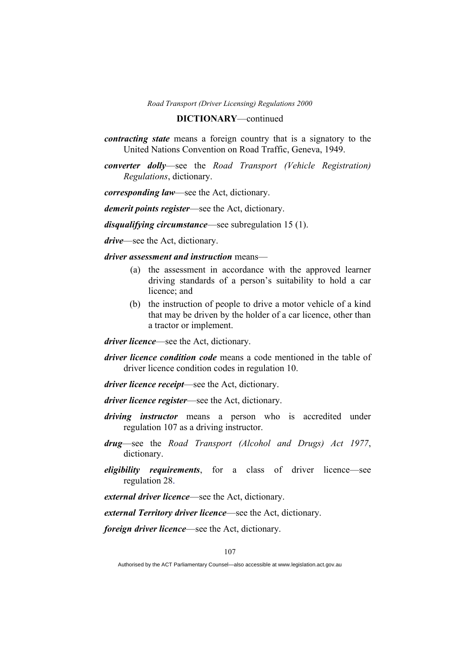### **DICTIONARY**—continued

- *contracting state* means a foreign country that is a signatory to the United Nations Convention on Road Traffic, Geneva, 1949.
- *converter dolly*—see the *Road Transport (Vehicle Registration) Regulations*, dictionary.

*corresponding law*—see the Act, dictionary.

*demerit points register*—see the Act, dictionary.

*disqualifying circumstance*—see subregulation 15 (1).

*drive*—see the Act, dictionary.

*driver assessment and instruction* means—

- (a) the assessment in accordance with the approved learner driving standards of a person's suitability to hold a car licence; and
- (b) the instruction of people to drive a motor vehicle of a kind that may be driven by the holder of a car licence, other than a tractor or implement.

*driver licence*—see the Act, dictionary.

- *driver licence condition code* means a code mentioned in the table of driver licence condition codes in regulation 10.
- *driver licence receipt*—see the Act, dictionary.
- *driver licence register*—see the Act, dictionary.
- *driving instructor* means a person who is accredited under regulation 107 as a driving instructor.
- *drug*—see the *Road Transport (Alcohol and Drugs) Act 1977*, dictionary.
- *eligibility requirements*, for a class of driver licence—see regulation 28.

*external driver licence*—see the Act, dictionary.

*external Territory driver licence*—see the Act, dictionary.

*foreign driver licence*—see the Act, dictionary.

Authorised by the ACT Parliamentary Counsel—also accessible at www.legislation.act.gov.au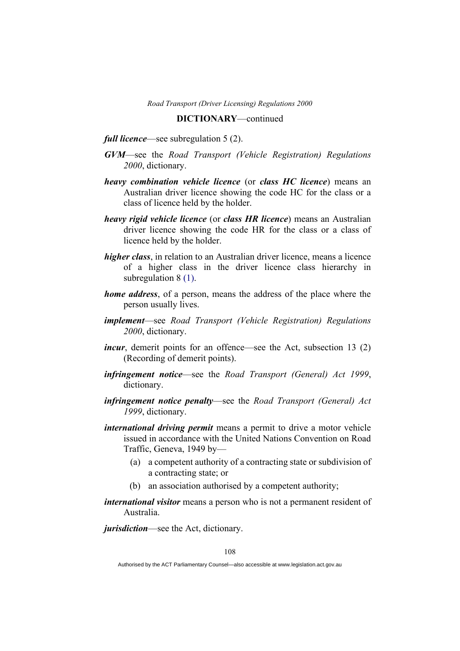### **DICTIONARY**—continued

## *full licence*—see subregulation 5 (2).

- *GVM*—see the *Road Transport (Vehicle Registration) Regulations 2000*, dictionary.
- *heavy combination vehicle licence* (or *class HC licence*) means an Australian driver licence showing the code HC for the class or a class of licence held by the holder.
- *heavy rigid vehicle licence* (or *class HR licence*) means an Australian driver licence showing the code HR for the class or a class of licence held by the holder.
- *higher class*, in relation to an Australian driver licence, means a licence of a higher class in the driver licence class hierarchy in subregulation 8 (1).
- *home address*, of a person, means the address of the place where the person usually lives.
- *implement*—see *Road Transport (Vehicle Registration) Regulations 2000*, dictionary.
- *incur*, demerit points for an offence—see the Act, subsection 13 (2) (Recording of demerit points).
- *infringement notice*—see the *Road Transport (General) Act 1999*, dictionary.
- *infringement notice penalty*—see the *Road Transport (General) Act 1999*, dictionary.
- *international driving permit* means a permit to drive a motor vehicle issued in accordance with the United Nations Convention on Road Traffic, Geneva, 1949 by—
	- (a) a competent authority of a contracting state or subdivision of a contracting state; or
	- (b) an association authorised by a competent authority;
- *international visitor* means a person who is not a permanent resident of Australia.

*jurisdiction*—see the Act, dictionary.

Authorised by the ACT Parliamentary Counsel—also accessible at www.legislation.act.gov.au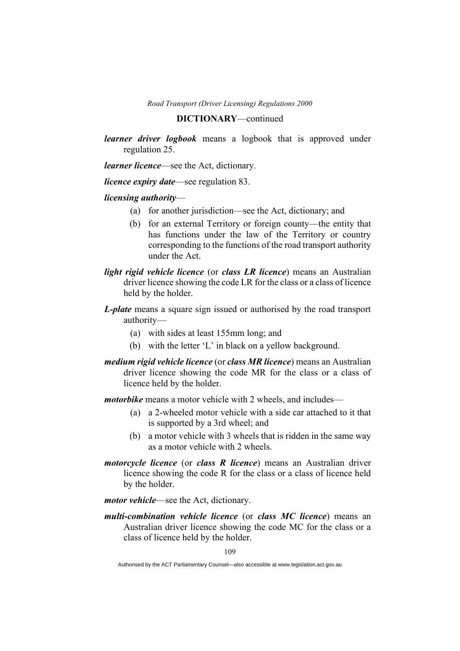### **DICTIONARY**—continued

*learner driver logbook* means a logbook that is approved under regulation 25.

*learner licence*—see the Act, dictionary.

*licence expiry date*—see regulation 83.

#### *licensing authority*—

- (a) for another jurisdiction—see the Act, dictionary; and
- (b) for an external Territory or foreign county—the entity that has functions under the law of the Territory or country corresponding to the functions of the road transport authority under the Act.
- *light rigid vehicle licence* (or *class LR licence*) means an Australian driver licence showing the code LR for the class or a class of licence held by the holder.
- *L-plate* means a square sign issued or authorised by the road transport authority—
	- (a) with sides at least 155mm long; and
	- (b) with the letter 'L' in black on a yellow background.
- *medium rigid vehicle licence* (or *class MR licence*) means an Australian driver licence showing the code MR for the class or a class of licence held by the holder.

*motorbike* means a motor vehicle with 2 wheels, and includes—

- (a) a 2-wheeled motor vehicle with a side car attached to it that is supported by a 3rd wheel; and
- (b) a motor vehicle with 3 wheels that is ridden in the same way as a motor vehicle with 2 wheels.
- *motorcycle licence* (or *class R licence*) means an Australian driver licence showing the code R for the class or a class of licence held by the holder.
- *motor vehicle*—see the Act, dictionary.
- *multi-combination vehicle licence* (or *class MC licence*) means an Australian driver licence showing the code MC for the class or a class of licence held by the holder.

Authorised by the ACT Parliamentary Counsel—also accessible at www.legislation.act.gov.au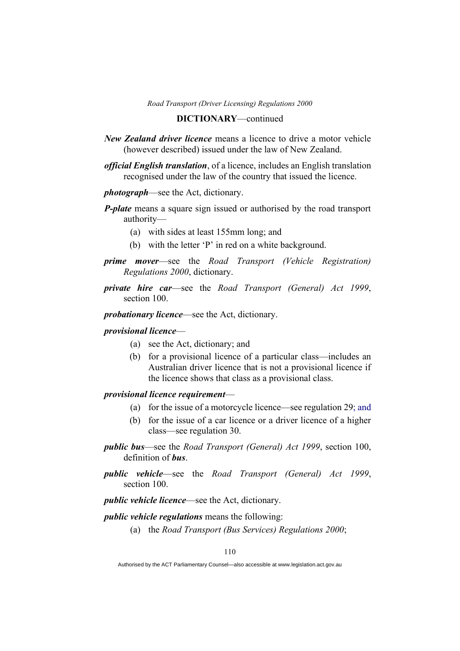### **DICTIONARY**—continued

- *New Zealand driver licence* means a licence to drive a motor vehicle (however described) issued under the law of New Zealand.
- *official English translation*, of a licence, includes an English translation recognised under the law of the country that issued the licence.
- *photograph*—see the Act, dictionary.
- *P-plate* means a square sign issued or authorised by the road transport authority—
	- (a) with sides at least 155mm long; and
	- (b) with the letter 'P' in red on a white background.
- *prime mover*—see the *Road Transport (Vehicle Registration) Regulations 2000*, dictionary.
- *private hire car*—see the *Road Transport (General) Act 1999*, section 100.
- *probationary licence*—see the Act, dictionary.

# *provisional licence*—

- (a) see the Act, dictionary; and
- (b) for a provisional licence of a particular class—includes an Australian driver licence that is not a provisional licence if the licence shows that class as a provisional class.

# *provisional licence requirement*—

- (a) for the issue of a motorcycle licence—see regulation 29; and
- (b) for the issue of a car licence or a driver licence of a higher class—see regulation 30.
- *public bus*—see the *Road Transport (General) Act 1999*, section 100, definition of *bus*.
- *public vehicle*—see the *Road Transport (General) Act 1999*, section 100.

*public vehicle licence*—see the Act, dictionary.

### *public vehicle regulations* means the following:

(a) the *Road Transport (Bus Services) Regulations 2000*;

Authorised by the ACT Parliamentary Counsel—also accessible at www.legislation.act.gov.au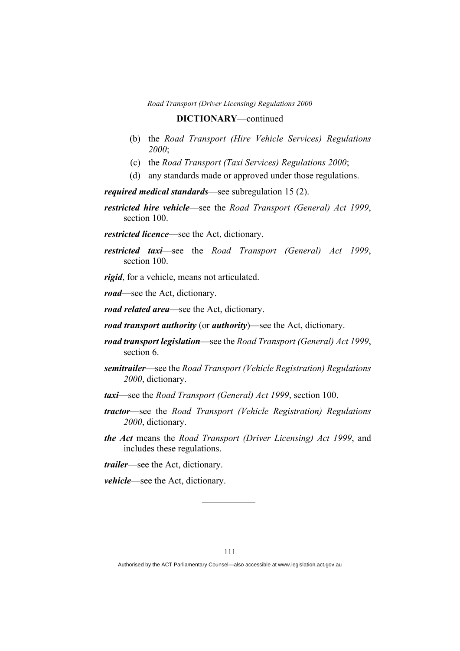### **DICTIONARY**—continued

- (b) the *Road Transport (Hire Vehicle Services) Regulations 2000*;
- (c) the *Road Transport (Taxi Services) Regulations 2000*;
- (d) any standards made or approved under those regulations.

*required medical standards*—see subregulation 15 (2).

- *restricted hire vehicle*—see the *Road Transport (General) Act 1999*, section 100.
- *restricted licence*—see the Act, dictionary.
- *restricted taxi*—see the *Road Transport (General) Act 1999*, section 100.

*rigid*, for a vehicle, means not articulated.

*road*—see the Act, dictionary.

*road related area*—see the Act, dictionary.

- *road transport authority* (or *authority*)—see the Act, dictionary.
- *road transport legislation*—see the *Road Transport (General) Act 1999*, section 6.
- *semitrailer*—see the *Road Transport (Vehicle Registration) Regulations 2000*, dictionary.
- *taxi*—see the *Road Transport (General) Act 1999*, section 100.
- *tractor*—see the *Road Transport (Vehicle Registration) Regulations 2000*, dictionary.
- *the Act* means the *Road Transport (Driver Licensing) Act 1999*, and includes these regulations.
- *trailer*—see the Act, dictionary.

*vehicle*—see the Act, dictionary.

Authorised by the ACT Parliamentary Counsel—also accessible at www.legislation.act.gov.au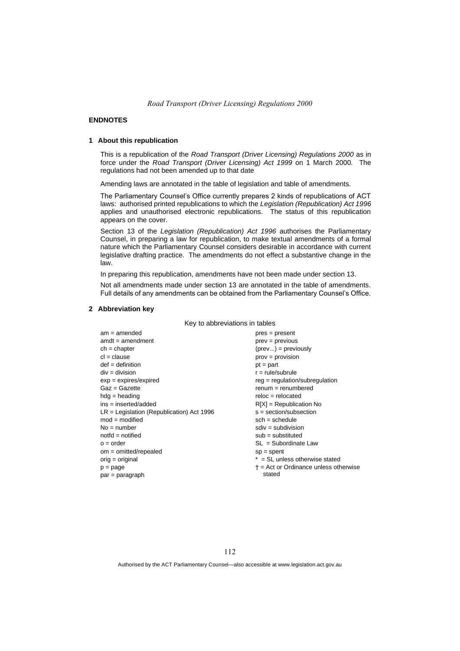#### **ENDNOTES**

#### **1 About this republication**

This is a republication of the *Road Transport (Driver Licensing) Regulations 2000* as in force under the *Road Transport (Driver Licensing) Act 1999* on 1 March 2000*.* The regulations had not been amended up to that date

Amending laws are annotated in the table of legislation and table of amendments.

The Parliamentary Counsel's Office currently prepares 2 kinds of republications of ACT laws: authorised printed republications to which the *Legislation (Republication) Act 1996* applies and unauthorised electronic republications. The status of this republication appears on the cover.

Section 13 of the *Legislation (Republication) Act 1996* authorises the Parliamentary Counsel, in preparing a law for republication, to make textual amendments of a formal nature which the Parliamentary Counsel considers desirable in accordance with current legislative drafting practice. The amendments do not effect a substantive change in the law.

In preparing this republication, amendments have not been made under section 13.

Not all amendments made under section 13 are annotated in the table of amendments. Full details of any amendments can be obtained from the Parliamentary Counsel's Office.

#### **2 Abbreviation key**

Key to abbreviations in tables

| $pres = present$                              |
|-----------------------------------------------|
|                                               |
| $prev = previous$                             |
| $(\text{prev}) = \text{previously}$           |
| $prov = provision$                            |
| $pt = part$                                   |
| $r = rule/subrule$                            |
| reg = regulation/subregulation                |
| $renum = renumbered$                          |
| $reloc = relocated$                           |
| $R[X]$ = Republication No                     |
| $s = section/subsection$                      |
| $sch = schedule$                              |
| $sdiv = subdivision$                          |
| $sub =$ substituted                           |
| $SL = Subordinate$ Law                        |
| $sp = spent$                                  |
| $*$ = SL unless otherwise stated              |
| $\dagger$ = Act or Ordinance unless otherwise |
| stated                                        |
|                                               |